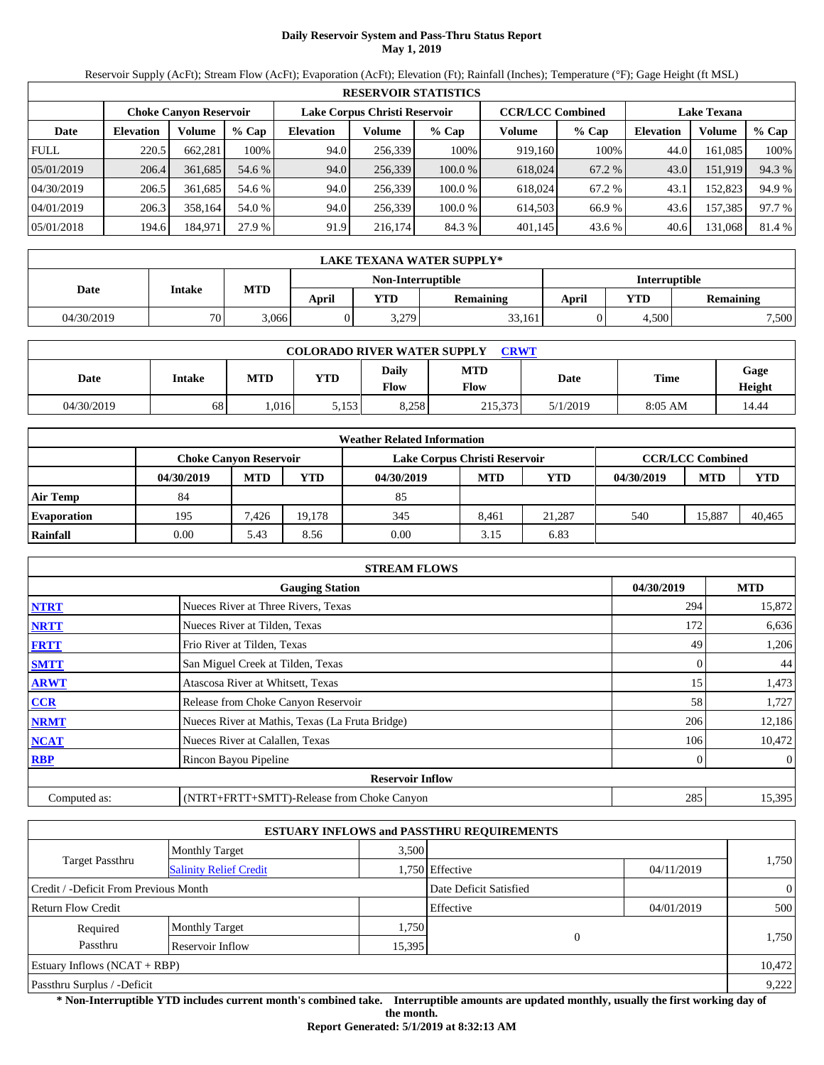# **Daily Reservoir System and Pass-Thru Status Report May 1, 2019**

Reservoir Supply (AcFt); Stream Flow (AcFt); Evaporation (AcFt); Elevation (Ft); Rainfall (Inches); Temperature (°F); Gage Height (ft MSL)

|             | <b>RESERVOIR STATISTICS</b> |                               |         |                               |         |         |                         |         |                    |         |        |  |  |
|-------------|-----------------------------|-------------------------------|---------|-------------------------------|---------|---------|-------------------------|---------|--------------------|---------|--------|--|--|
|             |                             | <b>Choke Canyon Reservoir</b> |         | Lake Corpus Christi Reservoir |         |         | <b>CCR/LCC Combined</b> |         | <b>Lake Texana</b> |         |        |  |  |
| Date        | <b>Elevation</b>            | Volume                        | $%$ Cap | <b>Elevation</b>              | Volume  | $%$ Cap | Volume                  | $%$ Cap | <b>Elevation</b>   | Volume  | % Cap  |  |  |
| <b>FULL</b> | 220.5                       | 662.281                       | 100%    | 94.0                          | 256,339 | 100%    | 919,160                 | 100%    | 44.0               | 161.085 | 100%   |  |  |
| 05/01/2019  | 206.4                       | 361,685                       | 54.6 %  | 94.0                          | 256,339 | 100.0%  | 618,024                 | 67.2 %  | 43.0               | 151.919 | 94.3 % |  |  |
| 04/30/2019  | 206.5                       | 361.685                       | 54.6 %  | 94.0                          | 256,339 | 100.0%  | 618,024                 | 67.2 %  | 43.1               | 152,823 | 94.9 % |  |  |
| 04/01/2019  | 206.3                       | 358.164                       | 54.0 %  | 94.0                          | 256.339 | 100.0%  | 614.503                 | 66.9%   | 43.6               | 157,385 | 97.7 % |  |  |
| 05/01/2018  | 194.6                       | 184,971                       | 27.9 %  | 91.9                          | 216,174 | 84.3 %  | 401,145                 | 43.6 %  | 40.6               | 131,068 | 81.4 % |  |  |

|            | LAKE TEXANA WATER SUPPLY* |            |       |                   |           |                      |       |                  |  |  |  |
|------------|---------------------------|------------|-------|-------------------|-----------|----------------------|-------|------------------|--|--|--|
|            |                           |            |       | Non-Interruptible |           | <b>Interruptible</b> |       |                  |  |  |  |
| Date       | <b>Intake</b>             | <b>MTD</b> | April | <b>YTD</b>        | Remaining | April                | YTD   | <b>Remaining</b> |  |  |  |
| 04/30/2019 | 70                        | 3,066      |       | 3,279             | 33,161    |                      | 4,500 | 7,500            |  |  |  |

| <b>COLORADO RIVER WATER SUPPLY</b><br>CRWT |        |            |            |                      |                    |          |           |                |  |  |
|--------------------------------------------|--------|------------|------------|----------------------|--------------------|----------|-----------|----------------|--|--|
| Date                                       | Intake | <b>MTD</b> | <b>YTD</b> | <b>Daily</b><br>Flow | MTD<br><b>Flow</b> | Date     | Time      | Gage<br>Height |  |  |
| 04/30/2019                                 | 68     | 1.016      | 5,153      | 8.258                | 215.373            | 5/1/2019 | $8:05$ AM | 14.44          |  |  |

|                    | <b>Weather Related Information</b> |            |        |                               |            |            |            |                         |            |  |  |
|--------------------|------------------------------------|------------|--------|-------------------------------|------------|------------|------------|-------------------------|------------|--|--|
|                    | <b>Choke Canvon Reservoir</b>      |            |        | Lake Corpus Christi Reservoir |            |            |            | <b>CCR/LCC Combined</b> |            |  |  |
|                    | 04/30/2019                         | <b>MTD</b> | YTD    | 04/30/2019                    | <b>MTD</b> | <b>YTD</b> | 04/30/2019 | <b>MTD</b>              | <b>YTD</b> |  |  |
| <b>Air Temp</b>    | 84                                 |            |        | 85                            |            |            |            |                         |            |  |  |
| <b>Evaporation</b> | 195                                | 7.426      | 19.178 | 345                           | 8.461      | 21.287     | 540        | 15.887                  | 40.465     |  |  |
| Rainfall           | 0.00                               | 5.43       | 8.56   | 0.00                          | 3.15       | 6.83       |            |                         |            |  |  |

|              | <b>STREAM FLOWS</b>                             |            |                |
|--------------|-------------------------------------------------|------------|----------------|
|              | 04/30/2019                                      | <b>MTD</b> |                |
| <b>NTRT</b>  | Nueces River at Three Rivers, Texas             | 294        | 15,872         |
| <b>NRTT</b>  | Nueces River at Tilden, Texas                   | 172        | 6,636          |
| <b>FRTT</b>  | Frio River at Tilden, Texas                     | 49         | 1,206          |
| <b>SMTT</b>  | San Miguel Creek at Tilden, Texas               | $\Omega$   | 44             |
| <b>ARWT</b>  | Atascosa River at Whitsett, Texas               | 15         | 1,473          |
| <b>CCR</b>   | Release from Choke Canyon Reservoir             | 58         | 1,727          |
| <b>NRMT</b>  | Nueces River at Mathis, Texas (La Fruta Bridge) | 206        | 12,186         |
| <b>NCAT</b>  | Nueces River at Calallen, Texas                 | 106        | 10,472         |
| <b>RBP</b>   | Rincon Bayou Pipeline                           | $\Omega$   | $\overline{0}$ |
|              | <b>Reservoir Inflow</b>                         |            |                |
| Computed as: | (NTRT+FRTT+SMTT)-Release from Choke Canyon      | 285        | 15,395         |

|                                                         |                       |        | <b>ESTUARY INFLOWS and PASSTHRU REQUIREMENTS</b> |            |                |
|---------------------------------------------------------|-----------------------|--------|--------------------------------------------------|------------|----------------|
|                                                         | <b>Monthly Target</b> | 3.500  |                                                  |            |                |
| <b>Target Passthru</b><br><b>Salinity Relief Credit</b> |                       |        | 1,750 Effective                                  | 04/11/2019 | 1,750          |
| Credit / -Deficit From Previous Month                   |                       |        | Date Deficit Satisfied                           |            | $\overline{0}$ |
| <b>Return Flow Credit</b>                               |                       |        | Effective                                        | 04/01/2019 | 500            |
| Required                                                | <b>Monthly Target</b> | 1,750  |                                                  |            |                |
| Passthru                                                | Reservoir Inflow      | 15,395 |                                                  | $\Omega$   | 1,750          |
| Estuary Inflows $(NCAT + RBP)$                          |                       |        |                                                  |            | 10,472         |
| Passthru Surplus / -Deficit                             |                       |        |                                                  |            | 9,222          |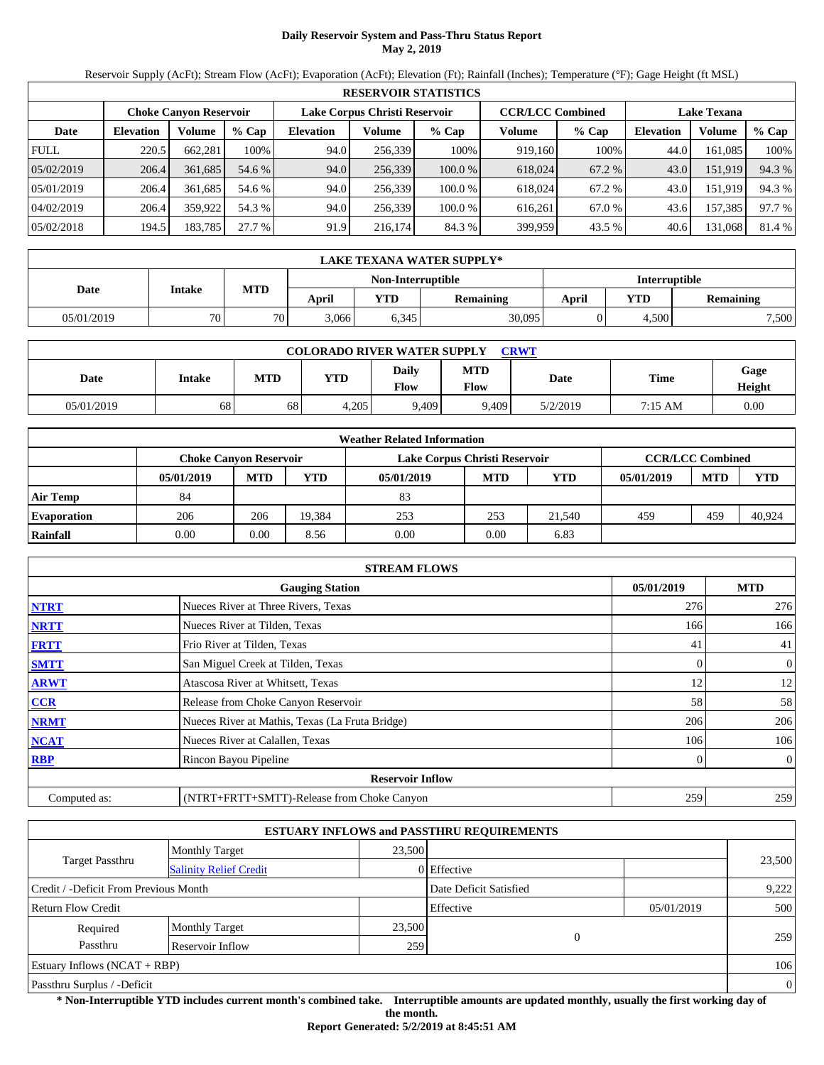# **Daily Reservoir System and Pass-Thru Status Report May 2, 2019**

Reservoir Supply (AcFt); Stream Flow (AcFt); Evaporation (AcFt); Elevation (Ft); Rainfall (Inches); Temperature (°F); Gage Height (ft MSL)

|             | <b>RESERVOIR STATISTICS</b> |                               |         |                  |                               |         |         |                         |                    |         |        |  |  |
|-------------|-----------------------------|-------------------------------|---------|------------------|-------------------------------|---------|---------|-------------------------|--------------------|---------|--------|--|--|
|             |                             | <b>Choke Canyon Reservoir</b> |         |                  | Lake Corpus Christi Reservoir |         |         | <b>CCR/LCC Combined</b> | <b>Lake Texana</b> |         |        |  |  |
| Date        | <b>Elevation</b>            | Volume                        | $%$ Cap | <b>Elevation</b> | Volume                        | $%$ Cap | Volume  | $%$ Cap                 | <b>Elevation</b>   | Volume  | % Cap  |  |  |
| <b>FULL</b> | 220.5                       | 662.281                       | 100%    | 94.0             | 256,339                       | 100%    | 919.160 | 100%                    | 44.0               | 161.085 | 100%   |  |  |
| 05/02/2019  | 206.4                       | 361.685                       | 54.6 %  | 94.0             | 256,339                       | 100.0%  | 618,024 | 67.2 %                  | 43.0               | 151,919 | 94.3 % |  |  |
| 05/01/2019  | 206.4                       | 361.685                       | 54.6 %  | 94.0             | 256,339                       | 100.0 % | 618.024 | 67.2 %                  | 43.0               | 151,919 | 94.3 % |  |  |
| 04/02/2019  | 206.4                       | 359,922                       | 54.3 %  | 94.0             | 256.339                       | 100.0 % | 616.261 | 67.0 %                  | 43.6               | 157,385 | 97.7 % |  |  |
| 05/02/2018  | 194.5                       | 183,785                       | 27.7 %  | 91.9             | 216,174                       | 84.3 %  | 399,959 | 43.5 %                  | 40.6               | 131,068 | 81.4 % |  |  |

|            | LAKE TEXANA WATER SUPPLY* |            |       |                   |                  |       |                         |       |  |  |  |
|------------|---------------------------|------------|-------|-------------------|------------------|-------|-------------------------|-------|--|--|--|
|            |                           |            |       | Non-Interruptible |                  |       | <b>Interruptible</b>    |       |  |  |  |
| Date       | Intake                    | <b>MTD</b> | April | <b>YTD</b>        | <b>Remaining</b> | April | <b>YTD</b><br>Remaining |       |  |  |  |
| 05/01/2019 | 70                        | 70         | 3.066 | 6,345             | 30,095           |       | 4,500                   | 7,500 |  |  |  |

| <b>COLORADO RIVER WATER SUPPLY</b><br><b>CRWT</b> |        |     |            |               |                    |          |         |                |  |  |
|---------------------------------------------------|--------|-----|------------|---------------|--------------------|----------|---------|----------------|--|--|
| Date                                              | Intake | MTD | <b>YTD</b> | Daily<br>Flow | MTD<br><b>Flow</b> | Date     | Time    | Gage<br>Height |  |  |
| 05/01/2019                                        | 68     | 68  | 4,205      | 9.409         | 9,409              | 5/2/2019 | 7:15 AM | 0.00           |  |  |

|                    | <b>Weather Related Information</b> |            |            |                               |            |            |            |                         |            |  |  |
|--------------------|------------------------------------|------------|------------|-------------------------------|------------|------------|------------|-------------------------|------------|--|--|
|                    | <b>Choke Canvon Reservoir</b>      |            |            | Lake Corpus Christi Reservoir |            |            |            | <b>CCR/LCC Combined</b> |            |  |  |
|                    | 05/01/2019                         | <b>MTD</b> | <b>YTD</b> | 05/01/2019                    | <b>MTD</b> | <b>YTD</b> | 05/01/2019 | <b>MTD</b>              | <b>YTD</b> |  |  |
| Air Temp           | 84                                 |            |            | 83                            |            |            |            |                         |            |  |  |
| <b>Evaporation</b> | 206                                | 206        | 19.384     | 253                           | 253        | 21,540     | 459        | 459                     | 40,924     |  |  |
| Rainfall           | 0.00                               | 0.00       | 8.56       | 0.00                          | 0.00       | 6.83       |            |                         |            |  |  |

|              | <b>STREAM FLOWS</b>                             |            |                |
|--------------|-------------------------------------------------|------------|----------------|
|              | <b>Gauging Station</b>                          | 05/01/2019 | <b>MTD</b>     |
| <b>NTRT</b>  | Nueces River at Three Rivers, Texas             | 276        | 276            |
| <b>NRTT</b>  | Nueces River at Tilden, Texas                   | 166        | 166            |
| <b>FRTT</b>  | Frio River at Tilden, Texas                     | 41         | 41             |
| <b>SMTT</b>  | San Miguel Creek at Tilden, Texas               |            | $\mathbf{0}$   |
| <b>ARWT</b>  | Atascosa River at Whitsett, Texas               | 12         | 12             |
| <b>CCR</b>   | Release from Choke Canyon Reservoir             | 58         | 58             |
| <b>NRMT</b>  | Nueces River at Mathis, Texas (La Fruta Bridge) | 206        | 206            |
| <b>NCAT</b>  | Nueces River at Calallen, Texas                 | 106        | 106            |
| <b>RBP</b>   | Rincon Bayou Pipeline                           |            | $\overline{0}$ |
|              | <b>Reservoir Inflow</b>                         |            |                |
| Computed as: | (NTRT+FRTT+SMTT)-Release from Choke Canyon      | 259        | 259            |

|                                       |                               |        | <b>ESTUARY INFLOWS and PASSTHRU REQUIREMENTS</b> |              |                |
|---------------------------------------|-------------------------------|--------|--------------------------------------------------|--------------|----------------|
|                                       | <b>Monthly Target</b>         | 23,500 |                                                  |              |                |
| Target Passthru                       | <b>Salinity Relief Credit</b> |        | 0 Effective                                      |              | 23,500         |
| Credit / -Deficit From Previous Month |                               |        | Date Deficit Satisfied                           |              | 9,222          |
| <b>Return Flow Credit</b>             |                               |        | Effective                                        | 05/01/2019   | 500            |
| Required                              | <b>Monthly Target</b>         | 23,500 |                                                  |              |                |
| Passthru                              | Reservoir Inflow              | 259    |                                                  | $\mathbf{0}$ | 259            |
| <b>Estuary Inflows (NCAT + RBP)</b>   |                               |        |                                                  |              | 106            |
| Passthru Surplus / -Deficit           |                               |        |                                                  |              | $\overline{0}$ |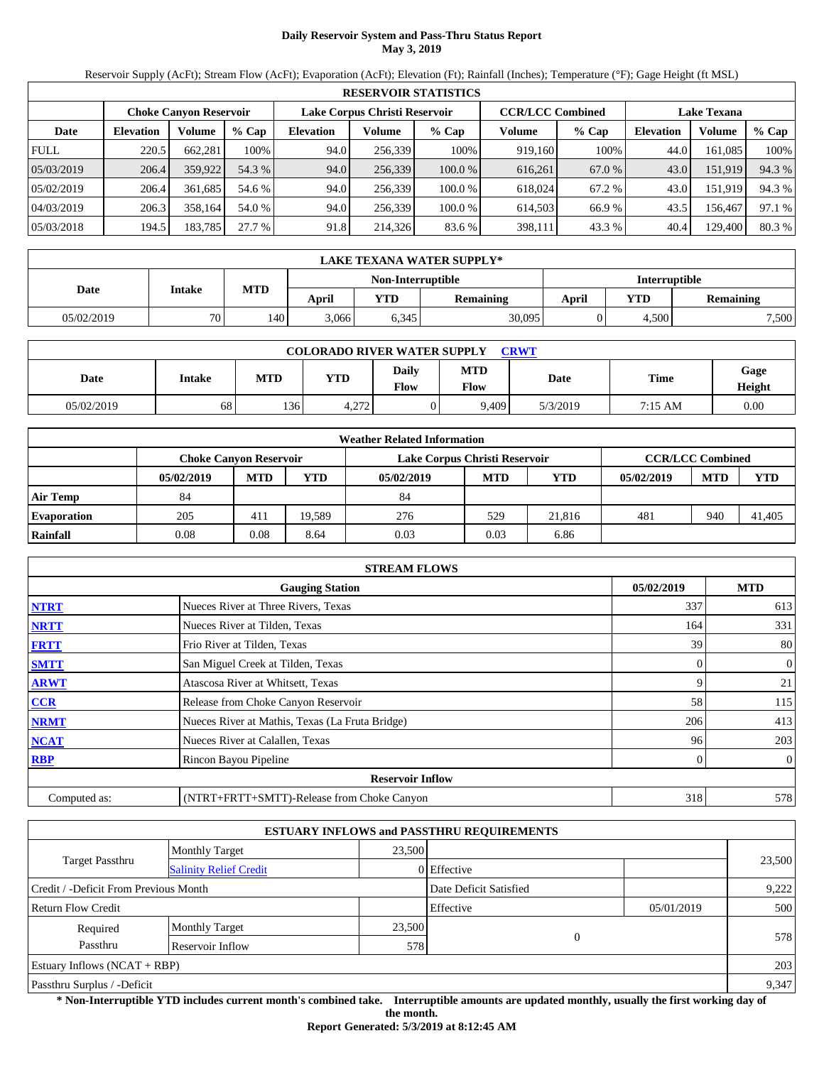# **Daily Reservoir System and Pass-Thru Status Report May 3, 2019**

Reservoir Supply (AcFt); Stream Flow (AcFt); Evaporation (AcFt); Elevation (Ft); Rainfall (Inches); Temperature (°F); Gage Height (ft MSL)

|             | <b>RESERVOIR STATISTICS</b> |                               |         |                               |         |         |                         |         |                    |         |        |  |  |
|-------------|-----------------------------|-------------------------------|---------|-------------------------------|---------|---------|-------------------------|---------|--------------------|---------|--------|--|--|
|             |                             | <b>Choke Canyon Reservoir</b> |         | Lake Corpus Christi Reservoir |         |         | <b>CCR/LCC Combined</b> |         | <b>Lake Texana</b> |         |        |  |  |
| Date        | <b>Elevation</b>            | Volume                        | $%$ Cap | <b>Elevation</b>              | Volume  | $%$ Cap | Volume                  | $%$ Cap | <b>Elevation</b>   | Volume  | % Cap  |  |  |
| <b>FULL</b> | 220.5                       | 662.281                       | 100%    | 94.0                          | 256,339 | 100%    | 919.160                 | 100%    | 44.0               | 161.085 | 100%   |  |  |
| 05/03/2019  | 206.4                       | 359.922                       | 54.3 %  | 94.0                          | 256.339 | 100.0%  | 616.261                 | 67.0 %  | 43.0               | 151.919 | 94.3 % |  |  |
| 05/02/2019  | 206.4                       | 361.685                       | 54.6 %  | 94.0                          | 256,339 | 100.0%  | 618,024                 | 67.2 %  | 43.0               | 151,919 | 94.3 % |  |  |
| 04/03/2019  | 206.3                       | 358.164                       | 54.0 %  | 94.0                          | 256.339 | 100.0 % | 614.503                 | 66.9%   | 43.5               | 156.467 | 97.1 % |  |  |
| 05/03/2018  | 194.5                       | 183,785                       | 27.7 %  | 91.8                          | 214,326 | 83.6 %  | 398,111                 | 43.3 %  | 40.4               | 129,400 | 80.3%  |  |  |

|            | LAKE TEXANA WATER SUPPLY* |     |                                                  |                   |        |                      |                  |       |  |  |  |  |
|------------|---------------------------|-----|--------------------------------------------------|-------------------|--------|----------------------|------------------|-------|--|--|--|--|
|            |                           |     |                                                  | Non-Interruptible |        | <b>Interruptible</b> |                  |       |  |  |  |  |
| Date       | Intake                    |     | <b>MTD</b><br>April<br>April<br>YTD<br>Remaining |                   |        | YTD                  | <b>Remaining</b> |       |  |  |  |  |
| 05/02/2019 | 70 <sub>1</sub>           | 140 | 3.066                                            | 6.345             | 30,095 |                      | 4,500            | 7,500 |  |  |  |  |

| <b>COLORADO RIVER WATER SUPPLY</b><br><b>CRWT</b> |               |     |       |               |                    |          |         |                |  |  |  |
|---------------------------------------------------|---------------|-----|-------|---------------|--------------------|----------|---------|----------------|--|--|--|
| Date                                              | <b>Intake</b> | MTD | YTD   | Dailv<br>Flow | <b>MTD</b><br>Flow | Date     | Time    | Gage<br>Height |  |  |  |
| 05/02/2019                                        | 68            | 136 | 4,272 |               | 9.409              | 5/3/2019 | 7:15 AM | 0.00           |  |  |  |

|                    | <b>Weather Related Information</b>                                                        |            |            |            |            |        |            |            |            |  |  |  |
|--------------------|-------------------------------------------------------------------------------------------|------------|------------|------------|------------|--------|------------|------------|------------|--|--|--|
|                    | <b>CCR/LCC Combined</b><br>Lake Corpus Christi Reservoir<br><b>Choke Canvon Reservoir</b> |            |            |            |            |        |            |            |            |  |  |  |
|                    | 05/02/2019                                                                                | <b>MTD</b> | <b>YTD</b> | 05/02/2019 | <b>MTD</b> | YTD    | 05/02/2019 | <b>MTD</b> | <b>YTD</b> |  |  |  |
| <b>Air Temp</b>    | 84                                                                                        |            |            | 84         |            |        |            |            |            |  |  |  |
| <b>Evaporation</b> | 205                                                                                       | 411        | 19.589     | 276        | 529        | 21,816 | 481        | 940        | 41,405     |  |  |  |
| Rainfall           | 0.08                                                                                      | 0.08       | 8.64       | 0.03       | 0.03       | 6.86   |            |            |            |  |  |  |

|              | <b>STREAM FLOWS</b>                             |            |                |
|--------------|-------------------------------------------------|------------|----------------|
|              | <b>Gauging Station</b>                          | 05/02/2019 | <b>MTD</b>     |
| <b>NTRT</b>  | Nueces River at Three Rivers, Texas             | 337        | 613            |
| <b>NRTT</b>  | Nueces River at Tilden, Texas                   | 164        | 331            |
| <b>FRTT</b>  | Frio River at Tilden, Texas                     | 39         | 80             |
| <b>SMTT</b>  | San Miguel Creek at Tilden, Texas               | 0          | $\overline{0}$ |
| <b>ARWT</b>  | Atascosa River at Whitsett, Texas               | 9          | 21             |
| CCR          | Release from Choke Canyon Reservoir             | 58         | 115            |
| <b>NRMT</b>  | Nueces River at Mathis, Texas (La Fruta Bridge) | 206        | 413            |
| <b>NCAT</b>  | Nueces River at Calallen, Texas                 | 96         | 203            |
| <b>RBP</b>   | Rincon Bayou Pipeline                           | 0          | $\overline{0}$ |
|              | <b>Reservoir Inflow</b>                         |            |                |
| Computed as: | (NTRT+FRTT+SMTT)-Release from Choke Canyon      | 318        | 578            |

|                                       |                               |        | <b>ESTUARY INFLOWS and PASSTHRU REQUIREMENTS</b> |            |        |  |
|---------------------------------------|-------------------------------|--------|--------------------------------------------------|------------|--------|--|
|                                       | <b>Monthly Target</b>         | 23,500 |                                                  |            |        |  |
| Target Passthru                       | <b>Salinity Relief Credit</b> |        | 0 Effective                                      |            | 23,500 |  |
| Credit / -Deficit From Previous Month |                               |        | Date Deficit Satisfied                           |            | 9,222  |  |
| <b>Return Flow Credit</b>             |                               |        | Effective                                        | 05/01/2019 | 500    |  |
| Required                              | <b>Monthly Target</b>         | 23,500 |                                                  |            |        |  |
| Passthru                              | Reservoir Inflow              |        |                                                  | $\Omega$   | 578    |  |
| Estuary Inflows $(NCAT + RBP)$        |                               |        |                                                  |            | 203    |  |
| Passthru Surplus / -Deficit           |                               |        |                                                  |            | 9,347  |  |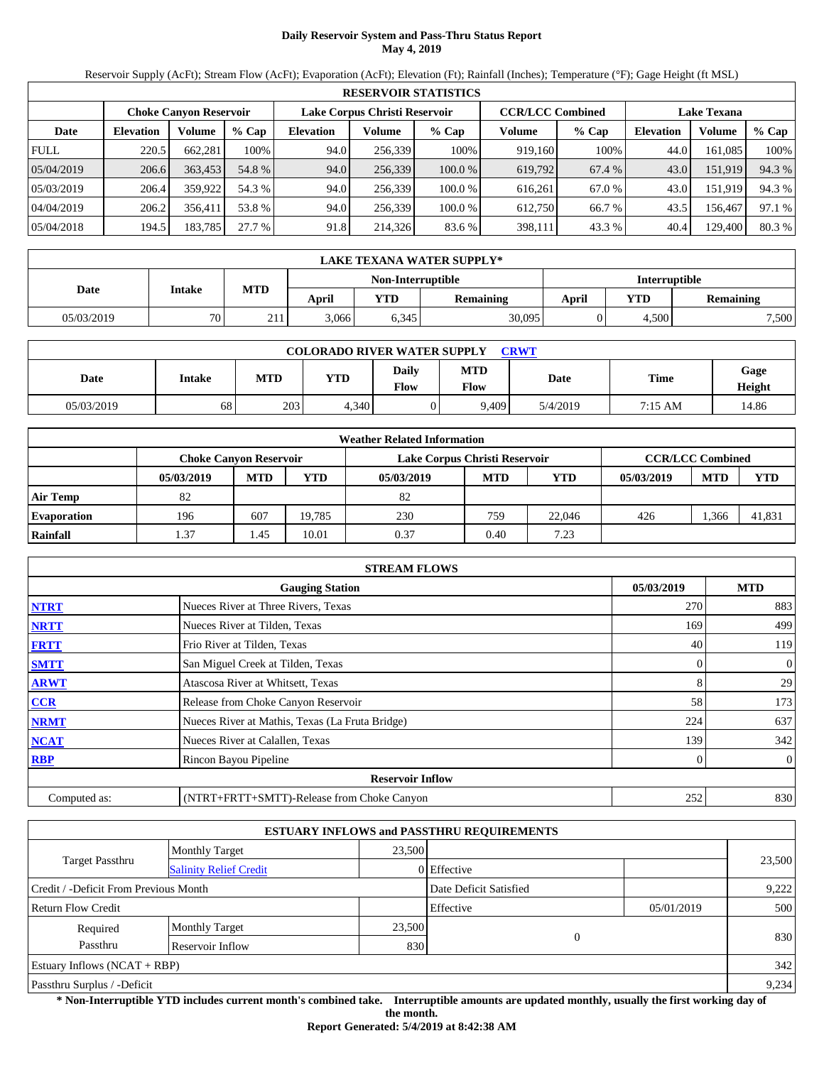# **Daily Reservoir System and Pass-Thru Status Report May 4, 2019**

Reservoir Supply (AcFt); Stream Flow (AcFt); Evaporation (AcFt); Elevation (Ft); Rainfall (Inches); Temperature (°F); Gage Height (ft MSL)

|             | <b>RESERVOIR STATISTICS</b> |                               |         |                  |                               |         |                         |         |                    |         |        |  |
|-------------|-----------------------------|-------------------------------|---------|------------------|-------------------------------|---------|-------------------------|---------|--------------------|---------|--------|--|
|             |                             | <b>Choke Canvon Reservoir</b> |         |                  | Lake Corpus Christi Reservoir |         | <b>CCR/LCC Combined</b> |         | <b>Lake Texana</b> |         |        |  |
| Date        | <b>Elevation</b>            | Volume                        | $%$ Cap | <b>Elevation</b> | Volume                        | $%$ Cap | Volume                  | $%$ Cap | <b>Elevation</b>   | Volume  | % Cap  |  |
| <b>FULL</b> | 220.5                       | 662,281                       | 100%    | 94.0             | 256,339                       | 100%    | 919,160                 | 100%    | 44.0               | 161.085 | 100%   |  |
| 05/04/2019  | 206.6                       | 363,453                       | 54.8 %  | 94.0             | 256,339                       | 100.0 % | 619,792                 | 67.4 %  | 43.0               | 151,919 | 94.3 % |  |
| 05/03/2019  | 206.4                       | 359,922                       | 54.3 %  | 94.0             | 256.339                       | 100.0 % | 616.261                 | 67.0 %  | 43.0               | 151,919 | 94.3 % |  |
| 04/04/2019  | 206.2                       | 356,411                       | 53.8 %  | 94.0             | 256,339                       | 100.0%  | 612.750                 | 66.7 %  | 43.5               | 156,467 | 97.1 % |  |
| 05/04/2018  | 194.5                       | 183,785                       | 27.7 %  | 91.8             | 214,326                       | 83.6 %  | 398,111                 | 43.3 %  | 40.4               | 129,400 | 80.3%  |  |

|            | LAKE TEXANA WATER SUPPLY* |            |       |                           |        |                      |       |                  |  |  |  |  |
|------------|---------------------------|------------|-------|---------------------------|--------|----------------------|-------|------------------|--|--|--|--|
|            |                           |            |       | Non-Interruptible         |        | <b>Interruptible</b> |       |                  |  |  |  |  |
| Date       | <b>Intake</b>             | <b>MTD</b> | April | April<br>YTD<br>Remaining |        |                      | YTD   | <b>Remaining</b> |  |  |  |  |
| 05/03/2019 | 70                        | 211        | 3,066 | 6,345                     | 30,095 |                      | 4,500 | 7,500            |  |  |  |  |

| <b>COLORADO RIVER WATER SUPPLY</b><br><b>CRWT</b> |        |     |       |                      |                    |          |         |                |  |  |  |
|---------------------------------------------------|--------|-----|-------|----------------------|--------------------|----------|---------|----------------|--|--|--|
| Date                                              | Intake | MTD | YTD   | <b>Daily</b><br>Flow | MTD<br><b>Flow</b> | Date     | Time    | Gage<br>Height |  |  |  |
| 05/03/2019                                        | 68     | 203 | 4,340 |                      | 9,409              | 5/4/2019 | 7:15 AM | 14.86          |  |  |  |

|                    | <b>Weather Related Information</b> |                                                                                           |            |            |            |            |            |            |            |  |  |  |
|--------------------|------------------------------------|-------------------------------------------------------------------------------------------|------------|------------|------------|------------|------------|------------|------------|--|--|--|
|                    |                                    | <b>CCR/LCC Combined</b><br>Lake Corpus Christi Reservoir<br><b>Choke Canvon Reservoir</b> |            |            |            |            |            |            |            |  |  |  |
|                    | 05/03/2019                         | <b>MTD</b>                                                                                | <b>YTD</b> | 05/03/2019 | <b>MTD</b> | <b>YTD</b> | 05/03/2019 | <b>MTD</b> | <b>YTD</b> |  |  |  |
| <b>Air Temp</b>    | 82                                 |                                                                                           |            | 82         |            |            |            |            |            |  |  |  |
| <b>Evaporation</b> | 196                                | 607                                                                                       | 19.785     | 230        | 759        | 22,046     | 426        | .366       | 41,831     |  |  |  |
| Rainfall           | 1.37                               | 1.45                                                                                      | 10.01      | 0.37       | 0.40       | 7.23       |            |            |            |  |  |  |

|              | <b>STREAM FLOWS</b>                             |              |                |
|--------------|-------------------------------------------------|--------------|----------------|
|              | 05/03/2019                                      | <b>MTD</b>   |                |
| <b>NTRT</b>  | Nueces River at Three Rivers, Texas             | 270          | 883            |
| <b>NRTT</b>  | Nueces River at Tilden, Texas                   | 169          | 499            |
| <b>FRTT</b>  | Frio River at Tilden, Texas                     | 40           | 119            |
| <b>SMTT</b>  | San Miguel Creek at Tilden, Texas               | $\mathbf{0}$ | $\overline{0}$ |
| <b>ARWT</b>  | Atascosa River at Whitsett, Texas               | 8            | 29             |
| CCR          | Release from Choke Canyon Reservoir             | 58           | 173            |
| <b>NRMT</b>  | Nueces River at Mathis, Texas (La Fruta Bridge) | 224          | 637            |
| <b>NCAT</b>  | Nueces River at Calallen, Texas                 | 139          | 342            |
| <b>RBP</b>   | Rincon Bayou Pipeline                           | $\Omega$     | $\overline{0}$ |
|              | <b>Reservoir Inflow</b>                         |              |                |
| Computed as: | (NTRT+FRTT+SMTT)-Release from Choke Canyon      | 252          | 830            |

|                                       |                               |                 | <b>ESTUARY INFLOWS and PASSTHRU REQUIREMENTS</b> |            |        |  |
|---------------------------------------|-------------------------------|-----------------|--------------------------------------------------|------------|--------|--|
|                                       | <b>Monthly Target</b>         | 23,500          |                                                  |            |        |  |
| Target Passthru                       | <b>Salinity Relief Credit</b> |                 | 0 Effective                                      |            | 23,500 |  |
| Credit / -Deficit From Previous Month |                               |                 | Date Deficit Satisfied                           |            | 9,222  |  |
| <b>Return Flow Credit</b>             |                               |                 | Effective                                        | 05/01/2019 | 500    |  |
| Required                              | <b>Monthly Target</b>         | 23,500          |                                                  |            |        |  |
| Passthru                              | Reservoir Inflow              | $\theta$<br>830 |                                                  | 830        |        |  |
| Estuary Inflows $(NCAT + RBP)$        |                               |                 |                                                  |            | 342    |  |
| Passthru Surplus / -Deficit           |                               |                 |                                                  |            | 9,234  |  |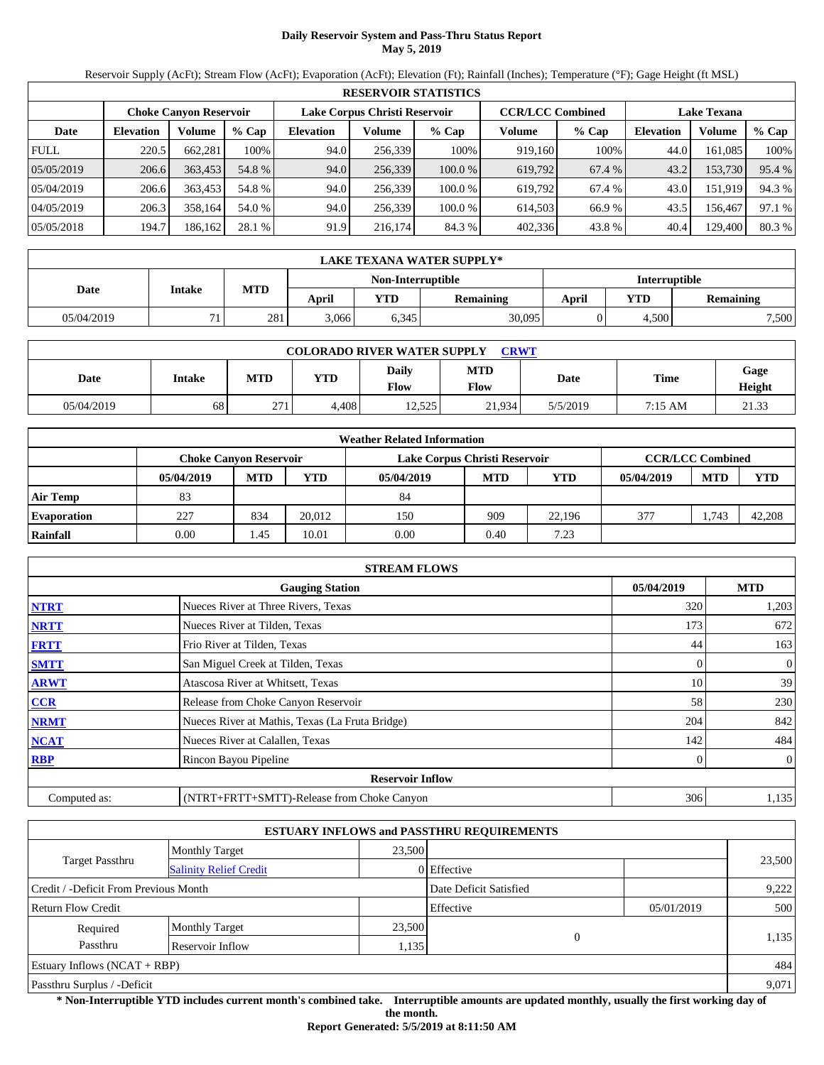# **Daily Reservoir System and Pass-Thru Status Report May 5, 2019**

Reservoir Supply (AcFt); Stream Flow (AcFt); Evaporation (AcFt); Elevation (Ft); Rainfall (Inches); Temperature (°F); Gage Height (ft MSL)

|             | <b>RESERVOIR STATISTICS</b>                                                                                     |         |         |                  |         |         |         |         |                  |         |        |
|-------------|-----------------------------------------------------------------------------------------------------------------|---------|---------|------------------|---------|---------|---------|---------|------------------|---------|--------|
|             | <b>CCR/LCC Combined</b><br>Lake Corpus Christi Reservoir<br><b>Lake Texana</b><br><b>Choke Canyon Reservoir</b> |         |         |                  |         |         |         |         |                  |         |        |
| Date        | <b>Elevation</b>                                                                                                | Volume  | $%$ Cap | <b>Elevation</b> | Volume  | $%$ Cap | Volume  | $%$ Cap | <b>Elevation</b> | Volume  | % Cap  |
| <b>FULL</b> | 220.5                                                                                                           | 662,281 | 100%    | 94.0             | 256,339 | 100%    | 919,160 | 100%    | 44.0             | 161.085 | 100%   |
| 05/05/2019  | 206.6                                                                                                           | 363,453 | 54.8 %  | 94.0             | 256,339 | 100.0%  | 619,792 | 67.4 %  | 43.2             | 153,730 | 95.4 % |
| 05/04/2019  | 206.6                                                                                                           | 363,453 | 54.8 %  | 94.0             | 256,339 | 100.0 % | 619.792 | 67.4 %  | 43.0             | 151,919 | 94.3 % |
| 04/05/2019  | 206.3                                                                                                           | 358,164 | 54.0 %  | 94.0             | 256,339 | 100.0%  | 614,503 | 66.9%   | 43.5             | 156,467 | 97.1 % |
| 05/05/2018  | 194.7                                                                                                           | 186,162 | 28.1 %  | 91.9             | 216,174 | 84.3 %  | 402,336 | 43.8%   | 40.4             | 129,400 | 80.3%  |

|            | LAKE TEXANA WATER SUPPLY* |            |       |                   |           |                      |       |                  |  |  |
|------------|---------------------------|------------|-------|-------------------|-----------|----------------------|-------|------------------|--|--|
|            | Intake                    | <b>MTD</b> |       | Non-Interruptible |           | <b>Interruptible</b> |       |                  |  |  |
| Date       |                           |            | April | YTD               | Remaining | April                | YTD   | <b>Remaining</b> |  |  |
| 05/04/2019 | 71                        | 281        | 3.066 | 6.345             | 30,095    |                      | 4,500 | 7,500            |  |  |

| <b>COLORADO RIVER WATER SUPPLY</b><br>CRWT |        |            |            |                      |                    |          |         |                |  |  |
|--------------------------------------------|--------|------------|------------|----------------------|--------------------|----------|---------|----------------|--|--|
| Date                                       | Intake | <b>MTD</b> | <b>YTD</b> | Daily<br><b>Flow</b> | <b>MTD</b><br>Flow | Date     | Time    | Gage<br>Height |  |  |
| 05/04/2019                                 | 68     | 271        | 4.408      | 12,525               | 21.934             | 5/5/2019 | 7:15 AM | 21.33          |  |  |

|                    | <b>Weather Related Information</b> |            |            |                               |            |        |            |                         |            |  |  |
|--------------------|------------------------------------|------------|------------|-------------------------------|------------|--------|------------|-------------------------|------------|--|--|
|                    | <b>Choke Canvon Reservoir</b>      |            |            | Lake Corpus Christi Reservoir |            |        |            | <b>CCR/LCC Combined</b> |            |  |  |
|                    | 05/04/2019                         | <b>MTD</b> | <b>YTD</b> | 05/04/2019                    | <b>MTD</b> | YTD    | 05/04/2019 | <b>MTD</b>              | <b>YTD</b> |  |  |
| <b>Air Temp</b>    | 83                                 |            |            | 84                            |            |        |            |                         |            |  |  |
| <b>Evaporation</b> | 227                                | 834        | 20.012     | 150                           | 909        | 22.196 | 377        | .743                    | 42,208     |  |  |
| Rainfall           | 0.00                               | 1.45       | 10.01      | 0.00                          | 0.40       | 7.23   |            |                         |            |  |  |

|              | <b>STREAM FLOWS</b>                             |            |                     |  |  |  |  |  |  |
|--------------|-------------------------------------------------|------------|---------------------|--|--|--|--|--|--|
|              | <b>Gauging Station</b>                          | 05/04/2019 | <b>MTD</b>          |  |  |  |  |  |  |
| <b>NTRT</b>  | Nueces River at Three Rivers, Texas             | 320        | 1,203               |  |  |  |  |  |  |
| <b>NRTT</b>  | Nueces River at Tilden, Texas                   | 173        | 672                 |  |  |  |  |  |  |
| <b>FRTT</b>  | Frio River at Tilden, Texas                     | 44         | 163                 |  |  |  |  |  |  |
| <b>SMTT</b>  | San Miguel Creek at Tilden, Texas               |            | $\mathbf{0}$<br>0   |  |  |  |  |  |  |
| <b>ARWT</b>  | Atascosa River at Whitsett, Texas               | 10         | 39                  |  |  |  |  |  |  |
| <b>CCR</b>   | Release from Choke Canyon Reservoir             | 58         | 230                 |  |  |  |  |  |  |
| <b>NRMT</b>  | Nueces River at Mathis, Texas (La Fruta Bridge) | 204        | 842                 |  |  |  |  |  |  |
| <b>NCAT</b>  | Nueces River at Calallen, Texas                 | 142        | 484                 |  |  |  |  |  |  |
| <b>RBP</b>   | Rincon Bayou Pipeline                           |            | $\overline{0}$<br>0 |  |  |  |  |  |  |
|              | <b>Reservoir Inflow</b>                         |            |                     |  |  |  |  |  |  |
| Computed as: | (NTRT+FRTT+SMTT)-Release from Choke Canyon      | 306        | 1,135               |  |  |  |  |  |  |

|                                       |                               |        | <b>ESTUARY INFLOWS and PASSTHRU REQUIREMENTS</b> |          |            |        |  |
|---------------------------------------|-------------------------------|--------|--------------------------------------------------|----------|------------|--------|--|
|                                       | <b>Monthly Target</b>         | 23,500 |                                                  |          |            |        |  |
| Target Passthru                       | <b>Salinity Relief Credit</b> |        | 0 Effective                                      |          |            | 23,500 |  |
| Credit / -Deficit From Previous Month |                               |        | Date Deficit Satisfied                           |          |            | 9,222  |  |
| <b>Return Flow Credit</b>             |                               |        | Effective                                        |          | 05/01/2019 | 500    |  |
| Required                              | <b>Monthly Target</b>         | 23,500 |                                                  |          |            |        |  |
| Passthru<br>Reservoir Inflow          |                               |        | 1,135                                            | $\Omega$ |            | 1,135  |  |
| Estuary Inflows $(NCAT + RBP)$        |                               |        |                                                  |          |            | 484    |  |
| Passthru Surplus / -Deficit           |                               |        |                                                  |          |            | 9,071  |  |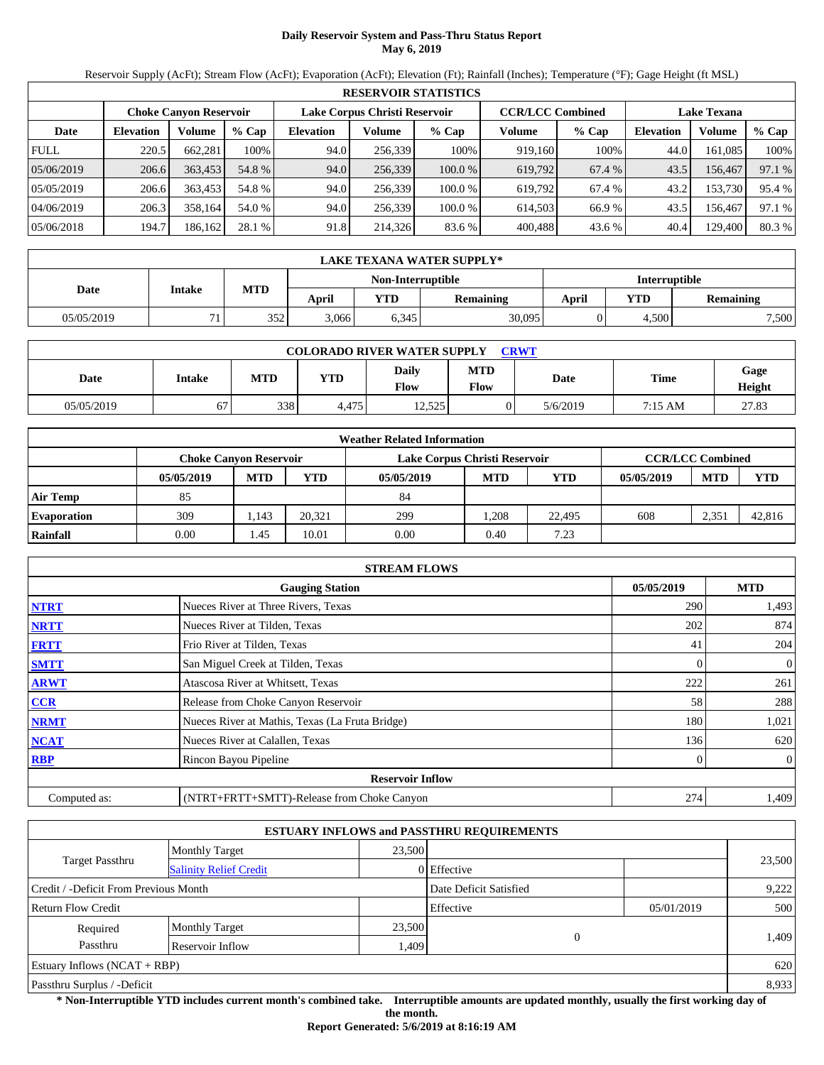# **Daily Reservoir System and Pass-Thru Status Report May 6, 2019**

Reservoir Supply (AcFt); Stream Flow (AcFt); Evaporation (AcFt); Elevation (Ft); Rainfall (Inches); Temperature (°F); Gage Height (ft MSL)

|             | <b>RESERVOIR STATISTICS</b>                                                                                     |         |         |                  |         |         |         |         |                  |         |        |  |
|-------------|-----------------------------------------------------------------------------------------------------------------|---------|---------|------------------|---------|---------|---------|---------|------------------|---------|--------|--|
|             | <b>CCR/LCC Combined</b><br>Lake Corpus Christi Reservoir<br><b>Lake Texana</b><br><b>Choke Canyon Reservoir</b> |         |         |                  |         |         |         |         |                  |         |        |  |
| Date        | <b>Elevation</b>                                                                                                | Volume  | $%$ Cap | <b>Elevation</b> | Volume  | $%$ Cap | Volume  | $%$ Cap | <b>Elevation</b> | Volume  | % Cap  |  |
| <b>FULL</b> | 220.5                                                                                                           | 662.281 | 100%    | 94.0             | 256.339 | 100%    | 919.160 | 100%    | 44.0             | 161.085 | 100%   |  |
| 05/06/2019  | 206.6                                                                                                           | 363,453 | 54.8 %  | 94.0             | 256,339 | 100.0%  | 619,792 | 67.4 %  | 43.5             | 156.467 | 97.1 % |  |
| 05/05/2019  | 206.6                                                                                                           | 363,453 | 54.8 %  | 94.0             | 256,339 | 100.0 % | 619,792 | 67.4 %  | 43.2             | 153,730 | 95.4 % |  |
| 04/06/2019  | 206.3                                                                                                           | 358.164 | 54.0 %  | 94.0             | 256.339 | 100.0 % | 614.503 | 66.9%   | 43.5             | 156,467 | 97.1 % |  |
| 05/06/2018  | 194.7                                                                                                           | 186,162 | 28.1 %  | 91.8             | 214,326 | 83.6 %  | 400,488 | 43.6 %  | 40.4             | 129,400 | 80.3%  |  |

|            | <b>LAKE TEXANA WATER SUPPLY*</b> |            |       |                   |                  |                      |            |                  |  |  |
|------------|----------------------------------|------------|-------|-------------------|------------------|----------------------|------------|------------------|--|--|
|            | Intake                           |            |       | Non-Interruptible |                  | <b>Interruptible</b> |            |                  |  |  |
| Date       |                                  | <b>MTD</b> | April | <b>YTD</b>        | <b>Remaining</b> | April                | <b>YTD</b> | <b>Remaining</b> |  |  |
| 05/05/2019 | 71                               | 352        | 3.066 | 6,345             | 30,095           |                      | 4,500      | 7,500            |  |  |

| <b>COLORADO RIVER WATER SUPPLY</b><br>CRWT |               |     |       |                      |                    |          |             |                |  |  |
|--------------------------------------------|---------------|-----|-------|----------------------|--------------------|----------|-------------|----------------|--|--|
| Date                                       | <b>Intake</b> | MTD | YTD   | <b>Daily</b><br>Flow | <b>MTD</b><br>Flow | Date     | <b>Time</b> | Gage<br>Height |  |  |
| 05/05/2019                                 | 67            | 338 | 4.475 | 12,525               |                    | 5/6/2019 | 7:15 AM     | 27.83          |  |  |

|                    | <b>Weather Related Information</b> |            |            |                               |            |        |            |                         |            |  |  |
|--------------------|------------------------------------|------------|------------|-------------------------------|------------|--------|------------|-------------------------|------------|--|--|
|                    | <b>Choke Canvon Reservoir</b>      |            |            | Lake Corpus Christi Reservoir |            |        |            | <b>CCR/LCC Combined</b> |            |  |  |
|                    | 05/05/2019                         | <b>MTD</b> | <b>YTD</b> | 05/05/2019                    | <b>MTD</b> | YTD    | 05/05/2019 | <b>MTD</b>              | <b>YTD</b> |  |  |
| <b>Air Temp</b>    | 85                                 |            |            | 84                            |            |        |            |                         |            |  |  |
| <b>Evaporation</b> | 309                                | .143       | 20.321     | 299                           | .208       | 22,495 | 608        | 2,351                   | 42,816     |  |  |
| Rainfall           | 0.00                               | 1.45       | 10.01      | 0.00                          | 0.40       | 7.23   |            |                         |            |  |  |

|              | <b>STREAM FLOWS</b>                             |  |            |                  |  |  |  |  |  |
|--------------|-------------------------------------------------|--|------------|------------------|--|--|--|--|--|
|              | <b>Gauging Station</b>                          |  | 05/05/2019 | <b>MTD</b>       |  |  |  |  |  |
| <b>NTRT</b>  | Nueces River at Three Rivers, Texas             |  | 290        | 1,493            |  |  |  |  |  |
| <b>NRTT</b>  | Nueces River at Tilden, Texas                   |  | 202        | 874              |  |  |  |  |  |
| <b>FRTT</b>  | Frio River at Tilden, Texas                     |  | 41         | 204              |  |  |  |  |  |
| <b>SMTT</b>  | San Miguel Creek at Tilden, Texas               |  |            | $\boldsymbol{0}$ |  |  |  |  |  |
| <b>ARWT</b>  | Atascosa River at Whitsett, Texas               |  | 222        | 261              |  |  |  |  |  |
| <b>CCR</b>   | Release from Choke Canyon Reservoir             |  | 58         | 288              |  |  |  |  |  |
| <b>NRMT</b>  | Nueces River at Mathis, Texas (La Fruta Bridge) |  | 180        | 1,021            |  |  |  |  |  |
| <b>NCAT</b>  | Nueces River at Calallen, Texas                 |  | 136        | 620              |  |  |  |  |  |
| <b>RBP</b>   | Rincon Bayou Pipeline                           |  |            | $\boldsymbol{0}$ |  |  |  |  |  |
|              | <b>Reservoir Inflow</b>                         |  |            |                  |  |  |  |  |  |
| Computed as: | (NTRT+FRTT+SMTT)-Release from Choke Canyon      |  | 274        | 1,409            |  |  |  |  |  |

|                                       |                               |        | <b>ESTUARY INFLOWS and PASSTHRU REQUIREMENTS</b> |            |        |  |
|---------------------------------------|-------------------------------|--------|--------------------------------------------------|------------|--------|--|
|                                       | <b>Monthly Target</b>         | 23,500 |                                                  |            |        |  |
| Target Passthru                       | <b>Salinity Relief Credit</b> |        | 0 Effective                                      |            | 23,500 |  |
| Credit / -Deficit From Previous Month |                               |        | Date Deficit Satisfied                           |            | 9,222  |  |
| <b>Return Flow Credit</b>             |                               |        | Effective                                        | 05/01/2019 | 500    |  |
| Required                              | <b>Monthly Target</b>         | 23,500 |                                                  |            |        |  |
| Passthru<br>Reservoir Inflow          |                               |        | 1,409                                            | $\Omega$   | 1.409  |  |
| Estuary Inflows $(NCAT + RBP)$        |                               |        |                                                  |            | 620    |  |
| Passthru Surplus / -Deficit           |                               |        |                                                  |            | 8,933  |  |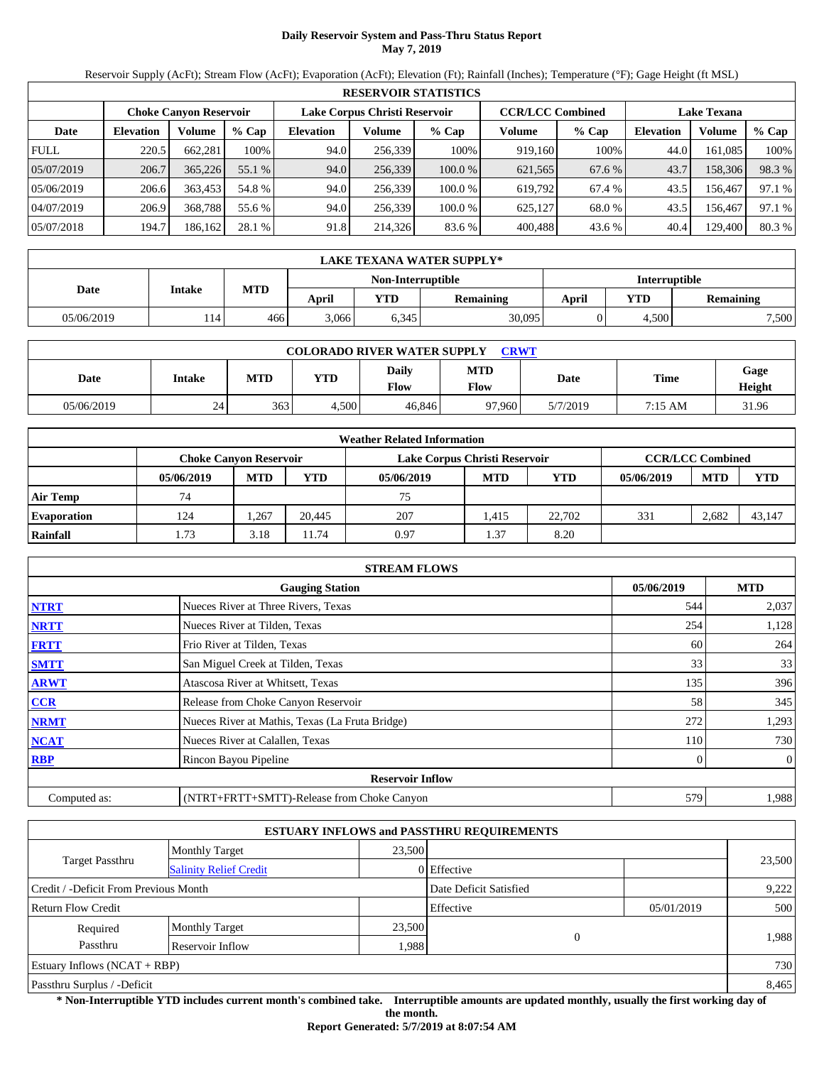# **Daily Reservoir System and Pass-Thru Status Report May 7, 2019**

Reservoir Supply (AcFt); Stream Flow (AcFt); Evaporation (AcFt); Elevation (Ft); Rainfall (Inches); Temperature (°F); Gage Height (ft MSL)

|             | <b>RESERVOIR STATISTICS</b> |                               |         |                  |                               |         |                         |         |                    |         |        |  |  |
|-------------|-----------------------------|-------------------------------|---------|------------------|-------------------------------|---------|-------------------------|---------|--------------------|---------|--------|--|--|
|             |                             | <b>Choke Canyon Reservoir</b> |         |                  | Lake Corpus Christi Reservoir |         | <b>CCR/LCC Combined</b> |         | <b>Lake Texana</b> |         |        |  |  |
| Date        | <b>Elevation</b>            | Volume                        | $%$ Cap | <b>Elevation</b> | Volume                        | $%$ Cap | Volume                  | $%$ Cap | <b>Elevation</b>   | Volume  | % Cap  |  |  |
| <b>FULL</b> | 220.5                       | 662.281                       | 100%    | 94.0             | 256,339                       | 100%    | 919,160                 | 100%    | 44.0               | 161.085 | 100%   |  |  |
| 05/07/2019  | 206.7                       | 365,226                       | 55.1 %  | 94.0             | 256,339                       | 100.0%  | 621,565                 | 67.6 %  | 43.7               | 158,306 | 98.3%  |  |  |
| 05/06/2019  | 206.6                       | 363,453                       | 54.8 %  | 94.0             | 256,339                       | 100.0 % | 619.792                 | 67.4 %  | 43.5               | 156,467 | 97.1 % |  |  |
| 04/07/2019  | 206.9                       | 368,788                       | 55.6 %  | 94.0             | 256,339                       | 100.0 % | 625.127                 | 68.0 %  | 43.5               | 156,467 | 97.1 % |  |  |
| 05/07/2018  | 194.7                       | 186,162                       | 28.1 %  | 91.8             | 214,326                       | 83.6 %  | 400.488                 | 43.6 %  | 40.4               | 129,400 | 80.3%  |  |  |

|            | LAKE TEXANA WATER SUPPLY* |            |       |                   |           |                      |                         |       |  |  |  |
|------------|---------------------------|------------|-------|-------------------|-----------|----------------------|-------------------------|-------|--|--|--|
|            |                           |            |       | Non-Interruptible |           | <b>Interruptible</b> |                         |       |  |  |  |
| Date       | Intake                    | <b>MTD</b> | April | YTD               | Remaining | April                | YTD<br><b>Remaining</b> |       |  |  |  |
| 05/06/2019 | 114                       | 466        | 3.066 | 6.345             | 30,095    |                      | 4,500                   | 7,500 |  |  |  |

| <b>COLORADO RIVER WATER SUPPLY</b><br>CRWT |        |            |            |                      |                    |          |         |                |  |  |  |
|--------------------------------------------|--------|------------|------------|----------------------|--------------------|----------|---------|----------------|--|--|--|
| Date                                       | Intake | <b>MTD</b> | <b>YTD</b> | Daily<br><b>Flow</b> | <b>MTD</b><br>Flow | Date     | Time    | Gage<br>Height |  |  |  |
| 05/06/2019                                 | 24     | 363        | 4.500      | 46,846               | 97.960             | 5/7/2019 | 7:15 AM | 31.96          |  |  |  |

|                    | <b>Weather Related Information</b>                                                        |            |            |            |            |        |            |            |        |  |  |  |
|--------------------|-------------------------------------------------------------------------------------------|------------|------------|------------|------------|--------|------------|------------|--------|--|--|--|
|                    | <b>CCR/LCC Combined</b><br>Lake Corpus Christi Reservoir<br><b>Choke Canvon Reservoir</b> |            |            |            |            |        |            |            |        |  |  |  |
|                    | 05/06/2019                                                                                | <b>MTD</b> | <b>YTD</b> | 05/06/2019 | <b>MTD</b> | YTD    | 05/06/2019 | <b>MTD</b> | YTD    |  |  |  |
| <b>Air Temp</b>    | 74                                                                                        |            |            | 75         |            |        |            |            |        |  |  |  |
| <b>Evaporation</b> | 124                                                                                       | .267       | 20.445     | 207        | . 415      | 22.702 | 331        | 2.682      | 43,147 |  |  |  |
| Rainfall           | 1.73                                                                                      | 3.18       | 11.74      | 0.97       | . 37       | 8.20   |            |            |        |  |  |  |

|              | <b>STREAM FLOWS</b>                             |            |                |
|--------------|-------------------------------------------------|------------|----------------|
|              | <b>Gauging Station</b>                          | 05/06/2019 | <b>MTD</b>     |
| <b>NTRT</b>  | Nueces River at Three Rivers, Texas             |            | 2,037<br>544   |
| <b>NRTT</b>  | Nueces River at Tilden, Texas                   |            | 254<br>1,128   |
| <b>FRTT</b>  | Frio River at Tilden, Texas                     |            | 264<br>60      |
| <b>SMTT</b>  | San Miguel Creek at Tilden, Texas               |            | 33<br>33       |
| <b>ARWT</b>  | Atascosa River at Whitsett, Texas               |            | 396<br>135     |
| <b>CCR</b>   | Release from Choke Canyon Reservoir             |            | 345<br>58      |
| <b>NRMT</b>  | Nueces River at Mathis, Texas (La Fruta Bridge) |            | 272<br>1,293   |
| <b>NCAT</b>  | Nueces River at Calallen, Texas                 |            | 730<br>110     |
| <b>RBP</b>   | Rincon Bayou Pipeline                           |            | $\overline{0}$ |
|              | <b>Reservoir Inflow</b>                         |            |                |
| Computed as: | (NTRT+FRTT+SMTT)-Release from Choke Canyon      |            | 579<br>1,988   |

|                                                  |                       |        | <b>ESTUARY INFLOWS and PASSTHRU REQUIREMENTS</b> |            |        |  |
|--------------------------------------------------|-----------------------|--------|--------------------------------------------------|------------|--------|--|
|                                                  | <b>Monthly Target</b> | 23,500 |                                                  |            |        |  |
| Target Passthru<br><b>Salinity Relief Credit</b> |                       |        | 0 Effective                                      |            | 23,500 |  |
| Credit / -Deficit From Previous Month            |                       |        | Date Deficit Satisfied                           |            | 9,222  |  |
| <b>Return Flow Credit</b>                        |                       |        | Effective                                        | 05/01/2019 | 500    |  |
| Required                                         | <b>Monthly Target</b> | 23,500 |                                                  |            |        |  |
| Passthru<br>Reservoir Inflow                     |                       |        | 1,988                                            | $\Omega$   | 1,988  |  |
| Estuary Inflows $(NCAT + RBP)$                   |                       |        |                                                  |            | 730    |  |
| Passthru Surplus / -Deficit                      |                       |        |                                                  |            |        |  |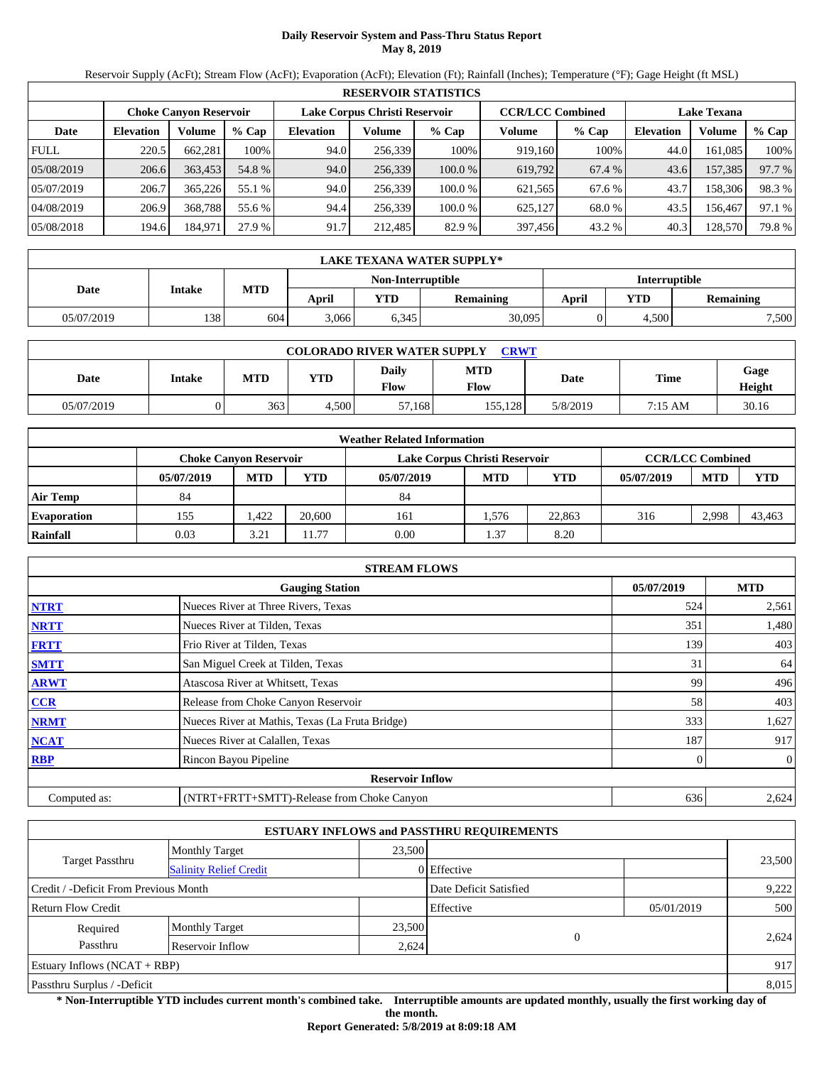# **Daily Reservoir System and Pass-Thru Status Report May 8, 2019**

Reservoir Supply (AcFt); Stream Flow (AcFt); Evaporation (AcFt); Elevation (Ft); Rainfall (Inches); Temperature (°F); Gage Height (ft MSL)

|             | <b>RESERVOIR STATISTICS</b> |                               |         |                               |         |         |                         |         |                    |         |        |  |  |
|-------------|-----------------------------|-------------------------------|---------|-------------------------------|---------|---------|-------------------------|---------|--------------------|---------|--------|--|--|
|             |                             | <b>Choke Canyon Reservoir</b> |         | Lake Corpus Christi Reservoir |         |         | <b>CCR/LCC Combined</b> |         | <b>Lake Texana</b> |         |        |  |  |
| Date        | <b>Elevation</b>            | Volume                        | $%$ Cap | <b>Elevation</b>              | Volume  | $%$ Cap | Volume                  | $%$ Cap | <b>Elevation</b>   | Volume  | % Cap  |  |  |
| <b>FULL</b> | 220.5                       | 662.281                       | 100%    | 94.0                          | 256.339 | 100%    | 919.160                 | 100%    | 44.0               | 161.085 | 100%   |  |  |
| 05/08/2019  | 206.6                       | 363.453                       | 54.8 %  | 94.0                          | 256,339 | 100.0%  | 619,792                 | 67.4 %  | 43.6               | 157,385 | 97.7 % |  |  |
| 05/07/2019  | 206.7                       | 365,226                       | 55.1 %  | 94.0                          | 256.339 | 100.0 % | 621.565                 | 67.6 %  | 43.7               | 158,306 | 98.3%  |  |  |
| 04/08/2019  | 206.9                       | 368.788                       | 55.6 %  | 94.4                          | 256.339 | 100.0 % | 625.127                 | 68.0 %  | 43.5               | 156.467 | 97.1 % |  |  |
| 05/08/2018  | 194.6                       | 184,971                       | 27.9 %  | 91.7                          | 212.485 | 82.9 %  | 397,456                 | 43.2 %  | 40.3               | 128,570 | 79.8%  |  |  |

|            | LAKE TEXANA WATER SUPPLY* |            |       |            |                  |       |                                |       |  |  |  |
|------------|---------------------------|------------|-------|------------|------------------|-------|--------------------------------|-------|--|--|--|
|            | <b>Interruptible</b>      |            |       |            |                  |       |                                |       |  |  |  |
| Date       | Intake                    | <b>MTD</b> | April | <b>YTD</b> | <b>Remaining</b> | April | <b>YTD</b><br><b>Remaining</b> |       |  |  |  |
| 05/07/2019 | 138                       | 604        | 3.066 | 6,345      | 30,095           |       | 4,500                          | 7,500 |  |  |  |

| <b>COLORADO RIVER WATER SUPPLY</b><br><b>CRWT</b> |               |            |            |                      |                    |          |         |                |  |  |  |
|---------------------------------------------------|---------------|------------|------------|----------------------|--------------------|----------|---------|----------------|--|--|--|
| Date                                              | <b>Intake</b> | <b>MTD</b> | <b>YTD</b> | Daily<br><b>Flow</b> | <b>MTD</b><br>Flow | Date     | Time    | Gage<br>Height |  |  |  |
| 05/07/2019                                        |               | 363        | 4.500      | 57,168               | 155.128            | 5/8/2019 | 7:15 AM | 30.16          |  |  |  |

|                    | <b>Weather Related Information</b>                                                        |            |            |            |            |        |            |            |            |  |  |  |
|--------------------|-------------------------------------------------------------------------------------------|------------|------------|------------|------------|--------|------------|------------|------------|--|--|--|
|                    | <b>CCR/LCC Combined</b><br>Lake Corpus Christi Reservoir<br><b>Choke Canvon Reservoir</b> |            |            |            |            |        |            |            |            |  |  |  |
|                    | 05/07/2019                                                                                | <b>MTD</b> | <b>YTD</b> | 05/07/2019 | <b>MTD</b> | YTD    | 05/07/2019 | <b>MTD</b> | <b>YTD</b> |  |  |  |
| <b>Air Temp</b>    | 84                                                                                        |            |            | 84         |            |        |            |            |            |  |  |  |
| <b>Evaporation</b> | 155                                                                                       | l.422      | 20,600     | 161        | .576       | 22,863 | 316        | 2.998      | 43.463     |  |  |  |
| Rainfall           | 0.03                                                                                      | 3.21       | 11.77      | 0.00       | 1.37       | 8.20   |            |            |            |  |  |  |

|              | <b>STREAM FLOWS</b>                             |            |              |
|--------------|-------------------------------------------------|------------|--------------|
|              | <b>Gauging Station</b>                          | 05/07/2019 | <b>MTD</b>   |
| <b>NTRT</b>  | Nueces River at Three Rivers, Texas             | 524        | 2,561        |
| <b>NRTT</b>  | Nueces River at Tilden, Texas                   | 351        | 1,480        |
| <b>FRTT</b>  | Frio River at Tilden, Texas                     | 139        | 403          |
| <b>SMTT</b>  | San Miguel Creek at Tilden, Texas               | 31         | 64           |
| <b>ARWT</b>  | Atascosa River at Whitsett, Texas               | 99         | 496          |
| CCR          | Release from Choke Canyon Reservoir             | 58         | 403          |
| <b>NRMT</b>  | Nueces River at Mathis, Texas (La Fruta Bridge) | 333        | 1,627        |
| <b>NCAT</b>  | Nueces River at Calallen, Texas                 | 187        | 917          |
| <b>RBP</b>   | Rincon Bayou Pipeline                           | $\Omega$   | $\mathbf{0}$ |
|              | <b>Reservoir Inflow</b>                         |            |              |
| Computed as: | (NTRT+FRTT+SMTT)-Release from Choke Canyon      | 636        | 2,624        |

|                                                  |                       |        | <b>ESTUARY INFLOWS and PASSTHRU REQUIREMENTS</b> |            |        |
|--------------------------------------------------|-----------------------|--------|--------------------------------------------------|------------|--------|
|                                                  | <b>Monthly Target</b> | 23,500 |                                                  |            |        |
| Target Passthru<br><b>Salinity Relief Credit</b> |                       |        | 0 Effective                                      |            | 23,500 |
| Credit / -Deficit From Previous Month            |                       |        | Date Deficit Satisfied                           |            | 9,222  |
| Return Flow Credit                               |                       |        | Effective                                        | 05/01/2019 | 500    |
| Required                                         | <b>Monthly Target</b> | 23,500 |                                                  |            |        |
| Passthru                                         | Reservoir Inflow      | 2,624  | 0                                                |            | 2,624  |
| Estuary Inflows $(NCAT + RBP)$                   |                       |        |                                                  |            | 917    |
| Passthru Surplus / -Deficit                      |                       |        |                                                  |            | 8,015  |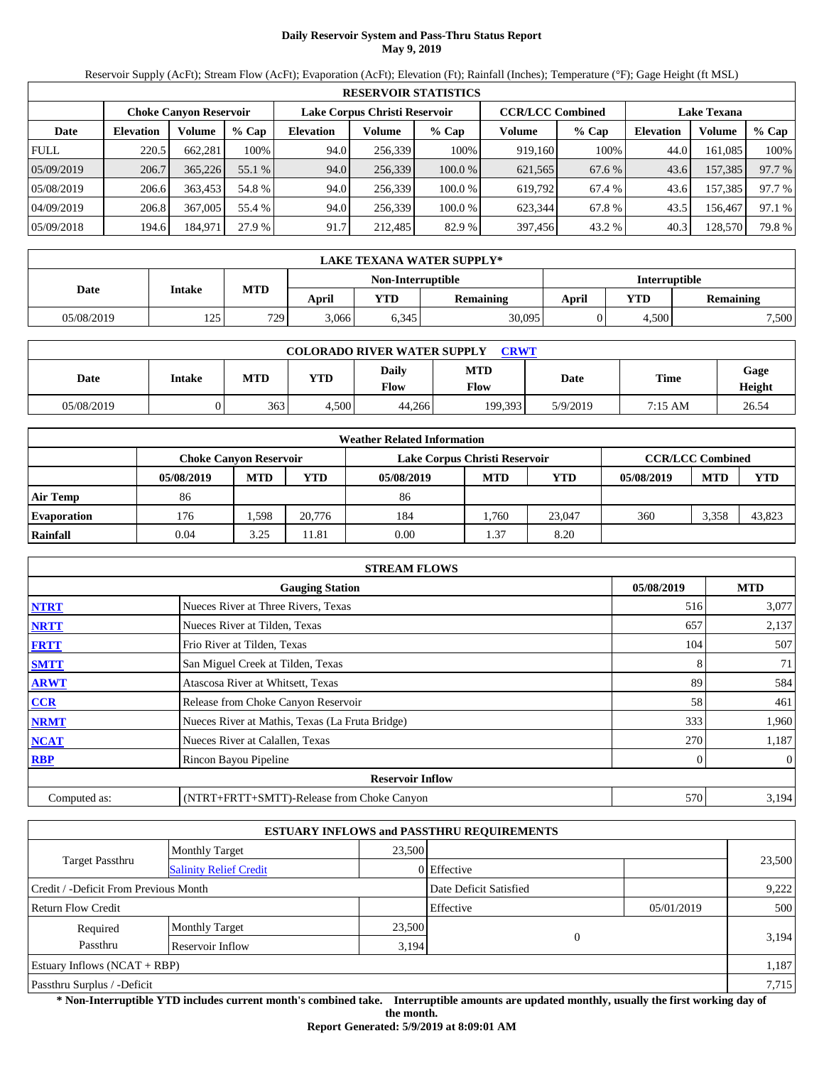# **Daily Reservoir System and Pass-Thru Status Report May 9, 2019**

Reservoir Supply (AcFt); Stream Flow (AcFt); Evaporation (AcFt); Elevation (Ft); Rainfall (Inches); Temperature (°F); Gage Height (ft MSL)

|             | <b>RESERVOIR STATISTICS</b> |                               |         |                               |         |         |                         |         |                    |         |        |  |  |
|-------------|-----------------------------|-------------------------------|---------|-------------------------------|---------|---------|-------------------------|---------|--------------------|---------|--------|--|--|
|             |                             | <b>Choke Canyon Reservoir</b> |         | Lake Corpus Christi Reservoir |         |         | <b>CCR/LCC Combined</b> |         | <b>Lake Texana</b> |         |        |  |  |
| Date        | <b>Elevation</b>            | Volume                        | $%$ Cap | <b>Elevation</b>              | Volume  | $%$ Cap | Volume                  | $%$ Cap | <b>Elevation</b>   | Volume  | % Cap  |  |  |
| <b>FULL</b> | 220.5                       | 662.281                       | 100%    | 94.0                          | 256,339 | 100%    | 919,160                 | 100%    | 44.0               | 161.085 | 100%   |  |  |
| 05/09/2019  | 206.7                       | 365,226                       | 55.1 %  | 94.0                          | 256,339 | 100.0%  | 621,565                 | 67.6 %  | 43.6               | 157,385 | 97.7 % |  |  |
| 05/08/2019  | 206.6                       | 363,453                       | 54.8 %  | 94.0                          | 256,339 | 100.0 % | 619.792                 | 67.4 %  | 43.6               | 157,385 | 97.7 % |  |  |
| 04/09/2019  | 206.8                       | 367,005                       | 55.4 %  | 94.0                          | 256,339 | 100.0%  | 623,344                 | 67.8%   | 43.5               | 156,467 | 97.1 % |  |  |
| 05/09/2018  | 194.6                       | 184,971                       | 27.9 %  | 91.7                          | 212.485 | 82.9 %  | 397,456                 | 43.2 %  | 40.3               | 128,570 | 79.8%  |  |  |

|            | LAKE TEXANA WATER SUPPLY* |            |       |                   |           |                      |       |                  |  |  |  |
|------------|---------------------------|------------|-------|-------------------|-----------|----------------------|-------|------------------|--|--|--|
|            | <b>Intake</b>             |            |       | Non-Interruptible |           | <b>Interruptible</b> |       |                  |  |  |  |
| Date       |                           | <b>MTD</b> | April | YTD               | Remaining | April                | VTD-  | <b>Remaining</b> |  |  |  |
| 05/08/2019 | 125                       | 729        | 3.066 | 6,345             | 30,095    |                      | +,500 | 7,500            |  |  |  |

| <b>COLORADO RIVER WATER SUPPLY</b><br><b>CRWT</b> |               |            |            |                      |                    |          |         |                |  |  |  |
|---------------------------------------------------|---------------|------------|------------|----------------------|--------------------|----------|---------|----------------|--|--|--|
| Date                                              | <b>Intake</b> | <b>MTD</b> | <b>YTD</b> | Daily<br><b>Flow</b> | <b>MTD</b><br>Flow | Date     | Time    | Gage<br>Height |  |  |  |
| 05/08/2019                                        |               | 363        | 4.500      | 44.266               | 199,393            | 5/9/2019 | 7:15 AM | 26.54          |  |  |  |

|                    | <b>Weather Related Information</b> |            |            |                               |                         |        |            |            |            |  |  |
|--------------------|------------------------------------|------------|------------|-------------------------------|-------------------------|--------|------------|------------|------------|--|--|
|                    | <b>Choke Canvon Reservoir</b>      |            |            | Lake Corpus Christi Reservoir | <b>CCR/LCC Combined</b> |        |            |            |            |  |  |
|                    | 05/08/2019                         | <b>MTD</b> | <b>YTD</b> | 05/08/2019                    | <b>MTD</b>              | YTD    | 05/08/2019 | <b>MTD</b> | <b>YTD</b> |  |  |
| <b>Air Temp</b>    | 86                                 |            |            | 86                            |                         |        |            |            |            |  |  |
| <b>Evaporation</b> | 176                                | .598       | 20,776     | 184                           | .760                    | 23,047 | 360        | 3,358      | 43,823     |  |  |
| Rainfall           | 0.04                               | 3.25       | 11.81      | 0.00                          | 1.37                    | 8.20   |            |            |            |  |  |

|              | <b>STREAM FLOWS</b>                             |            |            |
|--------------|-------------------------------------------------|------------|------------|
|              | <b>Gauging Station</b>                          | 05/08/2019 | <b>MTD</b> |
| <b>NTRT</b>  | Nueces River at Three Rivers, Texas             | 516        | 3,077      |
| <b>NRTT</b>  | Nueces River at Tilden, Texas                   | 657        | 2,137      |
| <b>FRTT</b>  | Frio River at Tilden, Texas                     | 104        | 507        |
| <b>SMTT</b>  | San Miguel Creek at Tilden, Texas               | 8          | 71         |
| <b>ARWT</b>  | Atascosa River at Whitsett, Texas               | 89         | 584        |
| <b>CCR</b>   | Release from Choke Canyon Reservoir             | 58         | 461        |
| <b>NRMT</b>  | Nueces River at Mathis, Texas (La Fruta Bridge) | 333        | 1,960      |
| <b>NCAT</b>  | Nueces River at Calallen, Texas                 | 270        | 1,187      |
| <b>RBP</b>   | Rincon Bayou Pipeline                           | 0          | $\theta$   |
|              | <b>Reservoir Inflow</b>                         |            |            |
| Computed as: | (NTRT+FRTT+SMTT)-Release from Choke Canyon      | 570        | 3,194      |

|                                       |                               |        | <b>ESTUARY INFLOWS and PASSTHRU REQUIREMENTS</b> |            |        |
|---------------------------------------|-------------------------------|--------|--------------------------------------------------|------------|--------|
|                                       | <b>Monthly Target</b>         | 23,500 |                                                  |            |        |
| Target Passthru                       | <b>Salinity Relief Credit</b> |        | 0 Effective                                      |            | 23,500 |
| Credit / -Deficit From Previous Month |                               |        | Date Deficit Satisfied                           |            | 9,222  |
| <b>Return Flow Credit</b>             |                               |        | Effective                                        | 05/01/2019 | 500    |
| Required                              | <b>Monthly Target</b>         | 23,500 |                                                  |            |        |
| Passthru                              | Reservoir Inflow              | 3,194  | $\Omega$                                         |            | 3,194  |
| Estuary Inflows $(NCAT + RBP)$        |                               |        |                                                  |            | 1,187  |
| Passthru Surplus / -Deficit           |                               |        |                                                  |            | 7,715  |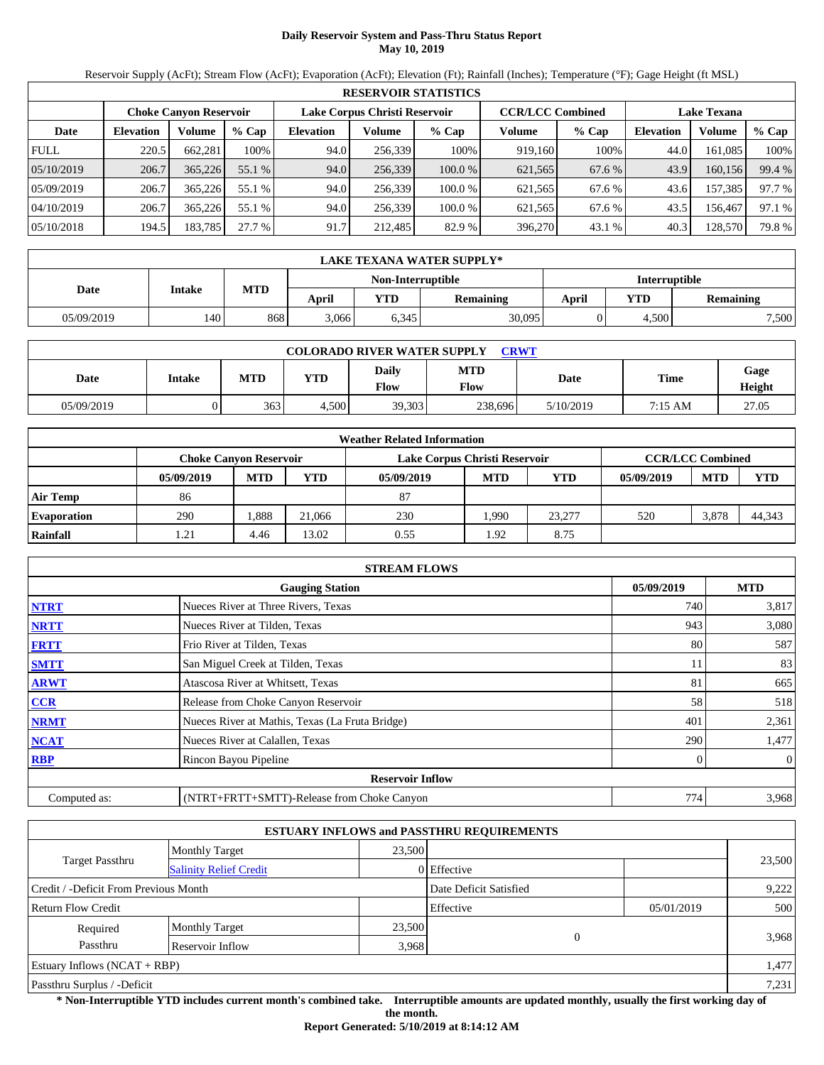# **Daily Reservoir System and Pass-Thru Status Report May 10, 2019**

Reservoir Supply (AcFt); Stream Flow (AcFt); Evaporation (AcFt); Elevation (Ft); Rainfall (Inches); Temperature (°F); Gage Height (ft MSL)

|             | <b>RESERVOIR STATISTICS</b> |                               |         |                               |         |         |                         |         |                    |         |        |  |  |
|-------------|-----------------------------|-------------------------------|---------|-------------------------------|---------|---------|-------------------------|---------|--------------------|---------|--------|--|--|
|             |                             | <b>Choke Canyon Reservoir</b> |         | Lake Corpus Christi Reservoir |         |         | <b>CCR/LCC Combined</b> |         | <b>Lake Texana</b> |         |        |  |  |
| Date        | <b>Elevation</b>            | Volume                        | $%$ Cap | <b>Elevation</b>              | Volume  | $%$ Cap | Volume                  | $%$ Cap | <b>Elevation</b>   | Volume  | % Cap  |  |  |
| <b>FULL</b> | 220.5                       | 662.281                       | 100%    | 94.0                          | 256,339 | 100%    | 919.160                 | 100%    | 44.0               | 161.085 | 100%   |  |  |
| 05/10/2019  | 206.7                       | 365,226                       | 55.1 %  | 94.0                          | 256,339 | 100.0%  | 621,565                 | 67.6 %  | 43.9               | 160.156 | 99.4 % |  |  |
| 05/09/2019  | 206.7                       | 365,226                       | 55.1 %  | 94.0                          | 256,339 | 100.0%  | 621,565                 | 67.6 %  | 43.6               | 157,385 | 97.7 % |  |  |
| 04/10/2019  | 206.7                       | 365,226                       | 55.1 %  | 94.0                          | 256.339 | 100.0 % | 621.565                 | 67.6 %  | 43.5               | 156.467 | 97.1 % |  |  |
| 05/10/2018  | 194.5                       | 183,785                       | 27.7 %  | 91.7                          | 212.485 | 82.9 %  | 396,270                 | 43.1 %  | 40.3               | 128,570 | 79.8%  |  |  |

|            | LAKE TEXANA WATER SUPPLY* |            |       |                   |           |                      |       |                  |  |  |  |
|------------|---------------------------|------------|-------|-------------------|-----------|----------------------|-------|------------------|--|--|--|
|            | <b>Intake</b>             |            |       | Non-Interruptible |           | <b>Interruptible</b> |       |                  |  |  |  |
| Date       |                           | <b>MTD</b> | April | YTD               | Remaining | April                | VTD-  | <b>Remaining</b> |  |  |  |
| 05/09/2019 | $40^{\circ}$              | 868        | 3,066 | 6,345             | 30,095    |                      | +,500 | 7,500            |  |  |  |

| <b>COLORADO RIVER WATER SUPPLY</b><br>CRWT |        |            |            |               |                    |           |             |                |  |  |  |
|--------------------------------------------|--------|------------|------------|---------------|--------------------|-----------|-------------|----------------|--|--|--|
| Date                                       | Intake | <b>MTD</b> | <b>YTD</b> | Daily<br>Flow | <b>MTD</b><br>Flow | Date      | <b>Time</b> | Gage<br>Height |  |  |  |
| 05/09/2019                                 |        | 363        | 4.500      | 39,303        | 238.696            | 5/10/2019 | 7:15 AM     | 27.05          |  |  |  |

|                    | <b>Weather Related Information</b> |                                                                                           |        |            |            |            |            |            |        |  |  |
|--------------------|------------------------------------|-------------------------------------------------------------------------------------------|--------|------------|------------|------------|------------|------------|--------|--|--|
|                    |                                    | <b>CCR/LCC Combined</b><br>Lake Corpus Christi Reservoir<br><b>Choke Canyon Reservoir</b> |        |            |            |            |            |            |        |  |  |
|                    | 05/09/2019                         | <b>MTD</b>                                                                                | YTD    | 05/09/2019 | <b>MTD</b> | <b>YTD</b> | 05/09/2019 | <b>MTD</b> | YTD    |  |  |
| Air Temp           | 86                                 |                                                                                           |        | 87         |            |            |            |            |        |  |  |
| <b>Evaporation</b> | 290                                | .888                                                                                      | 21,066 | 230        | .990       | 23,277     | 520        | 3.878      | 44,343 |  |  |
| Rainfall           | 1.21                               | 4.46                                                                                      | 13.02  | 0.55       | 1.92       | 8.75       |            |            |        |  |  |

|              | <b>STREAM FLOWS</b>                             |            |                |
|--------------|-------------------------------------------------|------------|----------------|
|              | <b>Gauging Station</b>                          | 05/09/2019 | <b>MTD</b>     |
| <b>NTRT</b>  | Nueces River at Three Rivers, Texas             | 740        | 3,817          |
| <b>NRTT</b>  | Nueces River at Tilden, Texas                   | 943        | 3,080          |
| <b>FRTT</b>  | Frio River at Tilden, Texas                     | 80         | 587            |
| <b>SMTT</b>  | San Miguel Creek at Tilden, Texas               | 11         | 83             |
| <b>ARWT</b>  | Atascosa River at Whitsett, Texas               | 81         | 665            |
| <b>CCR</b>   | Release from Choke Canyon Reservoir             | 58         | 518            |
| <b>NRMT</b>  | Nueces River at Mathis, Texas (La Fruta Bridge) | 401        | 2,361          |
| <b>NCAT</b>  | Nueces River at Calallen, Texas                 | 290        | 1,477          |
| <b>RBP</b>   | Rincon Bayou Pipeline                           |            | $\overline{0}$ |
|              | <b>Reservoir Inflow</b>                         |            |                |
| Computed as: | (NTRT+FRTT+SMTT)-Release from Choke Canyon      | 774        | 3,968          |

|                                       |                               |        | <b>ESTUARY INFLOWS and PASSTHRU REQUIREMENTS</b> |            |        |  |
|---------------------------------------|-------------------------------|--------|--------------------------------------------------|------------|--------|--|
|                                       | <b>Monthly Target</b>         | 23,500 |                                                  |            |        |  |
| Target Passthru                       | <b>Salinity Relief Credit</b> |        | 0 Effective                                      |            | 23,500 |  |
| Credit / -Deficit From Previous Month |                               |        | Date Deficit Satisfied                           |            | 9,222  |  |
| <b>Return Flow Credit</b>             |                               |        | Effective                                        | 05/01/2019 | 500    |  |
| Required                              | <b>Monthly Target</b>         | 23,500 |                                                  |            |        |  |
| Passthru<br>Reservoir Inflow<br>3,968 |                               |        |                                                  | $\Omega$   | 3,968  |  |
| Estuary Inflows $(NCAT + RBP)$        |                               |        |                                                  |            | 1,477  |  |
| Passthru Surplus / -Deficit           |                               |        |                                                  |            | 7,231  |  |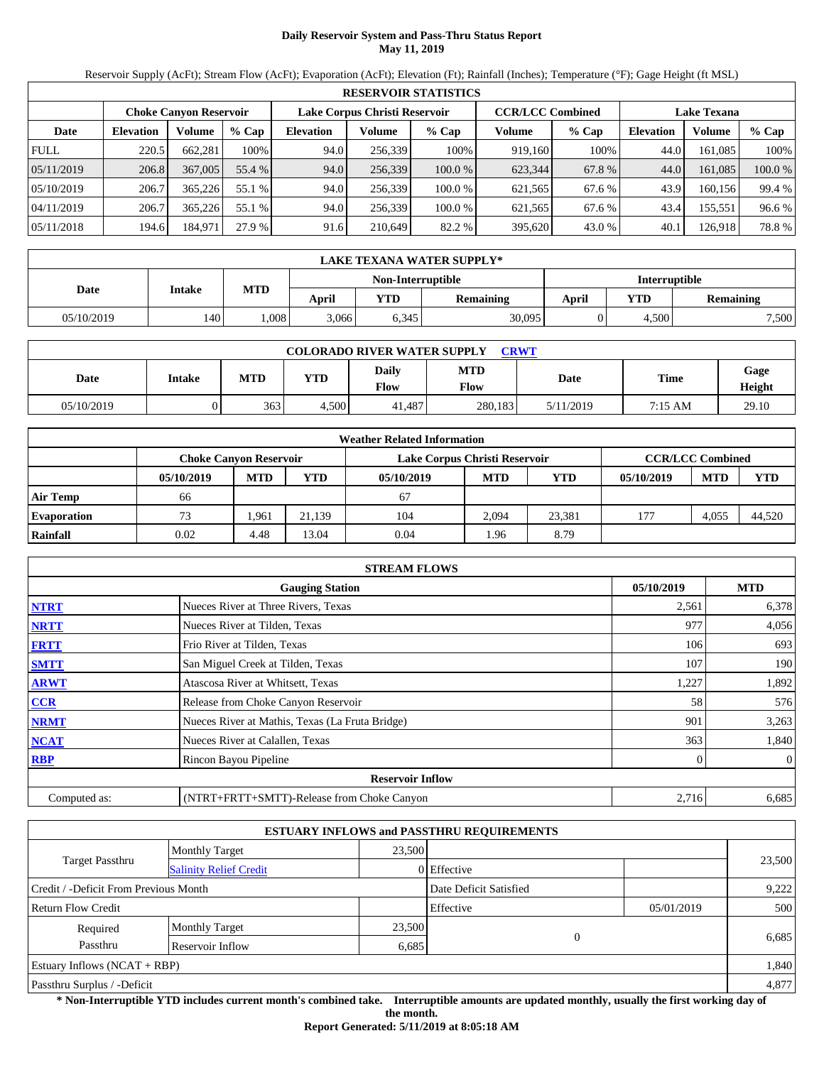# **Daily Reservoir System and Pass-Thru Status Report May 11, 2019**

Reservoir Supply (AcFt); Stream Flow (AcFt); Evaporation (AcFt); Elevation (Ft); Rainfall (Inches); Temperature (°F); Gage Height (ft MSL)

|             | <b>RESERVOIR STATISTICS</b> |                               |         |                               |         |         |                         |         |                    |         |         |  |
|-------------|-----------------------------|-------------------------------|---------|-------------------------------|---------|---------|-------------------------|---------|--------------------|---------|---------|--|
|             |                             | <b>Choke Canvon Reservoir</b> |         | Lake Corpus Christi Reservoir |         |         | <b>CCR/LCC Combined</b> |         | <b>Lake Texana</b> |         |         |  |
| Date        | <b>Elevation</b>            | Volume                        | $%$ Cap | <b>Elevation</b>              | Volume  | $%$ Cap | Volume                  | $%$ Cap | <b>Elevation</b>   | Volume  | $%$ Cap |  |
| <b>FULL</b> | 220.5                       | 662.281                       | 100%    | 94.0                          | 256.339 | 100%    | 919.160                 | 100%    | 44.0               | 161.085 | 100%    |  |
| 05/11/2019  | 206.8                       | 367,005                       | 55.4 %  | 94.0                          | 256,339 | 100.0%  | 623,344                 | 67.8 %  | 44.0               | 161.085 | 100.0 % |  |
| 05/10/2019  | 206.7                       | 365,226                       | 55.1 %  | 94.0                          | 256,339 | 100.0 % | 621,565                 | 67.6 %  | 43.9               | 160.156 | 99.4 %  |  |
| 04/11/2019  | 206.7                       | 365,226                       | 55.1 %  | 94.0                          | 256.339 | 100.0 % | 621,565                 | 67.6 %  | 43.4               | 155,551 | 96.6 %  |  |
| 05/11/2018  | 194.6                       | 184,971                       | 27.9 %  | 91.6                          | 210.649 | 82.2 %  | 395,620                 | 43.0 %  | 40.1               | 126,918 | 78.8%   |  |

|            | LAKE TEXANA WATER SUPPLY* |            |       |                   |                  |               |       |                  |  |  |  |
|------------|---------------------------|------------|-------|-------------------|------------------|---------------|-------|------------------|--|--|--|
|            | Intake                    |            |       | Non-Interruptible |                  | Interruptible |       |                  |  |  |  |
| Date       |                           | <b>MTD</b> | April | <b>YTD</b>        | <b>Remaining</b> | April         | YTD   | <b>Remaining</b> |  |  |  |
| 05/10/2019 | 140                       | ,008       | 3,066 | 6,345             | 30,095           |               | 4.500 | 7,500            |  |  |  |

| <b>COLORADO RIVER WATER SUPPLY</b><br><b>CRWT</b> |        |     |            |                      |                    |           |         |                |  |  |  |
|---------------------------------------------------|--------|-----|------------|----------------------|--------------------|-----------|---------|----------------|--|--|--|
| Date                                              | Intake | MTD | <b>YTD</b> | Daily<br><b>Flow</b> | <b>MTD</b><br>Flow | Date      | Time    | Gage<br>Height |  |  |  |
| 05/10/2019                                        |        | 363 | 4.500      | 41.487               | 280.183            | 5/11/2019 | 7:15 AM | 29.10          |  |  |  |

|                    |                               |            |            | <b>Weather Related Information</b> |                         |        |            |            |            |
|--------------------|-------------------------------|------------|------------|------------------------------------|-------------------------|--------|------------|------------|------------|
|                    | <b>Choke Canvon Reservoir</b> |            |            | Lake Corpus Christi Reservoir      | <b>CCR/LCC Combined</b> |        |            |            |            |
|                    | 05/10/2019                    | <b>MTD</b> | <b>YTD</b> | 05/10/2019                         | <b>MTD</b>              | YTD    | 05/10/2019 | <b>MTD</b> | <b>YTD</b> |
| <b>Air Temp</b>    | 66                            |            |            | 67                                 |                         |        |            |            |            |
| <b>Evaporation</b> | 73                            | 1.961      | 21.139     | 104                                | 2.094                   | 23.381 | 177        | 4.055      | 44.520     |
| Rainfall           | 0.02                          | 4.48       | 13.04      | 0.04                               | .96                     | 8.79   |            |            |            |

|              | <b>STREAM FLOWS</b>                             |            |                |
|--------------|-------------------------------------------------|------------|----------------|
|              | <b>Gauging Station</b>                          | 05/10/2019 | <b>MTD</b>     |
| <b>NTRT</b>  | Nueces River at Three Rivers, Texas             | 2,561      | 6,378          |
| <b>NRTT</b>  | Nueces River at Tilden, Texas                   | 977        | 4,056          |
| <b>FRTT</b>  | Frio River at Tilden, Texas                     | 106        | 693            |
| <b>SMTT</b>  | San Miguel Creek at Tilden, Texas               | 107        | 190            |
| <b>ARWT</b>  | Atascosa River at Whitsett, Texas               | 1,227      | 1,892          |
| <b>CCR</b>   | Release from Choke Canyon Reservoir             | 58         | 576            |
| <b>NRMT</b>  | Nueces River at Mathis, Texas (La Fruta Bridge) | 901        | 3,263          |
| <b>NCAT</b>  | Nueces River at Calallen, Texas                 | 363        | 1,840          |
| <b>RBP</b>   | Rincon Bayou Pipeline                           |            | $\overline{0}$ |
|              | <b>Reservoir Inflow</b>                         |            |                |
| Computed as: | (NTRT+FRTT+SMTT)-Release from Choke Canyon      | 2,716      | 6,685          |

|                                       |                               |        | <b>ESTUARY INFLOWS and PASSTHRU REQUIREMENTS</b> |            |        |
|---------------------------------------|-------------------------------|--------|--------------------------------------------------|------------|--------|
|                                       | <b>Monthly Target</b>         | 23,500 |                                                  |            |        |
| Target Passthru                       | <b>Salinity Relief Credit</b> |        | 0 Effective                                      |            | 23,500 |
| Credit / -Deficit From Previous Month |                               |        | Date Deficit Satisfied                           |            | 9,222  |
| <b>Return Flow Credit</b>             |                               |        | Effective                                        | 05/01/2019 | 500    |
| Required                              | <b>Monthly Target</b>         | 23,500 |                                                  |            |        |
| Passthru<br>Reservoir Inflow          |                               |        | 6,685                                            | $\theta$   | 6,685  |
| Estuary Inflows $(NCAT + RBP)$        |                               |        |                                                  |            | 1,840  |
| Passthru Surplus / -Deficit           |                               |        |                                                  |            | 4,877  |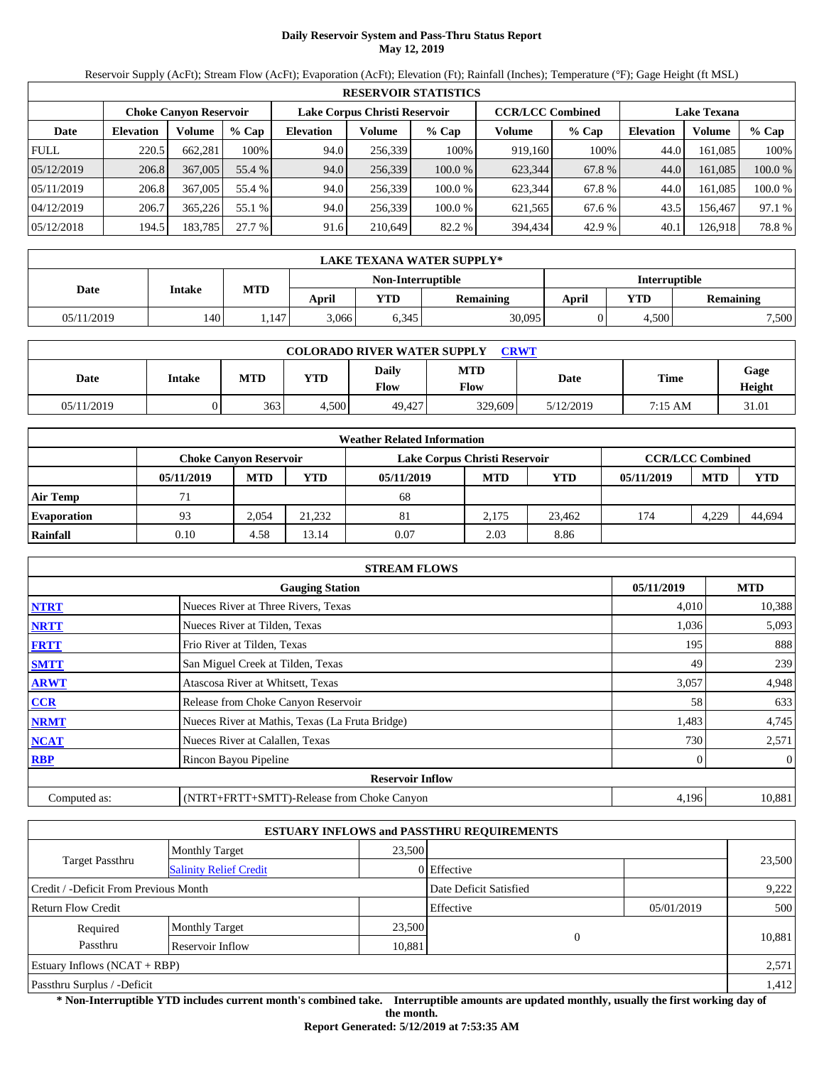# **Daily Reservoir System and Pass-Thru Status Report May 12, 2019**

Reservoir Supply (AcFt); Stream Flow (AcFt); Evaporation (AcFt); Elevation (Ft); Rainfall (Inches); Temperature (°F); Gage Height (ft MSL)

|             |                               |         |         |                  |                               | <b>RESERVOIR STATISTICS</b> |                         |         |                    |         |         |
|-------------|-------------------------------|---------|---------|------------------|-------------------------------|-----------------------------|-------------------------|---------|--------------------|---------|---------|
|             | <b>Choke Canvon Reservoir</b> |         |         |                  | Lake Corpus Christi Reservoir |                             | <b>CCR/LCC Combined</b> |         | <b>Lake Texana</b> |         |         |
| Date        | <b>Elevation</b>              | Volume  | $%$ Cap | <b>Elevation</b> | Volume                        | $%$ Cap                     | Volume                  | $%$ Cap | <b>Elevation</b>   | Volume  | % Cap   |
| <b>FULL</b> | 220.5                         | 662,281 | 100%    | 94.0             | 256,339                       | 100%                        | 919.160                 | 100%    | 44.0               | 161,085 | 100%    |
| 05/12/2019  | 206.8                         | 367,005 | 55.4 %  | 94.0             | 256,339                       | 100.0%                      | 623.344                 | 67.8 %  | 44.0               | 161.085 | 100.0 % |
| 05/11/2019  | 206.8                         | 367,005 | 55.4 %  | 94.0             | 256,339                       | 100.0%                      | 623,344                 | 67.8%   | 44.0               | 161.085 | 100.0%  |
| 04/12/2019  | 206.7                         | 365,226 | 55.1 %  | 94.0             | 256,339                       | 100.0 %                     | 621,565                 | 67.6 %  | 43.5               | 156,467 | 97.1 %  |
| 05/12/2018  | 194.5                         | 183,785 | 27.7 %  | 91.6             | 210.649                       | 82.2 %                      | 394,434                 | 42.9 %  | 40.1               | 126,918 | 78.8%   |

|            | LAKE TEXANA WATER SUPPLY* |            |       |                   |                  |               |       |                  |  |  |  |
|------------|---------------------------|------------|-------|-------------------|------------------|---------------|-------|------------------|--|--|--|
|            | Intake                    |            |       | Non-Interruptible |                  | Interruptible |       |                  |  |  |  |
| Date       |                           | <b>MTD</b> | April | YTD               | <b>Remaining</b> | April         | YTD   | <b>Remaining</b> |  |  |  |
| 05/11/2019 | 140                       | ,147       | 3,066 | 6,345             | 30,095           |               | 4.500 | 7,500            |  |  |  |

| <b>COLORADO RIVER WATER SUPPLY</b><br><b>CRWT</b> |        |            |       |               |                    |           |             |                |  |  |  |
|---------------------------------------------------|--------|------------|-------|---------------|--------------------|-----------|-------------|----------------|--|--|--|
| Date                                              | Intake | <b>MTD</b> | YTD   | Daily<br>Flow | <b>MTD</b><br>Flow | Date      | <b>Time</b> | Gage<br>Height |  |  |  |
| 05/11/2019                                        |        | 363        | 4.500 | 49.427        | 329,609            | 5/12/2019 | 7:15 AM     | 31.01          |  |  |  |

|                    |                               |            |            | <b>Weather Related Information</b> |            |        |            |                         |            |
|--------------------|-------------------------------|------------|------------|------------------------------------|------------|--------|------------|-------------------------|------------|
|                    | <b>Choke Canvon Reservoir</b> |            |            | Lake Corpus Christi Reservoir      |            |        |            | <b>CCR/LCC Combined</b> |            |
|                    | 05/11/2019                    | <b>MTD</b> | <b>YTD</b> | 05/11/2019                         | <b>MTD</b> | YTD    | 05/11/2019 | <b>MTD</b>              | <b>YTD</b> |
| <b>Air Temp</b>    | 71                            |            |            | 68                                 |            |        |            |                         |            |
| <b>Evaporation</b> | 93                            | 2.054      | 21.232     | 81                                 | 2.175      | 23.462 | 174        | 4.229                   | 44,694     |
| Rainfall           | 0.10                          | 4.58       | 13.14      | 0.07                               | 2.03       | 8.86   |            |                         |            |

|              | <b>STREAM FLOWS</b>                             |            |                |
|--------------|-------------------------------------------------|------------|----------------|
|              | <b>Gauging Station</b>                          | 05/11/2019 | <b>MTD</b>     |
| <b>NTRT</b>  | Nueces River at Three Rivers, Texas             | 4,010      | 10,388         |
| <b>NRTT</b>  | Nueces River at Tilden, Texas                   | 1,036      | 5,093          |
| <b>FRTT</b>  | Frio River at Tilden, Texas                     | 195        | 888            |
| <b>SMTT</b>  | San Miguel Creek at Tilden, Texas               | 49         | 239            |
| <b>ARWT</b>  | Atascosa River at Whitsett, Texas               | 3,057      | 4,948          |
| <b>CCR</b>   | Release from Choke Canyon Reservoir             | 58         | 633            |
| <b>NRMT</b>  | Nueces River at Mathis, Texas (La Fruta Bridge) | 1,483      | 4,745          |
| <b>NCAT</b>  | Nueces River at Calallen, Texas                 | 730        | 2,571          |
| <b>RBP</b>   | Rincon Bayou Pipeline                           |            | $\overline{0}$ |
|              | <b>Reservoir Inflow</b>                         |            |                |
| Computed as: | (NTRT+FRTT+SMTT)-Release from Choke Canyon      | 4,196      | 10,881         |

|                                       |                               |                        | <b>ESTUARY INFLOWS and PASSTHRU REQUIREMENTS</b> |            |        |
|---------------------------------------|-------------------------------|------------------------|--------------------------------------------------|------------|--------|
|                                       | <b>Monthly Target</b>         | 23,500                 |                                                  |            |        |
| Target Passthru                       | <b>Salinity Relief Credit</b> |                        | 0 Effective                                      |            | 23,500 |
| Credit / -Deficit From Previous Month |                               | Date Deficit Satisfied |                                                  | 9,222      |        |
| <b>Return Flow Credit</b>             |                               |                        | Effective                                        | 05/01/2019 | 500    |
| Required                              | <b>Monthly Target</b>         | 23,500                 |                                                  |            |        |
| Passthru                              | Reservoir Inflow              | 10,881                 | $\Omega$                                         |            | 10,881 |
| Estuary Inflows $(NCAT + RBP)$        |                               |                        |                                                  |            | 2,571  |
| Passthru Surplus / -Deficit           |                               |                        |                                                  |            | 1,412  |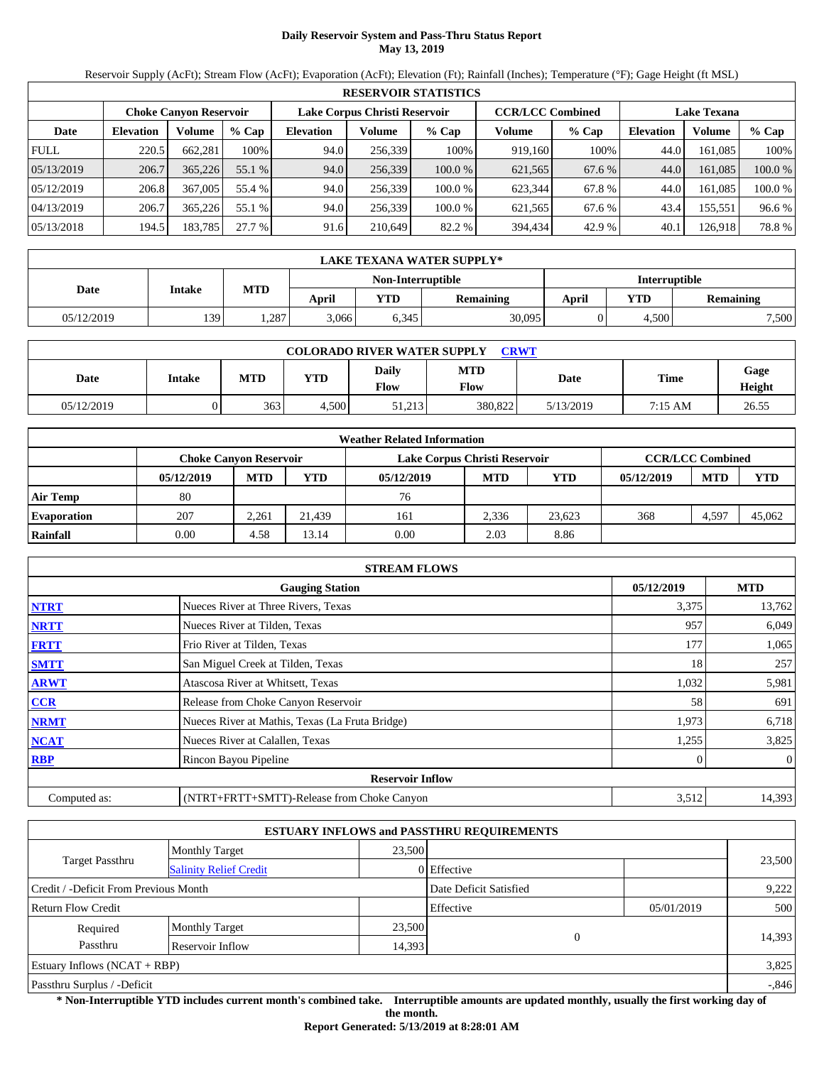# **Daily Reservoir System and Pass-Thru Status Report May 13, 2019**

Reservoir Supply (AcFt); Stream Flow (AcFt); Evaporation (AcFt); Elevation (Ft); Rainfall (Inches); Temperature (°F); Gage Height (ft MSL)

|             | <b>RESERVOIR STATISTICS</b> |                               |         |                  |                               |         |                         |         |                    |         |         |  |  |
|-------------|-----------------------------|-------------------------------|---------|------------------|-------------------------------|---------|-------------------------|---------|--------------------|---------|---------|--|--|
|             |                             | <b>Choke Canvon Reservoir</b> |         |                  | Lake Corpus Christi Reservoir |         | <b>CCR/LCC Combined</b> |         | <b>Lake Texana</b> |         |         |  |  |
| Date        | <b>Elevation</b>            | Volume                        | $%$ Cap | <b>Elevation</b> | Volume                        | $%$ Cap | Volume                  | $%$ Cap | <b>Elevation</b>   | Volume  | $%$ Cap |  |  |
| <b>FULL</b> | 220.5                       | 662.281                       | 100%    | 94.0             | 256.339                       | 100%    | 919.160                 | 100%    | 44.0               | 161.085 | 100%    |  |  |
| 05/13/2019  | 206.7                       | 365,226                       | 55.1 %  | 94.0             | 256,339                       | 100.0%  | 621,565                 | 67.6 %  | 44.0               | 161.085 | 100.0 % |  |  |
| 05/12/2019  | 206.8                       | 367,005                       | 55.4 %  | 94.0             | 256,339                       | 100.0 % | 623.344                 | 67.8 %  | 44.0               | 161.085 | 100.0 % |  |  |
| 04/13/2019  | 206.7                       | 365.226                       | 55.1 %  | 94.0             | 256.339                       | 100.0 % | 621,565                 | 67.6 %  | 43.4               | 155,551 | 96.6 %  |  |  |
| 05/13/2018  | 194.5                       | 183,785                       | 27.7 %  | 91.6             | 210.649                       | 82.2 %  | 394,434                 | 42.9 %  | 40.1               | 126,918 | 78.8%   |  |  |

|            | LAKE TEXANA WATER SUPPLY* |            |       |                   |                  |               |            |           |  |  |  |
|------------|---------------------------|------------|-------|-------------------|------------------|---------------|------------|-----------|--|--|--|
|            | Intake                    |            |       | Non-Interruptible |                  | Interruptible |            |           |  |  |  |
| Date       |                           | <b>MTD</b> | April | YTD               | <b>Remaining</b> | April         | <b>YTD</b> | Remaining |  |  |  |
| 05/12/2019 | 139                       | .287       | 3,066 | 6,345             | 30,095           |               | 4.500      | 7,500     |  |  |  |

| <b>COLORADO RIVER WATER SUPPLY</b><br><b>CRWT</b> |        |            |            |               |                    |           |         |                |  |  |  |
|---------------------------------------------------|--------|------------|------------|---------------|--------------------|-----------|---------|----------------|--|--|--|
| Date                                              | Intake | <b>MTD</b> | <b>YTD</b> | Daily<br>Flow | <b>MTD</b><br>Flow | Date      | Time    | Gage<br>Height |  |  |  |
| 05/12/2019                                        |        | 363        | 4.500      | 51.213        | 380,822            | 5/13/2019 | 7:15 AM | 26.55          |  |  |  |

|                    | <b>Weather Related Information</b> |            |            |                               |            |        |            |                         |            |  |  |
|--------------------|------------------------------------|------------|------------|-------------------------------|------------|--------|------------|-------------------------|------------|--|--|
|                    | <b>Choke Canvon Reservoir</b>      |            |            | Lake Corpus Christi Reservoir |            |        |            | <b>CCR/LCC Combined</b> |            |  |  |
|                    | 05/12/2019                         | <b>MTD</b> | <b>YTD</b> | 05/12/2019                    | <b>MTD</b> | YTD    | 05/12/2019 | <b>MTD</b>              | <b>YTD</b> |  |  |
| <b>Air Temp</b>    | 80                                 |            |            | 76                            |            |        |            |                         |            |  |  |
| <b>Evaporation</b> | 207                                | 2.261      | 21.439     | 161                           | 2.336      | 23.623 | 368        | 4.597                   | 45,062     |  |  |
| Rainfall           | 0.00                               | 4.58       | 13.14      | 0.00                          | 2.03       | 8.86   |            |                         |            |  |  |

|              | <b>STREAM FLOWS</b>                             |            |                |
|--------------|-------------------------------------------------|------------|----------------|
|              | <b>Gauging Station</b>                          | 05/12/2019 | <b>MTD</b>     |
| <b>NTRT</b>  | Nueces River at Three Rivers, Texas             | 3,375      | 13,762         |
| <b>NRTT</b>  | Nueces River at Tilden, Texas                   | 957        | 6,049          |
| <b>FRTT</b>  | Frio River at Tilden, Texas                     | 177        | 1,065          |
| <b>SMTT</b>  | San Miguel Creek at Tilden, Texas               | 18         | 257            |
| <b>ARWT</b>  | Atascosa River at Whitsett, Texas               | 1,032      | 5,981          |
| <b>CCR</b>   | Release from Choke Canyon Reservoir             | 58         | 691            |
| <b>NRMT</b>  | Nueces River at Mathis, Texas (La Fruta Bridge) | 1,973      | 6,718          |
| <b>NCAT</b>  | Nueces River at Calallen, Texas                 | 1,255      | 3,825          |
| <b>RBP</b>   | Rincon Bayou Pipeline                           |            | $\overline{0}$ |
|              | <b>Reservoir Inflow</b>                         |            |                |
| Computed as: | (NTRT+FRTT+SMTT)-Release from Choke Canyon      | 3,512      | 14,393         |

|                                       |                               |                        | <b>ESTUARY INFLOWS and PASSTHRU REQUIREMENTS</b> |            |          |  |
|---------------------------------------|-------------------------------|------------------------|--------------------------------------------------|------------|----------|--|
|                                       | <b>Monthly Target</b>         | 23,500                 |                                                  |            |          |  |
| Target Passthru                       | <b>Salinity Relief Credit</b> |                        | 0 Effective                                      |            | 23,500   |  |
| Credit / -Deficit From Previous Month |                               | Date Deficit Satisfied |                                                  | 9,222      |          |  |
| <b>Return Flow Credit</b>             |                               |                        | Effective                                        | 05/01/2019 | 500      |  |
| Required                              | <b>Monthly Target</b>         | 23,500                 | $\theta$                                         |            |          |  |
| Passthru                              | 14,393<br>Reservoir Inflow    |                        |                                                  |            | 14,393   |  |
| Estuary Inflows $(NCAT + RBP)$        |                               |                        |                                                  |            | 3,825    |  |
| Passthru Surplus / -Deficit           |                               |                        |                                                  |            | $-0.846$ |  |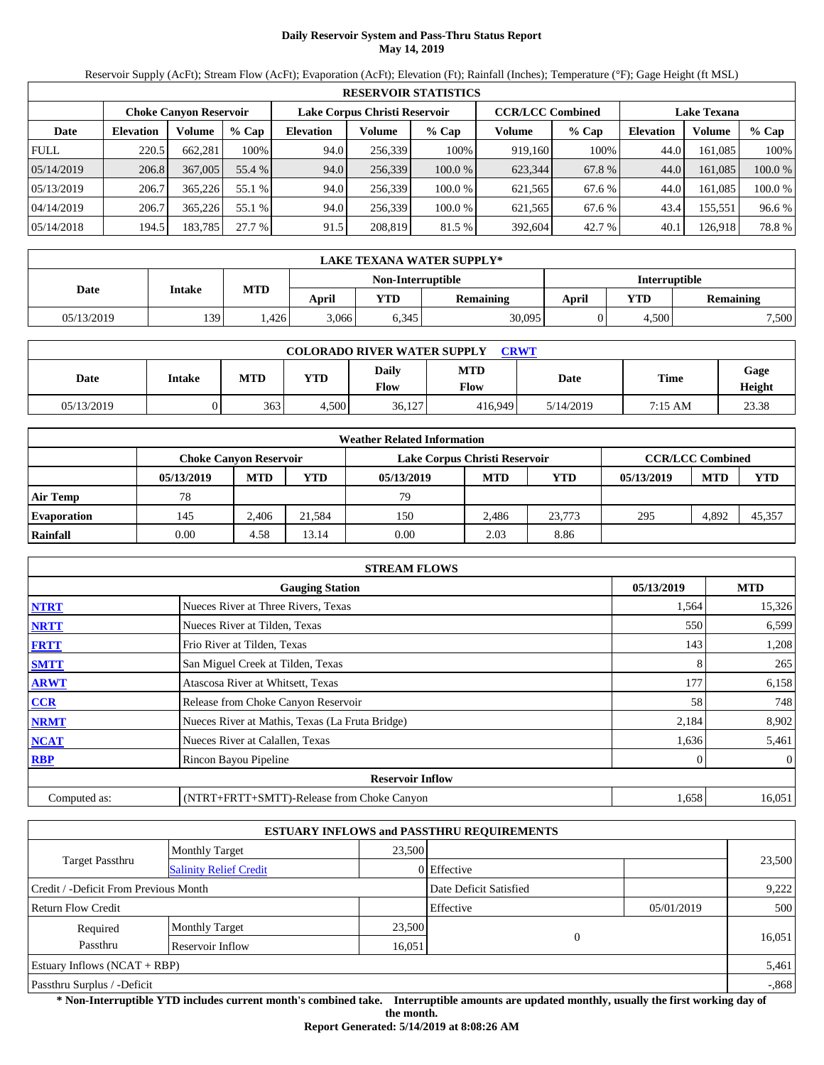# **Daily Reservoir System and Pass-Thru Status Report May 14, 2019**

Reservoir Supply (AcFt); Stream Flow (AcFt); Evaporation (AcFt); Elevation (Ft); Rainfall (Inches); Temperature (°F); Gage Height (ft MSL)

|             | <b>RESERVOIR STATISTICS</b> |                               |         |                  |                               |         |                         |         |                    |         |         |  |
|-------------|-----------------------------|-------------------------------|---------|------------------|-------------------------------|---------|-------------------------|---------|--------------------|---------|---------|--|
|             |                             | <b>Choke Canvon Reservoir</b> |         |                  | Lake Corpus Christi Reservoir |         | <b>CCR/LCC Combined</b> |         | <b>Lake Texana</b> |         |         |  |
| Date        | <b>Elevation</b>            | Volume                        | $%$ Cap | <b>Elevation</b> | Volume                        | $%$ Cap | Volume                  | $%$ Cap | <b>Elevation</b>   | Volume  | % Cap   |  |
| <b>FULL</b> | 220.5                       | 662.281                       | 100%    | 94.0             | 256,339                       | 100%    | 919.160                 | 100%    | 44.0               | 161.085 | 100%    |  |
| 05/14/2019  | 206.8                       | 367,005                       | 55.4 %  | 94.0             | 256,339                       | 100.0 % | 623,344                 | 67.8 %  | 44.0               | 161.085 | 100.0 % |  |
| 05/13/2019  | 206.7                       | 365,226                       | 55.1 %  | 94.0             | 256,339                       | 100.0 % | 621.565                 | 67.6 %  | 44.0               | 161.085 | 100.0 % |  |
| 04/14/2019  | 206.7                       | 365.226                       | 55.1 %  | 94.0             | 256,339                       | 100.0 % | 621,565                 | 67.6 %  | 43.4               | 155,551 | 96.6 %  |  |
| 05/14/2018  | 194.5                       | 183,785                       | 27.7 %  | 91.5             | 208,819                       | 81.5 %  | 392,604                 | 42.7 %  | 40.1               | 126,918 | 78.8%   |  |

|            | LAKE TEXANA WATER SUPPLY* |            |       |                   |                  |                      |       |                  |  |  |  |
|------------|---------------------------|------------|-------|-------------------|------------------|----------------------|-------|------------------|--|--|--|
|            | <b>Intake</b>             | <b>MTD</b> |       | Non-Interruptible |                  | <b>Interruptible</b> |       |                  |  |  |  |
| Date       |                           |            | April | <b>YTD</b>        | <b>Remaining</b> | April                | YTD   | <b>Remaining</b> |  |  |  |
| 05/13/2019 | 139                       | ,426       | 3,066 | 6,345             | 30,095           |                      | 4,500 | 7,500            |  |  |  |

| <b>COLORADO RIVER WATER SUPPLY</b><br><b>CRWT</b> |        |            |            |               |                           |           |         |                |  |  |  |
|---------------------------------------------------|--------|------------|------------|---------------|---------------------------|-----------|---------|----------------|--|--|--|
| Date                                              | Intake | <b>MTD</b> | <b>YTD</b> | Daily<br>Flow | <b>MTD</b><br><b>Flow</b> | Date      | Time    | Gage<br>Height |  |  |  |
| 05/13/2019                                        |        | 363        | 4.500      | 36,127        | 416.949                   | 5/14/2019 | 7:15 AM | 23.38          |  |  |  |

|                    | <b>Weather Related Information</b> |            |            |                               |            |        |            |                         |            |  |  |
|--------------------|------------------------------------|------------|------------|-------------------------------|------------|--------|------------|-------------------------|------------|--|--|
|                    | <b>Choke Canyon Reservoir</b>      |            |            | Lake Corpus Christi Reservoir |            |        |            | <b>CCR/LCC Combined</b> |            |  |  |
|                    | 05/13/2019                         | <b>MTD</b> | <b>YTD</b> | 05/13/2019                    | <b>MTD</b> | YTD    | 05/13/2019 | <b>MTD</b>              | <b>YTD</b> |  |  |
| <b>Air Temp</b>    | 78                                 |            |            | 79                            |            |        |            |                         |            |  |  |
| <b>Evaporation</b> | 145                                | 2.406      | 21,584     | 150                           | 2.486      | 23,773 | 295        | 4.892                   | 45,357     |  |  |
| Rainfall           | 0.00                               | 4.58       | 13.14      | 0.00                          | 2.03       | 8.86   |            |                         |            |  |  |

|              | <b>STREAM FLOWS</b>                             |       |                |  |  |  |  |  |
|--------------|-------------------------------------------------|-------|----------------|--|--|--|--|--|
|              | <b>Gauging Station</b>                          |       |                |  |  |  |  |  |
| <b>NTRT</b>  | Nueces River at Three Rivers, Texas             | 1,564 | 15,326         |  |  |  |  |  |
| <b>NRTT</b>  | Nueces River at Tilden, Texas                   | 550   | 6,599          |  |  |  |  |  |
| <b>FRTT</b>  | Frio River at Tilden, Texas                     | 143   | 1,208          |  |  |  |  |  |
| <b>SMTT</b>  | San Miguel Creek at Tilden, Texas               | 8     | 265            |  |  |  |  |  |
| <b>ARWT</b>  | Atascosa River at Whitsett, Texas               | 177   | 6,158          |  |  |  |  |  |
| <b>CCR</b>   | Release from Choke Canyon Reservoir             | 58    | 748            |  |  |  |  |  |
| <b>NRMT</b>  | Nueces River at Mathis, Texas (La Fruta Bridge) | 2,184 | 8,902          |  |  |  |  |  |
| <b>NCAT</b>  | Nueces River at Calallen, Texas                 | 1,636 | 5,461          |  |  |  |  |  |
| <b>RBP</b>   | Rincon Bayou Pipeline                           |       | $\overline{0}$ |  |  |  |  |  |
|              | <b>Reservoir Inflow</b>                         |       |                |  |  |  |  |  |
| Computed as: | (NTRT+FRTT+SMTT)-Release from Choke Canyon      | 1,658 | 16,051         |  |  |  |  |  |

|                                       |                               |        | <b>ESTUARY INFLOWS and PASSTHRU REQUIREMENTS</b> |            |          |
|---------------------------------------|-------------------------------|--------|--------------------------------------------------|------------|----------|
|                                       | <b>Monthly Target</b>         | 23,500 |                                                  |            |          |
| Target Passthru                       | <b>Salinity Relief Credit</b> |        | 0 Effective                                      |            | 23,500   |
| Credit / -Deficit From Previous Month |                               |        | Date Deficit Satisfied                           |            | 9,222    |
| <b>Return Flow Credit</b>             |                               |        | Effective                                        | 05/01/2019 | 500      |
| Required                              | <b>Monthly Target</b>         | 23,500 |                                                  |            |          |
| Passthru                              | Reservoir Inflow              | 16,051 |                                                  | $\Omega$   | 16,051   |
| Estuary Inflows $(NCAT + RBP)$        |                               |        |                                                  |            | 5,461    |
| Passthru Surplus / -Deficit           |                               |        |                                                  |            | $-0.868$ |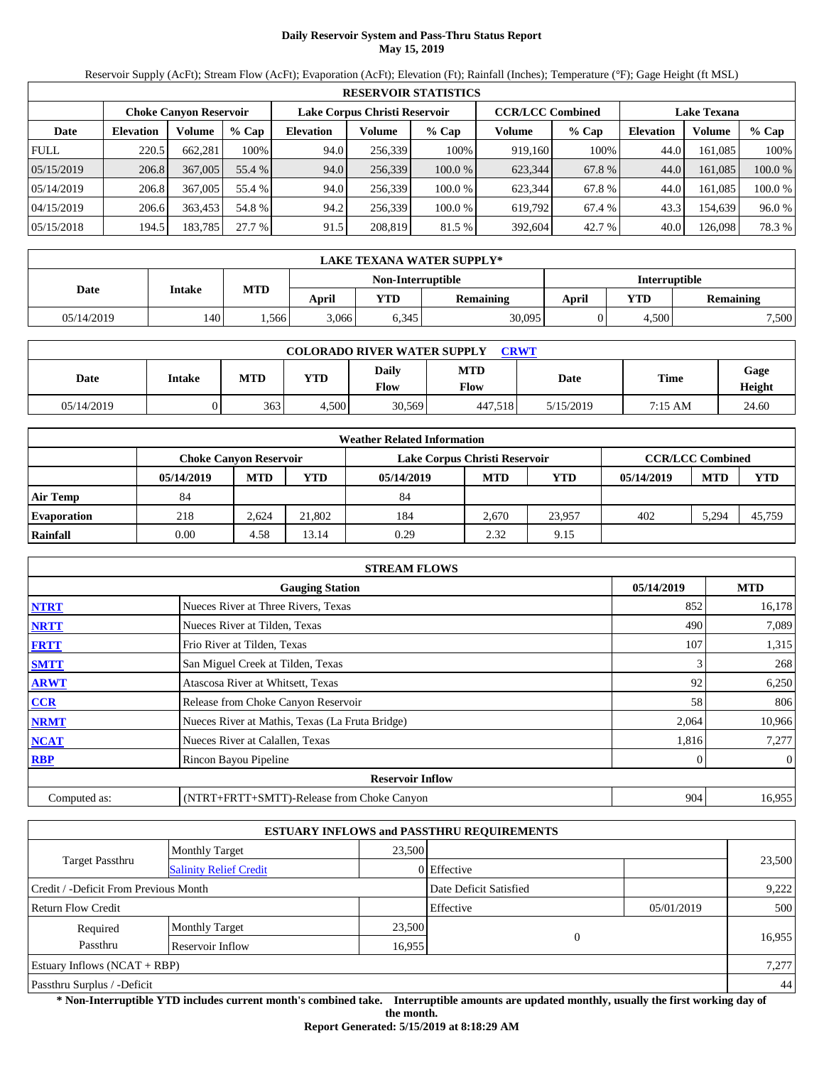# **Daily Reservoir System and Pass-Thru Status Report May 15, 2019**

Reservoir Supply (AcFt); Stream Flow (AcFt); Evaporation (AcFt); Elevation (Ft); Rainfall (Inches); Temperature (°F); Gage Height (ft MSL)

|             | <b>RESERVOIR STATISTICS</b> |                               |         |                  |                               |         |                         |         |                    |         |         |  |  |
|-------------|-----------------------------|-------------------------------|---------|------------------|-------------------------------|---------|-------------------------|---------|--------------------|---------|---------|--|--|
|             |                             | <b>Choke Canvon Reservoir</b> |         |                  | Lake Corpus Christi Reservoir |         | <b>CCR/LCC Combined</b> |         | <b>Lake Texana</b> |         |         |  |  |
| Date        | <b>Elevation</b>            | Volume                        | $%$ Cap | <b>Elevation</b> | Volume                        | $%$ Cap | Volume                  | $%$ Cap | <b>Elevation</b>   | Volume  | $%$ Cap |  |  |
| <b>FULL</b> | 220.5                       | 662.281                       | 100%    | 94.0             | 256,339                       | 100%    | 919.160                 | 100%    | 44.0               | 161.085 | 100%    |  |  |
| 05/15/2019  | 206.8                       | 367,005                       | 55.4 %  | 94.0             | 256,339                       | 100.0%  | 623,344                 | 67.8 %  | 44.0               | 161.085 | 100.0 % |  |  |
| 05/14/2019  | 206.8                       | 367,005                       | 55.4 %  | 94.0             | 256,339                       | 100.0 % | 623.344                 | 67.8 %  | 44.0               | 161.085 | 100.0 % |  |  |
| 04/15/2019  | 206.6                       | 363.453                       | 54.8 %  | 94.2             | 256,339                       | 100.0 % | 619.792                 | 67.4 %  | 43.3               | 154.639 | 96.0 %  |  |  |
| 05/15/2018  | 194.5                       | 183,785                       | 27.7 %  | 91.5             | 208,819                       | 81.5 %  | 392,604                 | 42.7 %  | 40.0               | 126,098 | 78.3 %  |  |  |

|            | LAKE TEXANA WATER SUPPLY* |            |       |                   |                  |               |       |                  |  |  |  |
|------------|---------------------------|------------|-------|-------------------|------------------|---------------|-------|------------------|--|--|--|
|            | Intake                    |            |       | Non-Interruptible |                  | Interruptible |       |                  |  |  |  |
| Date       |                           | <b>MTD</b> | April | <b>YTD</b>        | <b>Remaining</b> | April         | YTD   | <b>Remaining</b> |  |  |  |
| 05/14/2019 | 140                       | .566       | 3,066 | 6,345             | 30,095           |               | 4.500 | 7,500            |  |  |  |

| <b>COLORADO RIVER WATER SUPPLY</b><br><b>CRWT</b> |        |     |            |                      |                    |           |         |                |  |  |  |
|---------------------------------------------------|--------|-----|------------|----------------------|--------------------|-----------|---------|----------------|--|--|--|
| Date                                              | Intake | MTD | <b>YTD</b> | Daily<br><b>Flow</b> | <b>MTD</b><br>Flow | Date      | Time    | Gage<br>Height |  |  |  |
| 05/14/2019                                        |        | 363 | 4.500      | 30,569               | 447.518            | 5/15/2019 | 7:15 AM | 24.60          |  |  |  |

|                    |            |                        |            | <b>Weather Related Information</b> |            |            |                         |            |            |
|--------------------|------------|------------------------|------------|------------------------------------|------------|------------|-------------------------|------------|------------|
|                    |            | Choke Canvon Reservoir |            | Lake Corpus Christi Reservoir      |            |            | <b>CCR/LCC Combined</b> |            |            |
|                    | 05/14/2019 | <b>MTD</b>             | <b>YTD</b> | 05/14/2019                         | <b>MTD</b> | <b>YTD</b> | 05/14/2019              | <b>MTD</b> | <b>YTD</b> |
| <b>Air Temp</b>    | 84         |                        |            | 84                                 |            |            |                         |            |            |
| <b>Evaporation</b> | 218        | 2.624                  | 21.802     | 184                                | 2.670      | 23.957     | 402                     | 5.294      | 45.759     |
| Rainfall           | 0.00       | 4.58                   | 13.14      | 0.29                               | 2.32       | 9.15       |                         |            |            |

|              | <b>STREAM FLOWS</b>                             |            |                |
|--------------|-------------------------------------------------|------------|----------------|
|              | <b>Gauging Station</b>                          | 05/14/2019 | <b>MTD</b>     |
| <b>NTRT</b>  | Nueces River at Three Rivers, Texas             | 852        | 16,178         |
| <b>NRTT</b>  | Nueces River at Tilden, Texas                   | 490        | 7,089          |
| <b>FRTT</b>  | Frio River at Tilden, Texas                     | 107        | 1,315          |
| <b>SMTT</b>  | San Miguel Creek at Tilden, Texas               |            | 268            |
| <b>ARWT</b>  | Atascosa River at Whitsett, Texas               | 92         | 6,250          |
| <b>CCR</b>   | Release from Choke Canyon Reservoir             | 58         | 806            |
| <b>NRMT</b>  | Nueces River at Mathis, Texas (La Fruta Bridge) | 2,064      | 10,966         |
| <b>NCAT</b>  | Nueces River at Calallen, Texas                 | 1,816      | 7,277          |
| <b>RBP</b>   | Rincon Bayou Pipeline                           |            | $\overline{0}$ |
|              | <b>Reservoir Inflow</b>                         |            |                |
| Computed as: | (NTRT+FRTT+SMTT)-Release from Choke Canyon      | 904        | 16,955         |

|                                        |                               |                        | <b>ESTUARY INFLOWS and PASSTHRU REQUIREMENTS</b> |            |        |
|----------------------------------------|-------------------------------|------------------------|--------------------------------------------------|------------|--------|
|                                        | <b>Monthly Target</b>         | 23,500                 |                                                  |            |        |
| Target Passthru                        | <b>Salinity Relief Credit</b> |                        | 0 Effective                                      |            | 23,500 |
| Credit / -Deficit From Previous Month  |                               | Date Deficit Satisfied |                                                  | 9,222      |        |
| <b>Return Flow Credit</b>              |                               |                        | Effective                                        | 05/01/2019 | 500    |
| Required                               | <b>Monthly Target</b>         | 23,500                 |                                                  |            |        |
| Passthru<br>Reservoir Inflow<br>16,955 |                               |                        | $\theta$                                         |            | 16,955 |
| Estuary Inflows $(NCAT + RBP)$         |                               |                        |                                                  |            | 7,277  |
| Passthru Surplus / -Deficit            |                               |                        |                                                  |            | 44     |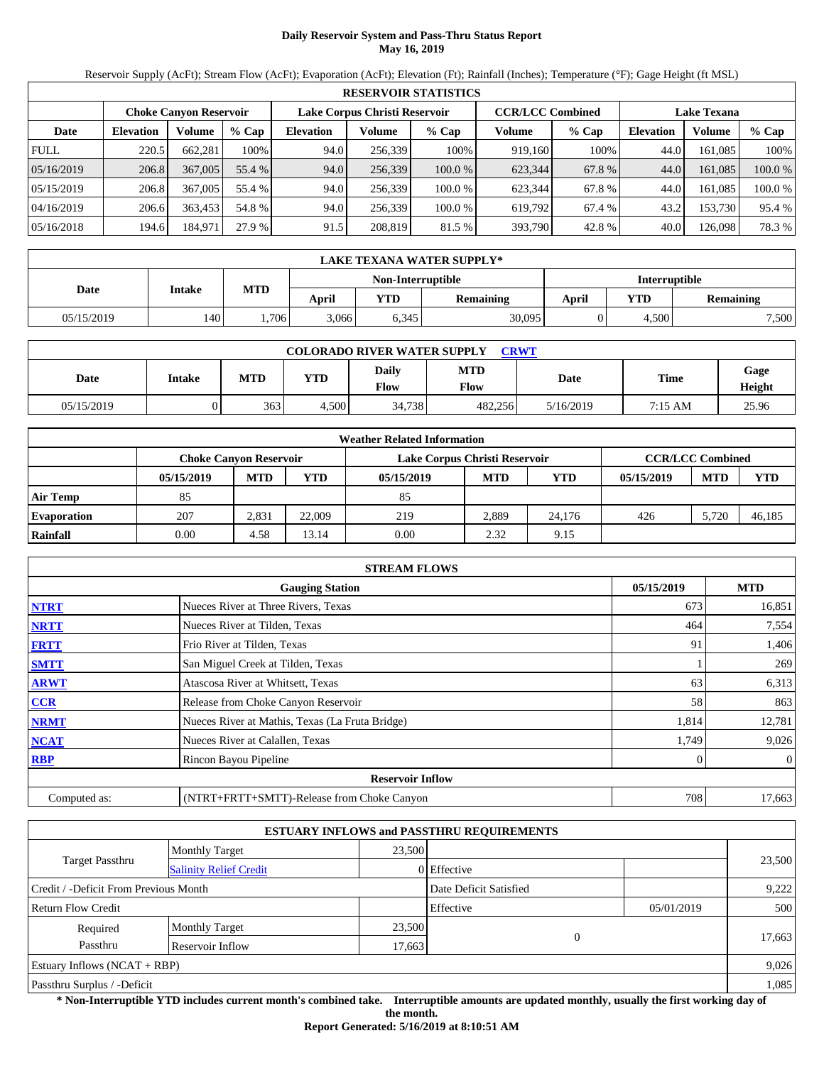# **Daily Reservoir System and Pass-Thru Status Report May 16, 2019**

Reservoir Supply (AcFt); Stream Flow (AcFt); Evaporation (AcFt); Elevation (Ft); Rainfall (Inches); Temperature (°F); Gage Height (ft MSL)

|             | <b>RESERVOIR STATISTICS</b> |                               |         |                  |                               |         |                         |         |                    |         |         |  |  |
|-------------|-----------------------------|-------------------------------|---------|------------------|-------------------------------|---------|-------------------------|---------|--------------------|---------|---------|--|--|
|             |                             | <b>Choke Canvon Reservoir</b> |         |                  | Lake Corpus Christi Reservoir |         | <b>CCR/LCC Combined</b> |         | <b>Lake Texana</b> |         |         |  |  |
| Date        | <b>Elevation</b>            | Volume                        | $%$ Cap | <b>Elevation</b> | Volume                        | $%$ Cap | Volume                  | $%$ Cap | <b>Elevation</b>   | Volume  | % Cap   |  |  |
| <b>FULL</b> | 220.5                       | 662.281                       | 100%    | 94.0             | 256,339                       | 100%    | 919.160                 | 100%    | 44.0               | 161.085 | 100%    |  |  |
| 05/16/2019  | 206.8                       | 367,005                       | 55.4 %  | 94.0             | 256,339                       | 100.0 % | 623,344                 | 67.8 %  | 44.0               | 161.085 | 100.0 % |  |  |
| 05/15/2019  | 206.8                       | 367,005                       | 55.4 %  | 94.0             | 256,339                       | 100.0 % | 623.344                 | 67.8 %  | 44.0               | 161.085 | 100.0 % |  |  |
| 04/16/2019  | 206.6                       | 363.453                       | 54.8%   | 94.0             | 256,339                       | 100.0 % | 619.792                 | 67.4 %  | 43.2               | 153.730 | 95.4 %  |  |  |
| 05/16/2018  | 194.6                       | 184.971                       | 27.9 %  | 91.5             | 208,819                       | 81.5 %  | 393,790                 | 42.8 %  | 40.0               | 126,098 | 78.3 %  |  |  |

|            | LAKE TEXANA WATER SUPPLY* |            |       |                   |                  |               |       |                  |  |  |  |
|------------|---------------------------|------------|-------|-------------------|------------------|---------------|-------|------------------|--|--|--|
|            | Intake                    | <b>MTD</b> |       | Non-Interruptible |                  | Interruptible |       |                  |  |  |  |
| Date       |                           |            | April | <b>YTD</b>        | <b>Remaining</b> | April         | YTD   | <b>Remaining</b> |  |  |  |
| 05/15/2019 | 140                       | ,706       | 3,066 | 6,345             | 30,095           |               | 4.500 | 7,500            |  |  |  |

| <b>COLORADO RIVER WATER SUPPLY</b><br><b>CRWT</b> |        |            |       |               |                    |           |         |                |  |  |  |
|---------------------------------------------------|--------|------------|-------|---------------|--------------------|-----------|---------|----------------|--|--|--|
| Date                                              | Intake | <b>MTD</b> | YTD   | Daily<br>Flow | <b>MTD</b><br>Flow | Date      | Time    | Gage<br>Height |  |  |  |
| 05/15/2019                                        |        | 363        | 4.500 | 34.738        | 482.256            | 5/16/2019 | 7:15 AM | 25.96          |  |  |  |

|                    | <b>Weather Related Information</b> |            |                         |            |            |        |            |            |            |  |  |
|--------------------|------------------------------------|------------|-------------------------|------------|------------|--------|------------|------------|------------|--|--|
|                    | <b>Choke Canvon Reservoir</b>      |            | <b>CCR/LCC Combined</b> |            |            |        |            |            |            |  |  |
|                    | 05/15/2019                         | <b>MTD</b> | <b>YTD</b>              | 05/15/2019 | <b>MTD</b> | YTD    | 05/15/2019 | <b>MTD</b> | <b>YTD</b> |  |  |
| <b>Air Temp</b>    | 85                                 |            |                         | 85         |            |        |            |            |            |  |  |
| <b>Evaporation</b> | 207                                | 2.831      | 22,009                  | 219        | 2.889      | 24,176 | 426        | 5.720      | 46.185     |  |  |
| Rainfall           | 0.00                               | 4.58       | 13.14                   | 0.00       | 2.32       | 9.15   |            |            |            |  |  |

|              | <b>STREAM FLOWS</b>                             |            |                |
|--------------|-------------------------------------------------|------------|----------------|
|              | <b>Gauging Station</b>                          | 05/15/2019 | <b>MTD</b>     |
| <b>NTRT</b>  | Nueces River at Three Rivers, Texas             | 673        | 16,851         |
| <b>NRTT</b>  | Nueces River at Tilden, Texas                   | 464        | 7,554          |
| <b>FRTT</b>  | Frio River at Tilden, Texas                     | 91         | 1,406          |
| <b>SMTT</b>  | San Miguel Creek at Tilden, Texas               |            | 269            |
| <b>ARWT</b>  | Atascosa River at Whitsett, Texas               | 63         | 6,313          |
| <b>CCR</b>   | Release from Choke Canyon Reservoir             | 58         | 863            |
| <b>NRMT</b>  | Nueces River at Mathis, Texas (La Fruta Bridge) | 1,814      | 12,781         |
| <b>NCAT</b>  | Nueces River at Calallen, Texas                 | 1,749      | 9,026          |
| <b>RBP</b>   | Rincon Bayou Pipeline                           |            | $\overline{0}$ |
|              | <b>Reservoir Inflow</b>                         |            |                |
| Computed as: | (NTRT+FRTT+SMTT)-Release from Choke Canyon      | 708        | 17,663         |

|                                       |                               |        | <b>ESTUARY INFLOWS and PASSTHRU REQUIREMENTS</b> |            |        |
|---------------------------------------|-------------------------------|--------|--------------------------------------------------|------------|--------|
|                                       | <b>Monthly Target</b>         | 23,500 |                                                  |            |        |
| Target Passthru                       | <b>Salinity Relief Credit</b> |        | 0 Effective                                      |            | 23,500 |
| Credit / -Deficit From Previous Month |                               |        | Date Deficit Satisfied                           |            | 9,222  |
| <b>Return Flow Credit</b>             |                               |        | Effective                                        | 05/01/2019 | 500    |
| Required                              | <b>Monthly Target</b>         | 23,500 |                                                  |            |        |
| Passthru                              | Reservoir Inflow              |        |                                                  | $\Omega$   | 17,663 |
| Estuary Inflows $(NCAT + RBP)$        |                               |        |                                                  |            | 9,026  |
| Passthru Surplus / -Deficit           |                               |        |                                                  |            | 1,085  |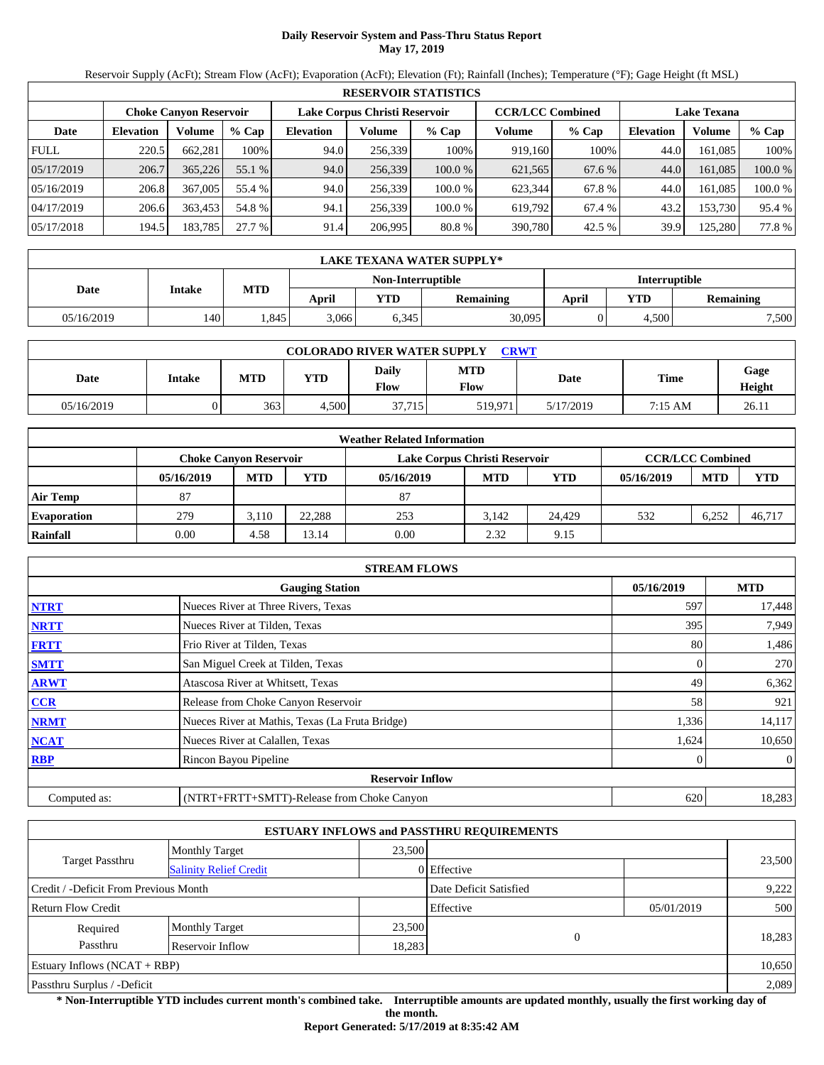# **Daily Reservoir System and Pass-Thru Status Report May 17, 2019**

Reservoir Supply (AcFt); Stream Flow (AcFt); Evaporation (AcFt); Elevation (Ft); Rainfall (Inches); Temperature (°F); Gage Height (ft MSL)

|             | <b>RESERVOIR STATISTICS</b> |                               |         |                  |                               |         |                         |         |                    |         |         |  |  |
|-------------|-----------------------------|-------------------------------|---------|------------------|-------------------------------|---------|-------------------------|---------|--------------------|---------|---------|--|--|
|             |                             | <b>Choke Canvon Reservoir</b> |         |                  | Lake Corpus Christi Reservoir |         | <b>CCR/LCC Combined</b> |         | <b>Lake Texana</b> |         |         |  |  |
| Date        | <b>Elevation</b>            | Volume                        | $%$ Cap | <b>Elevation</b> | Volume                        | $%$ Cap | Volume                  | $%$ Cap | <b>Elevation</b>   | Volume  | % Cap   |  |  |
| <b>FULL</b> | 220.5                       | 662.281                       | 100%    | 94.0             | 256.339                       | 100%    | 919.160                 | 100%    | 44.0               | 161.085 | 100%    |  |  |
| 05/17/2019  | 206.7                       | 365,226                       | 55.1 %  | 94.0             | 256,339                       | 100.0%  | 621,565                 | 67.6 %  | 44.0               | 161.085 | 100.0 % |  |  |
| 05/16/2019  | 206.8                       | 367,005                       | 55.4 %  | 94.0             | 256.339                       | 100.0 % | 623.344                 | 67.8 %  | 44.0               | 161.085 | 100.0 % |  |  |
| 04/17/2019  | 206.6                       | 363.453                       | 54.8 %  | 94.1             | 256,339                       | 100.0 % | 619.792                 | 67.4 %  | 43.2               | 153,730 | 95.4 %  |  |  |
| 05/17/2018  | 194.5                       | 183,785                       | 27.7 %  | 91.4             | 206,995                       | 80.8%   | 390,780                 | 42.5 %  | 39.9               | 125,280 | 77.8 %  |  |  |

|            | LAKE TEXANA WATER SUPPLY* |            |       |                   |                  |               |       |                  |  |  |  |
|------------|---------------------------|------------|-------|-------------------|------------------|---------------|-------|------------------|--|--|--|
|            | Intake                    |            |       | Non-Interruptible |                  | Interruptible |       |                  |  |  |  |
| Date       |                           | <b>MTD</b> | April | <b>YTD</b>        | <b>Remaining</b> | April         | YTD   | <b>Remaining</b> |  |  |  |
| 05/16/2019 | 140                       | .845       | 3,066 | 6,345             | 30,095           |               | 4.500 | 7,500            |  |  |  |

| <b>COLORADO RIVER WATER SUPPLY</b><br><b>CRWT</b> |        |            |            |                      |                    |           |         |                |  |  |  |
|---------------------------------------------------|--------|------------|------------|----------------------|--------------------|-----------|---------|----------------|--|--|--|
| Date                                              | Intake | <b>MTD</b> | <b>YTD</b> | Daily<br><b>Flow</b> | <b>MTD</b><br>Flow | Date      | Time    | Gage<br>Height |  |  |  |
| 05/16/2019                                        |        | 363        | 4.500      | 37.715               | 519.971            | 5/17/2019 | 7:15 AM | 26.11          |  |  |  |

|                    |                               |            |            | <b>Weather Related Information</b> |            |        |            |                         |            |
|--------------------|-------------------------------|------------|------------|------------------------------------|------------|--------|------------|-------------------------|------------|
|                    | <b>Choke Canvon Reservoir</b> |            |            | Lake Corpus Christi Reservoir      |            |        |            | <b>CCR/LCC Combined</b> |            |
|                    | 05/16/2019                    | <b>MTD</b> | <b>YTD</b> | 05/16/2019                         | <b>MTD</b> | YTD    | 05/16/2019 | <b>MTD</b>              | <b>YTD</b> |
| <b>Air Temp</b>    | 87                            |            |            | 87                                 |            |        |            |                         |            |
| <b>Evaporation</b> | 279                           | 3.110      | 22.288     | 253                                | 3.142      | 24.429 | 532        | 6.252                   | 46,717     |
| Rainfall           | 0.00                          | 4.58       | 13.14      | 0.00                               | 2.32       | 9.15   |            |                         |            |

|              | <b>STREAM FLOWS</b>                             |            |       |                |
|--------------|-------------------------------------------------|------------|-------|----------------|
|              | <b>Gauging Station</b>                          | 05/16/2019 |       | <b>MTD</b>     |
| <b>NTRT</b>  | Nueces River at Three Rivers, Texas             |            | 597   | 17,448         |
| <b>NRTT</b>  | Nueces River at Tilden, Texas                   |            | 395   | 7,949          |
| <b>FRTT</b>  | Frio River at Tilden, Texas                     |            | 80    | 1,486          |
| <b>SMTT</b>  | San Miguel Creek at Tilden, Texas               |            |       | 270            |
| <b>ARWT</b>  | Atascosa River at Whitsett, Texas               |            | 49    | 6,362          |
| <b>CCR</b>   | Release from Choke Canyon Reservoir             |            | 58    | 921            |
| <b>NRMT</b>  | Nueces River at Mathis, Texas (La Fruta Bridge) |            | 1,336 | 14,117         |
| <b>NCAT</b>  | Nueces River at Calallen, Texas                 |            | 1,624 | 10,650         |
| <b>RBP</b>   | Rincon Bayou Pipeline                           |            |       | $\overline{0}$ |
|              | <b>Reservoir Inflow</b>                         |            |       |                |
| Computed as: | (NTRT+FRTT+SMTT)-Release from Choke Canyon      |            | 620   | 18,283         |

|                                       |                               |                        | <b>ESTUARY INFLOWS and PASSTHRU REQUIREMENTS</b> |            |        |  |
|---------------------------------------|-------------------------------|------------------------|--------------------------------------------------|------------|--------|--|
|                                       | <b>Monthly Target</b>         | 23,500                 |                                                  |            |        |  |
| Target Passthru                       | <b>Salinity Relief Credit</b> |                        | 0 Effective                                      |            | 23,500 |  |
| Credit / -Deficit From Previous Month |                               | Date Deficit Satisfied |                                                  | 9,222      |        |  |
| <b>Return Flow Credit</b>             |                               |                        | Effective                                        | 05/01/2019 | 500    |  |
| Required                              | <b>Monthly Target</b>         | 23,500                 |                                                  |            |        |  |
| Passthru                              | Reservoir Inflow              | 18,283                 | $\theta$                                         |            | 18,283 |  |
| Estuary Inflows $(NCAT + RBP)$        |                               |                        |                                                  |            | 10,650 |  |
| Passthru Surplus / -Deficit           |                               |                        |                                                  |            | 2,089  |  |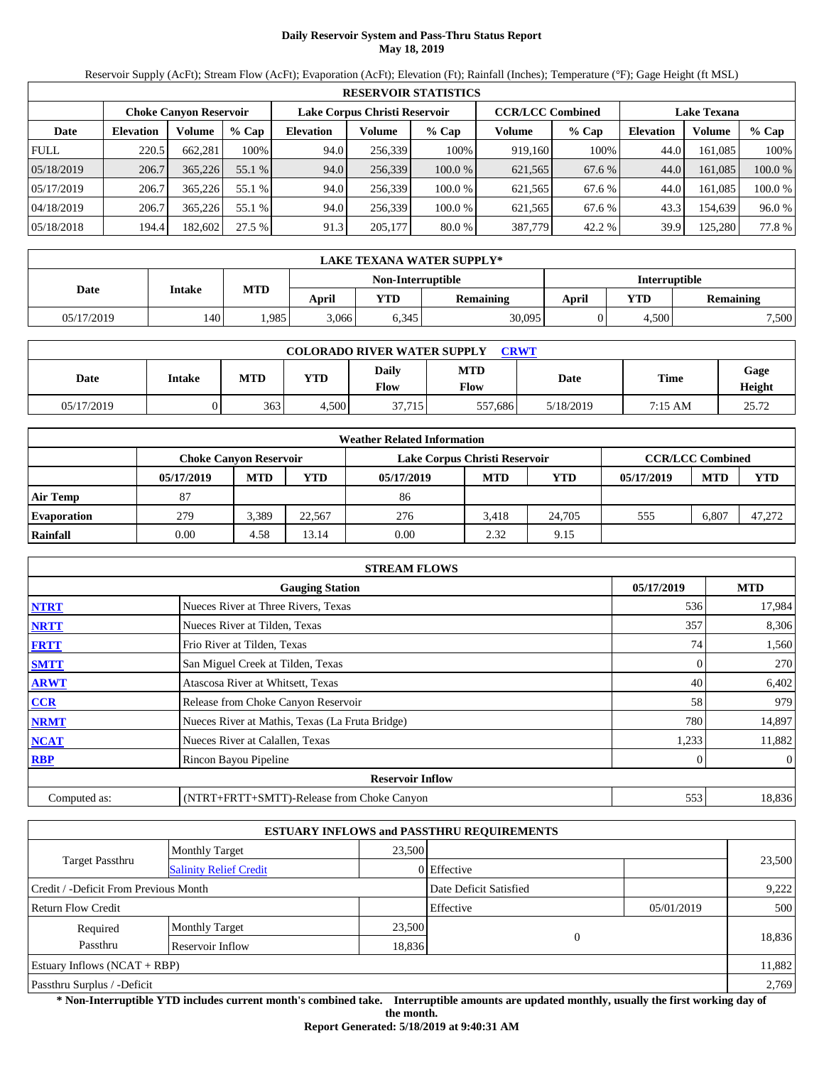# **Daily Reservoir System and Pass-Thru Status Report May 18, 2019**

Reservoir Supply (AcFt); Stream Flow (AcFt); Evaporation (AcFt); Elevation (Ft); Rainfall (Inches); Temperature (°F); Gage Height (ft MSL)

|             | <b>RESERVOIR STATISTICS</b> |                               |         |                  |                               |         |                         |         |                    |         |         |  |  |
|-------------|-----------------------------|-------------------------------|---------|------------------|-------------------------------|---------|-------------------------|---------|--------------------|---------|---------|--|--|
|             |                             | <b>Choke Canvon Reservoir</b> |         |                  | Lake Corpus Christi Reservoir |         | <b>CCR/LCC Combined</b> |         | <b>Lake Texana</b> |         |         |  |  |
| Date        | <b>Elevation</b>            | Volume                        | $%$ Cap | <b>Elevation</b> | Volume                        | $%$ Cap | Volume                  | $%$ Cap | <b>Elevation</b>   | Volume  | $%$ Cap |  |  |
| <b>FULL</b> | 220.5                       | 662.281                       | 100%    | 94.0             | 256.339                       | 100%    | 919.160                 | 100%    | 44.0               | 161.085 | 100%    |  |  |
| 05/18/2019  | 206.7                       | 365,226                       | 55.1 %  | 94.0             | 256,339                       | 100.0%  | 621,565                 | 67.6 %  | 44.0               | 161.085 | 100.0 % |  |  |
| 05/17/2019  | 206.7                       | 365,226                       | 55.1 %  | 94.0             | 256,339                       | 100.0 % | 621,565                 | 67.6 %  | 44.0               | 161.085 | 100.0 % |  |  |
| 04/18/2019  | 206.7                       | 365.226                       | 55.1 %  | 94.0             | 256.339                       | 100.0 % | 621,565                 | 67.6 %  | 43.3               | 154.639 | 96.0 %  |  |  |
| 05/18/2018  | 194.4                       | 182.602                       | 27.5 %  | 91.3             | 205,177                       | 80.0 %  | 387,779                 | 42.2 %  | 39.9               | 125,280 | 77.8 %  |  |  |

|            | LAKE TEXANA WATER SUPPLY* |            |       |                   |                  |               |       |                  |  |  |  |
|------------|---------------------------|------------|-------|-------------------|------------------|---------------|-------|------------------|--|--|--|
|            | Intake                    |            |       | Non-Interruptible |                  | Interruptible |       |                  |  |  |  |
| Date       |                           | <b>MTD</b> | April | <b>YTD</b>        | <b>Remaining</b> | April         | YTD   | <b>Remaining</b> |  |  |  |
| 05/17/2019 | 140                       | .985       | 3,066 | 6,345             | 30,095           |               | 4.500 | 7,500            |  |  |  |

| <b>COLORADO RIVER WATER SUPPLY</b><br><b>CRWT</b> |        |            |       |               |                    |           |             |                |  |  |  |
|---------------------------------------------------|--------|------------|-------|---------------|--------------------|-----------|-------------|----------------|--|--|--|
| Date                                              | Intake | <b>MTD</b> | YTD   | Daily<br>Flow | <b>MTD</b><br>Flow | Date      | <b>Time</b> | Gage<br>Height |  |  |  |
| 05/17/2019                                        |        | 363        | 4.500 | 37.715        | 557.686            | 5/18/2019 | 7:15 AM     | 25.72          |  |  |  |

|                    |                               |            |            | <b>Weather Related Information</b> |                         |        |            |            |        |
|--------------------|-------------------------------|------------|------------|------------------------------------|-------------------------|--------|------------|------------|--------|
|                    | <b>Choke Canyon Reservoir</b> |            |            | Lake Corpus Christi Reservoir      | <b>CCR/LCC Combined</b> |        |            |            |        |
|                    | 05/17/2019                    | <b>MTD</b> | <b>YTD</b> | 05/17/2019                         | <b>MTD</b>              | YTD    | 05/17/2019 | <b>MTD</b> | YTD    |
| Air Temp           | 87                            |            |            | 86                                 |                         |        |            |            |        |
| <b>Evaporation</b> | 279                           | 3,389      | 22.567     | 276                                | 3.418                   | 24,705 | 555        | 6.807      | 47,272 |
| Rainfall           | 0.00                          | 4.58       | 13.14      | 0.00                               | 2.32                    | 9.15   |            |            |        |

|              | <b>STREAM FLOWS</b>                             |            |                |
|--------------|-------------------------------------------------|------------|----------------|
|              | <b>Gauging Station</b>                          | 05/17/2019 | <b>MTD</b>     |
| <b>NTRT</b>  | Nueces River at Three Rivers, Texas             | 536        | 17,984         |
| <b>NRTT</b>  | Nueces River at Tilden, Texas                   | 357        | 8,306          |
| <b>FRTT</b>  | Frio River at Tilden, Texas                     | 74         | 1,560          |
| <b>SMTT</b>  | San Miguel Creek at Tilden, Texas               |            | 270            |
| <b>ARWT</b>  | Atascosa River at Whitsett, Texas               | 40         | 6,402          |
| <b>CCR</b>   | Release from Choke Canyon Reservoir             | 58         | 979            |
| <b>NRMT</b>  | Nueces River at Mathis, Texas (La Fruta Bridge) | 780        | 14,897         |
| <b>NCAT</b>  | Nueces River at Calallen, Texas                 | 1,233      | 11,882         |
| <b>RBP</b>   | Rincon Bayou Pipeline                           |            | $\overline{0}$ |
|              | <b>Reservoir Inflow</b>                         |            |                |
| Computed as: | (NTRT+FRTT+SMTT)-Release from Choke Canyon      | 553        | 18,836         |

|                                        |                               |        | <b>ESTUARY INFLOWS and PASSTHRU REQUIREMENTS</b> |            |        |  |
|----------------------------------------|-------------------------------|--------|--------------------------------------------------|------------|--------|--|
|                                        | <b>Monthly Target</b>         | 23,500 |                                                  |            |        |  |
| Target Passthru                        | <b>Salinity Relief Credit</b> |        | 0 Effective                                      |            | 23,500 |  |
| Credit / -Deficit From Previous Month  |                               |        | Date Deficit Satisfied                           |            | 9,222  |  |
| <b>Return Flow Credit</b>              |                               |        | Effective                                        | 05/01/2019 | 500    |  |
| Required                               | <b>Monthly Target</b>         | 23,500 |                                                  |            |        |  |
| Passthru<br>Reservoir Inflow<br>18,836 |                               |        | $\theta$                                         |            | 18,836 |  |
| Estuary Inflows $(NCAT + RBP)$         |                               |        |                                                  |            | 11,882 |  |
| Passthru Surplus / -Deficit            |                               |        |                                                  |            | 2,769  |  |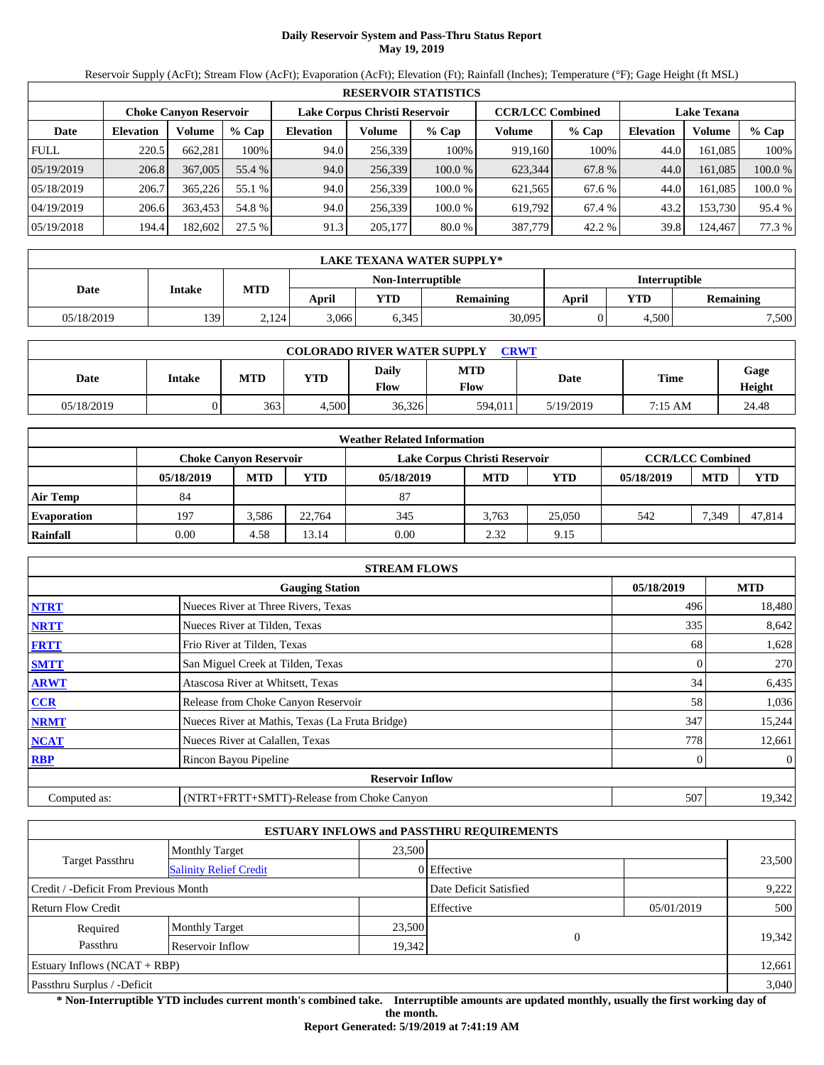# **Daily Reservoir System and Pass-Thru Status Report May 19, 2019**

Reservoir Supply (AcFt); Stream Flow (AcFt); Evaporation (AcFt); Elevation (Ft); Rainfall (Inches); Temperature (°F); Gage Height (ft MSL)

|             | <b>RESERVOIR STATISTICS</b> |                               |         |                               |         |         |                         |         |                    |         |         |  |  |
|-------------|-----------------------------|-------------------------------|---------|-------------------------------|---------|---------|-------------------------|---------|--------------------|---------|---------|--|--|
|             |                             | <b>Choke Canvon Reservoir</b> |         | Lake Corpus Christi Reservoir |         |         | <b>CCR/LCC Combined</b> |         | <b>Lake Texana</b> |         |         |  |  |
| Date        | <b>Elevation</b>            | Volume                        | $%$ Cap | <b>Elevation</b>              | Volume  | $%$ Cap | Volume                  | $%$ Cap | <b>Elevation</b>   | Volume  | $%$ Cap |  |  |
| <b>FULL</b> | 220.5                       | 662.281                       | 100%    | 94.0                          | 256.339 | 100%    | 919.160                 | 100%    | 44.0               | 161.085 | 100%    |  |  |
| 05/19/2019  | 206.8                       | 367,005                       | 55.4 %  | 94.0                          | 256,339 | 100.0%  | 623,344                 | 67.8 %  | 44.0               | 161.085 | 100.0 % |  |  |
| 05/18/2019  | 206.7                       | 365,226                       | 55.1 %  | 94.0                          | 256,339 | 100.0 % | 621,565                 | 67.6 %  | 44.0               | 161.085 | 100.0 % |  |  |
| 04/19/2019  | 206.6                       | 363.453                       | 54.8 %  | 94.0                          | 256.339 | 100.0 % | 619.792                 | 67.4 %  | 43.2               | 153,730 | 95.4 %  |  |  |
| 05/19/2018  | 194.4                       | 182.602                       | 27.5 %  | 91.3                          | 205,177 | 80.0 %  | 387,779                 | 42.2 %  | 39.8               | 124,467 | 77.3 %  |  |  |

|            | LAKE TEXANA WATER SUPPLY* |            |       |                   |                  |               |       |                  |  |  |  |
|------------|---------------------------|------------|-------|-------------------|------------------|---------------|-------|------------------|--|--|--|
|            | Intake                    | <b>MTD</b> |       | Non-Interruptible |                  | Interruptible |       |                  |  |  |  |
| Date       |                           |            | April | <b>YTD</b>        | <b>Remaining</b> | April         | YTD   | <b>Remaining</b> |  |  |  |
| 05/18/2019 | 139                       | 2,124      | 3,066 | 6,345             | 30,095           |               | 4.500 | 7,500            |  |  |  |

| <b>COLORADO RIVER WATER SUPPLY</b><br><b>CRWT</b> |        |            |            |               |                    |           |         |                |  |  |  |
|---------------------------------------------------|--------|------------|------------|---------------|--------------------|-----------|---------|----------------|--|--|--|
| Date                                              | Intake | <b>MTD</b> | <b>YTD</b> | Daily<br>Flow | <b>MTD</b><br>Flow | Date      | Time    | Gage<br>Height |  |  |  |
| 05/18/2019                                        |        | 363        | 4.500      | 36,326        | 594.011            | 5/19/2019 | 7:15 AM | 24.48          |  |  |  |

|                    |            |                        |            | <b>Weather Related Information</b> |                         |            |            |            |            |
|--------------------|------------|------------------------|------------|------------------------------------|-------------------------|------------|------------|------------|------------|
|                    |            | Choke Canvon Reservoir |            | Lake Corpus Christi Reservoir      | <b>CCR/LCC Combined</b> |            |            |            |            |
|                    | 05/18/2019 | <b>MTD</b>             | <b>YTD</b> | 05/18/2019                         | <b>MTD</b>              | <b>YTD</b> | 05/18/2019 | <b>MTD</b> | <b>YTD</b> |
| <b>Air Temp</b>    | 84         |                        |            | 87                                 |                         |            |            |            |            |
| <b>Evaporation</b> | 197        | 3.586                  | 22.764     | 345                                | 3.763                   | 25,050     | 542        | 7.349      | 47,814     |
| Rainfall           | 0.00       | 4.58                   | 13.14      | 0.00                               | 2.32                    | 9.15       |            |            |            |

|              | <b>STREAM FLOWS</b>                             |            |                |
|--------------|-------------------------------------------------|------------|----------------|
|              | 05/18/2019                                      | <b>MTD</b> |                |
| <b>NTRT</b>  | Nueces River at Three Rivers, Texas             | 496        | 18,480         |
| <b>NRTT</b>  | Nueces River at Tilden, Texas                   | 335        | 8,642          |
| <b>FRTT</b>  | Frio River at Tilden, Texas                     | 68         | 1,628          |
| <b>SMTT</b>  | San Miguel Creek at Tilden, Texas               |            | 270            |
| <b>ARWT</b>  | Atascosa River at Whitsett, Texas               | 34         | 6,435          |
| <b>CCR</b>   | Release from Choke Canyon Reservoir             | 58         | 1,036          |
| <b>NRMT</b>  | Nueces River at Mathis, Texas (La Fruta Bridge) | 347        | 15,244         |
| <b>NCAT</b>  | Nueces River at Calallen, Texas                 | 778        | 12,661         |
| <b>RBP</b>   | Rincon Bayou Pipeline                           |            | $\overline{0}$ |
|              | <b>Reservoir Inflow</b>                         |            |                |
| Computed as: | (NTRT+FRTT+SMTT)-Release from Choke Canyon      | 507        | 19,342         |

|                                       |                               |                        | <b>ESTUARY INFLOWS and PASSTHRU REQUIREMENTS</b> |            |        |  |
|---------------------------------------|-------------------------------|------------------------|--------------------------------------------------|------------|--------|--|
|                                       | <b>Monthly Target</b>         | 23,500                 |                                                  |            |        |  |
| Target Passthru                       | <b>Salinity Relief Credit</b> |                        | 0 Effective                                      |            | 23,500 |  |
| Credit / -Deficit From Previous Month |                               | Date Deficit Satisfied |                                                  | 9,222      |        |  |
| <b>Return Flow Credit</b>             |                               |                        | Effective                                        | 05/01/2019 | 500    |  |
| Required                              | <b>Monthly Target</b>         | 23,500                 |                                                  |            |        |  |
| Passthru                              | Reservoir Inflow              | 19,342                 | $\Omega$                                         |            | 19,342 |  |
| Estuary Inflows $(NCAT + RBP)$        |                               |                        |                                                  |            | 12,661 |  |
| Passthru Surplus / -Deficit           |                               |                        |                                                  |            |        |  |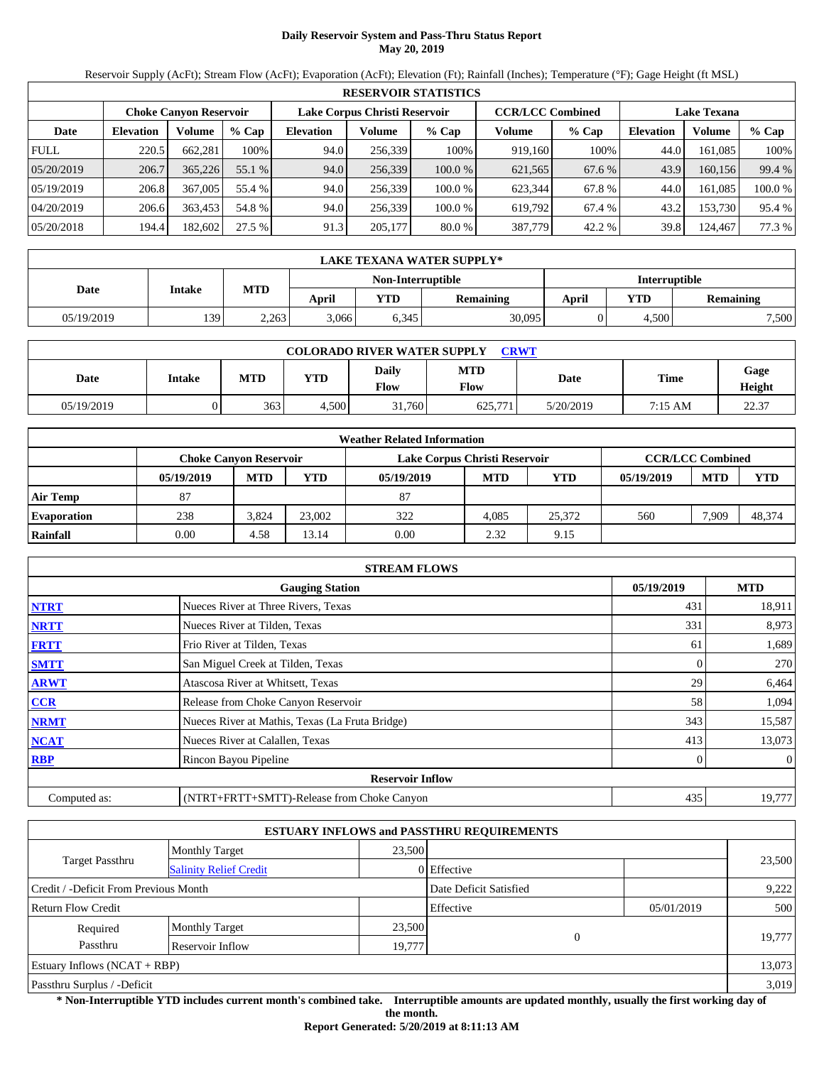# **Daily Reservoir System and Pass-Thru Status Report May 20, 2019**

Reservoir Supply (AcFt); Stream Flow (AcFt); Evaporation (AcFt); Elevation (Ft); Rainfall (Inches); Temperature (°F); Gage Height (ft MSL)

|             | <b>RESERVOIR STATISTICS</b> |                               |         |                  |                               |         |                         |         |                    |         |         |  |  |
|-------------|-----------------------------|-------------------------------|---------|------------------|-------------------------------|---------|-------------------------|---------|--------------------|---------|---------|--|--|
|             |                             | <b>Choke Canvon Reservoir</b> |         |                  | Lake Corpus Christi Reservoir |         | <b>CCR/LCC Combined</b> |         | <b>Lake Texana</b> |         |         |  |  |
| Date        | <b>Elevation</b>            | Volume                        | $%$ Cap | <b>Elevation</b> | Volume                        | $%$ Cap | Volume                  | $%$ Cap | <b>Elevation</b>   | Volume  | $%$ Cap |  |  |
| <b>FULL</b> | 220.5                       | 662.281                       | 100%    | 94.0             | 256.339                       | 100%    | 919.160                 | 100%    | 44.0               | 161.085 | 100%    |  |  |
| 05/20/2019  | 206.7                       | 365,226                       | 55.1 %  | 94.0             | 256,339                       | 100.0%  | 621,565                 | 67.6 %  | 43.9               | 160.156 | 99.4 %  |  |  |
| 05/19/2019  | 206.8                       | 367,005                       | 55.4 %  | 94.0             | 256,339                       | 100.0 % | 623.344                 | 67.8 %  | 44.0               | 161.085 | 100.0 % |  |  |
| 04/20/2019  | 206.6                       | 363.453                       | 54.8 %  | 94.0             | 256.339                       | 100.0 % | 619.792                 | 67.4 %  | 43.2               | 153,730 | 95.4 %  |  |  |
| 05/20/2018  | 194.4                       | 182.602                       | 27.5 %  | 91.3             | 205,177                       | 80.0 %  | 387,779                 | 42.2 %  | 39.8               | 124,467 | 77.3 %  |  |  |

|            | LAKE TEXANA WATER SUPPLY* |            |       |                   |                  |               |       |                  |  |  |  |
|------------|---------------------------|------------|-------|-------------------|------------------|---------------|-------|------------------|--|--|--|
|            | Intake                    | <b>MTD</b> |       | Non-Interruptible |                  | Interruptible |       |                  |  |  |  |
| Date       |                           |            | April | <b>YTD</b>        | <b>Remaining</b> | April         | YTD   | <b>Remaining</b> |  |  |  |
| 05/19/2019 | 139                       | 2,263      | 3,066 | 6,345             | 30,095           |               | 4.500 | 7,500            |  |  |  |

| <b>COLORADO RIVER WATER SUPPLY</b><br><b>CRWT</b> |        |            |            |               |                    |           |         |                |  |  |  |
|---------------------------------------------------|--------|------------|------------|---------------|--------------------|-----------|---------|----------------|--|--|--|
| Date                                              | Intake | <b>MTD</b> | <b>YTD</b> | Daily<br>Flow | <b>MTD</b><br>Flow | Date      | Time    | Gage<br>Height |  |  |  |
| 05/19/2019                                        |        | 363        | 4.500      | 31.760        | 625.771            | 5/20/2019 | 7:15 AM | 22.37          |  |  |  |

|                    | <b>Weather Related Information</b> |            |            |                               |                         |        |            |            |            |  |  |
|--------------------|------------------------------------|------------|------------|-------------------------------|-------------------------|--------|------------|------------|------------|--|--|
|                    | <b>Choke Canvon Reservoir</b>      |            |            | Lake Corpus Christi Reservoir | <b>CCR/LCC Combined</b> |        |            |            |            |  |  |
|                    | 05/19/2019                         | <b>MTD</b> | <b>YTD</b> | 05/19/2019                    | <b>MTD</b>              | YTD    | 05/19/2019 | <b>MTD</b> | <b>YTD</b> |  |  |
| <b>Air Temp</b>    | 87                                 |            |            | 87                            |                         |        |            |            |            |  |  |
| <b>Evaporation</b> | 238                                | 3.824      | 23,002     | 322                           | 4.085                   | 25,372 | 560        | 7.909      | 48,374     |  |  |
| Rainfall           | 0.00                               | 4.58       | 13.14      | 0.00                          | 2.32                    | 9.15   |            |            |            |  |  |

|              | <b>STREAM FLOWS</b>                             |          |                |  |  |  |  |  |
|--------------|-------------------------------------------------|----------|----------------|--|--|--|--|--|
|              | <b>Gauging Station</b>                          |          |                |  |  |  |  |  |
| <b>NTRT</b>  | Nueces River at Three Rivers, Texas             | 431      | 18,911         |  |  |  |  |  |
| <b>NRTT</b>  | Nueces River at Tilden, Texas                   | 331      | 8,973          |  |  |  |  |  |
| <b>FRTT</b>  | Frio River at Tilden, Texas                     | 61       | 1,689          |  |  |  |  |  |
| <b>SMTT</b>  | San Miguel Creek at Tilden, Texas               | $\Omega$ | 270            |  |  |  |  |  |
| <b>ARWT</b>  | Atascosa River at Whitsett, Texas               | 29       | 6,464          |  |  |  |  |  |
| <b>CCR</b>   | Release from Choke Canyon Reservoir             | 58       | 1,094          |  |  |  |  |  |
| <b>NRMT</b>  | Nueces River at Mathis, Texas (La Fruta Bridge) | 343      | 15,587         |  |  |  |  |  |
| <b>NCAT</b>  | Nueces River at Calallen, Texas                 | 413      | 13,073         |  |  |  |  |  |
| <b>RBP</b>   | Rincon Bayou Pipeline                           | $\Omega$ | $\overline{0}$ |  |  |  |  |  |
|              | <b>Reservoir Inflow</b>                         |          |                |  |  |  |  |  |
| Computed as: | (NTRT+FRTT+SMTT)-Release from Choke Canyon      | 435      | 19,777         |  |  |  |  |  |

|                                       |                               |                        | <b>ESTUARY INFLOWS and PASSTHRU REQUIREMENTS</b> |            |        |  |
|---------------------------------------|-------------------------------|------------------------|--------------------------------------------------|------------|--------|--|
|                                       | <b>Monthly Target</b>         | 23,500                 |                                                  |            |        |  |
| <b>Target Passthru</b>                | <b>Salinity Relief Credit</b> |                        | 0 Effective                                      |            | 23,500 |  |
| Credit / -Deficit From Previous Month |                               | Date Deficit Satisfied |                                                  | 9,222      |        |  |
| <b>Return Flow Credit</b>             |                               |                        | Effective                                        | 05/01/2019 | 500    |  |
| Required                              | <b>Monthly Target</b>         | 23,500                 |                                                  |            |        |  |
| Passthru                              | Reservoir Inflow              | 19,777                 | $\Omega$                                         |            | 19,777 |  |
| Estuary Inflows $(NCAT + RBP)$        |                               |                        |                                                  | 13,073     |        |  |
| Passthru Surplus / -Deficit           |                               |                        |                                                  |            |        |  |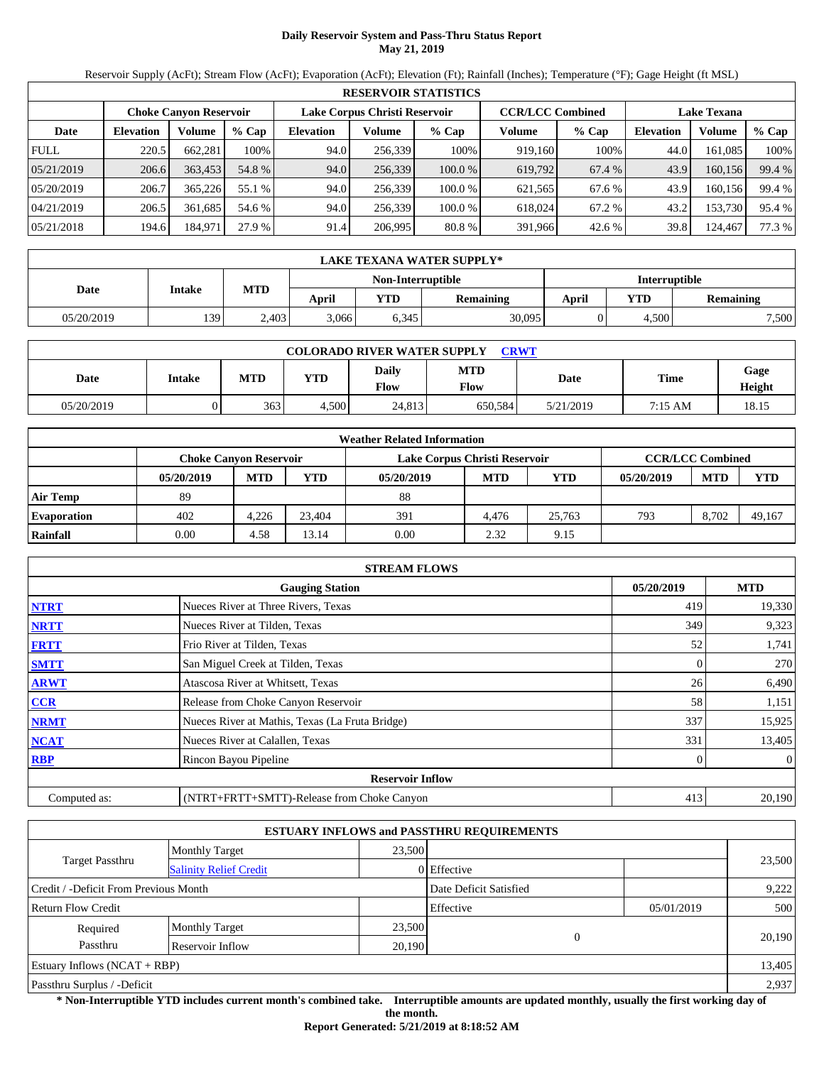# **Daily Reservoir System and Pass-Thru Status Report May 21, 2019**

Reservoir Supply (AcFt); Stream Flow (AcFt); Evaporation (AcFt); Elevation (Ft); Rainfall (Inches); Temperature (°F); Gage Height (ft MSL)

|             | <b>RESERVOIR STATISTICS</b> |                               |         |                  |                               |         |                         |         |                    |         |        |  |
|-------------|-----------------------------|-------------------------------|---------|------------------|-------------------------------|---------|-------------------------|---------|--------------------|---------|--------|--|
|             |                             | <b>Choke Canyon Reservoir</b> |         |                  | Lake Corpus Christi Reservoir |         | <b>CCR/LCC Combined</b> |         | <b>Lake Texana</b> |         |        |  |
| Date        | <b>Elevation</b>            | Volume                        | $%$ Cap | <b>Elevation</b> | Volume                        | $%$ Cap | Volume                  | $%$ Cap | Elevation          | Volume  | % Cap  |  |
| <b>FULL</b> | 220.5                       | 662.281                       | 100%    | 94.0             | 256,339                       | 100%    | 919.160                 | 100%    | 44.0               | 161,085 | 100%   |  |
| 05/21/2019  | 206.6                       | 363,453                       | 54.8 %  | 94.0             | 256,339                       | 100.0 % | 619,792                 | 67.4 %  | 43.9               | 160.156 | 99.4 % |  |
| 05/20/2019  | 206.7                       | 365,226                       | 55.1 %  | 94.0             | 256.339                       | 100.0 % | 621,565                 | 67.6 %  | 43.9               | 160,156 | 99.4 % |  |
| 04/21/2019  | 206.5                       | 361.685                       | 54.6 %  | 94.0             | 256,339                       | 100.0 % | 618,024                 | 67.2 %  | 43.2               | 153,730 | 95.4 % |  |
| 05/21/2018  | 194.6                       | 184,971                       | 27.9 %  | 91.4             | 206,995                       | 80.8%   | 391,966                 | 42.6 %  | 39.8               | 124,467 | 77.3 % |  |

|            | LAKE TEXANA WATER SUPPLY* |            |       |                   |                  |                      |       |                  |  |  |  |
|------------|---------------------------|------------|-------|-------------------|------------------|----------------------|-------|------------------|--|--|--|
|            | <b>Intake</b>             |            |       | Non-Interruptible |                  | <b>Interruptible</b> |       |                  |  |  |  |
| Date       |                           | <b>MTD</b> | April | <b>YTD</b>        | <b>Remaining</b> | April                | YTD   | <b>Remaining</b> |  |  |  |
| 05/20/2019 | 139                       | 2,403      | 3,066 | 6,345             | 30,095           |                      | 4,500 | 7,500            |  |  |  |

| <b>COLORADO RIVER WATER SUPPLY</b><br><b>CRWT</b> |        |            |       |               |                    |           |         |                |  |  |  |
|---------------------------------------------------|--------|------------|-------|---------------|--------------------|-----------|---------|----------------|--|--|--|
| Date                                              | Intake | <b>MTD</b> | YTD   | Daily<br>Flow | <b>MTD</b><br>Flow | Date      | Time    | Gage<br>Height |  |  |  |
| 05/20/2019                                        |        | 363        | 4.500 | 24.813        | 650.584            | 5/21/2019 | 7:15 AM | 18.15          |  |  |  |

|                    |                               |            |            | <b>Weather Related Information</b> |            |        |            |                         |            |
|--------------------|-------------------------------|------------|------------|------------------------------------|------------|--------|------------|-------------------------|------------|
|                    | <b>Choke Canvon Reservoir</b> |            |            | Lake Corpus Christi Reservoir      |            |        |            | <b>CCR/LCC Combined</b> |            |
|                    | 05/20/2019                    | <b>MTD</b> | <b>YTD</b> | 05/20/2019                         | <b>MTD</b> | YTD    | 05/20/2019 | <b>MTD</b>              | <b>YTD</b> |
| <b>Air Temp</b>    | 89                            |            |            | 88                                 |            |        |            |                         |            |
| <b>Evaporation</b> | 402                           | 4.226      | 23.404     | 391                                | 4.476      | 25,763 | 793        | 8.702                   | 49,167     |
| Rainfall           | 0.00                          | 4.58       | 13.14      | 0.00                               | 2.32       | 9.15   |            |                         |            |

|              | <b>STREAM FLOWS</b>                             |            |                |
|--------------|-------------------------------------------------|------------|----------------|
|              | <b>Gauging Station</b>                          | 05/20/2019 | <b>MTD</b>     |
| <b>NTRT</b>  | Nueces River at Three Rivers, Texas             | 419        | 19,330         |
| <b>NRTT</b>  | Nueces River at Tilden, Texas                   | 349        | 9,323          |
| <b>FRTT</b>  | Frio River at Tilden, Texas                     | 52         | 1,741          |
| <b>SMTT</b>  | San Miguel Creek at Tilden, Texas               |            | 270            |
| <b>ARWT</b>  | Atascosa River at Whitsett, Texas               | 26         | 6,490          |
| <b>CCR</b>   | Release from Choke Canyon Reservoir             | 58         | 1,151          |
| <b>NRMT</b>  | Nueces River at Mathis, Texas (La Fruta Bridge) | 337        | 15,925         |
| <b>NCAT</b>  | Nueces River at Calallen, Texas                 | 331        | 13,405         |
| <b>RBP</b>   | Rincon Bayou Pipeline                           |            | $\overline{0}$ |
|              | <b>Reservoir Inflow</b>                         |            |                |
| Computed as: | (NTRT+FRTT+SMTT)-Release from Choke Canyon      | 413        | 20,190         |

|                                       |                               |        | <b>ESTUARY INFLOWS and PASSTHRU REQUIREMENTS</b> |          |            |        |  |
|---------------------------------------|-------------------------------|--------|--------------------------------------------------|----------|------------|--------|--|
|                                       | <b>Monthly Target</b>         | 23,500 |                                                  |          |            |        |  |
| Target Passthru                       | <b>Salinity Relief Credit</b> |        | 0 Effective                                      |          |            | 23,500 |  |
| Credit / -Deficit From Previous Month |                               |        | Date Deficit Satisfied                           |          |            | 9,222  |  |
| <b>Return Flow Credit</b>             |                               |        | Effective                                        |          | 05/01/2019 | 500    |  |
| Required                              | <b>Monthly Target</b>         | 23,500 |                                                  |          |            |        |  |
| Passthru                              | Reservoir Inflow              | 20,190 |                                                  | $\Omega$ |            | 20,190 |  |
| Estuary Inflows $(NCAT + RBP)$        |                               |        |                                                  |          |            | 13,405 |  |
| Passthru Surplus / -Deficit           |                               |        |                                                  |          |            | 2,937  |  |

**\* Non-Interruptible YTD includes current month's combined take. Interruptible amounts are updated monthly, usually the first working day of the month.** 

**Report Generated: 5/21/2019 at 8:18:52 AM**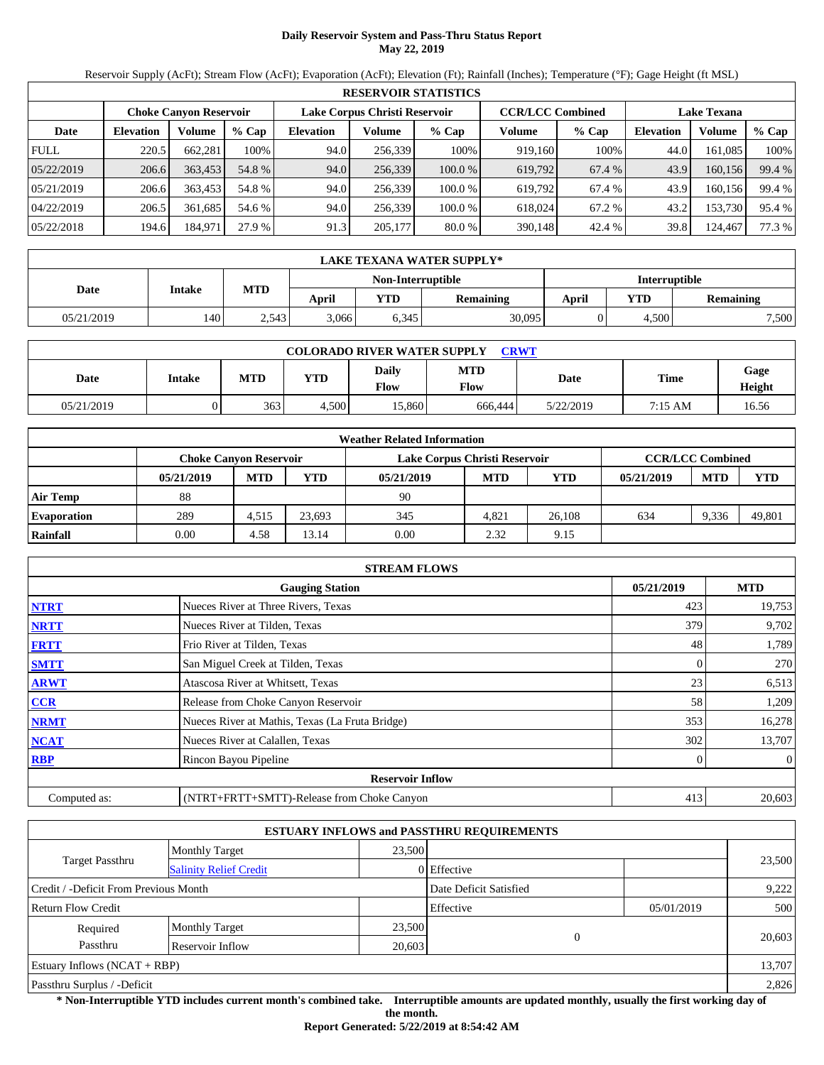# **Daily Reservoir System and Pass-Thru Status Report May 22, 2019**

Reservoir Supply (AcFt); Stream Flow (AcFt); Evaporation (AcFt); Elevation (Ft); Rainfall (Inches); Temperature (°F); Gage Height (ft MSL)

|             | <b>RESERVOIR STATISTICS</b> |                               |         |                               |         |         |                         |         |                    |         |        |  |
|-------------|-----------------------------|-------------------------------|---------|-------------------------------|---------|---------|-------------------------|---------|--------------------|---------|--------|--|
|             |                             | <b>Choke Canyon Reservoir</b> |         | Lake Corpus Christi Reservoir |         |         | <b>CCR/LCC Combined</b> |         | <b>Lake Texana</b> |         |        |  |
| Date        | <b>Elevation</b>            | Volume                        | $%$ Cap | <b>Elevation</b>              | Volume  | $%$ Cap | Volume                  | $%$ Cap | Elevation          | Volume  | % Cap  |  |
| <b>FULL</b> | 220.5                       | 662,281                       | 100%    | 94.0                          | 256,339 | 100%    | 919.160                 | 100%    | 44.0               | 161,085 | 100%   |  |
| 05/22/2019  | 206.6                       | 363,453                       | 54.8 %  | 94.0                          | 256,339 | 100.0 % | 619,792                 | 67.4 %  | 43.9               | 160,156 | 99.4 % |  |
| 05/21/2019  | 206.6                       | 363,453                       | 54.8 %  | 94.0                          | 256,339 | 100.0 % | 619.792                 | 67.4 %  | 43.9               | 160.156 | 99.4 % |  |
| 04/22/2019  | 206.5                       | 361,685                       | 54.6 %  | 94.0                          | 256,339 | 100.0 % | 618,024                 | 67.2 %  | 43.2               | 153,730 | 95.4 % |  |
| 05/22/2018  | 194.6                       | 184,971                       | 27.9 %  | 91.3                          | 205,177 | 80.0 %  | 390,148                 | 42.4 %  | 39.8               | 124,467 | 77.3 % |  |

|            | LAKE TEXANA WATER SUPPLY* |            |       |                   |                  |               |       |                  |  |  |  |
|------------|---------------------------|------------|-------|-------------------|------------------|---------------|-------|------------------|--|--|--|
|            | <b>Intake</b>             |            |       | Non-Interruptible |                  | Interruptible |       |                  |  |  |  |
| Date       |                           | <b>MTD</b> | April | <b>YTD</b>        | <b>Remaining</b> | April         | YTD   | <b>Remaining</b> |  |  |  |
| 05/21/2019 | 140                       | 2,543      | 3,066 | 6,345             | 30,095           |               | 4,500 | 7,500            |  |  |  |

| <b>COLORADO RIVER WATER SUPPLY</b><br><b>CRWT</b> |        |            |       |               |                    |           |             |                |  |  |  |
|---------------------------------------------------|--------|------------|-------|---------------|--------------------|-----------|-------------|----------------|--|--|--|
| Date                                              | Intake | <b>MTD</b> | YTD   | Daily<br>Flow | <b>MTD</b><br>Flow | Date      | <b>Time</b> | Gage<br>Height |  |  |  |
| 05/21/2019                                        |        | 363        | 4.500 | 15.860        | 666.444            | 5/22/2019 | 7:15 AM     | 16.56          |  |  |  |

|                    |                               |            |            | <b>Weather Related Information</b> |            |            |            |                         |            |
|--------------------|-------------------------------|------------|------------|------------------------------------|------------|------------|------------|-------------------------|------------|
|                    | <b>Choke Canyon Reservoir</b> |            |            | Lake Corpus Christi Reservoir      |            |            |            | <b>CCR/LCC Combined</b> |            |
|                    | 05/21/2019                    | <b>MTD</b> | <b>YTD</b> | 05/21/2019                         | <b>MTD</b> | <b>YTD</b> | 05/21/2019 | <b>MTD</b>              | <b>YTD</b> |
| <b>Air Temp</b>    | 88                            |            |            | 90                                 |            |            |            |                         |            |
| <b>Evaporation</b> | 289                           | 4.515      | 23.693     | 345                                | 4.821      | 26,108     | 634        | 9.336                   | 49,801     |
| Rainfall           | 0.00                          | 4.58       | 13.14      | 0.00                               | 2.32       | 9.15       |            |                         |            |

|              | <b>STREAM FLOWS</b>                             |            |                  |
|--------------|-------------------------------------------------|------------|------------------|
|              | <b>Gauging Station</b>                          | 05/21/2019 | <b>MTD</b>       |
| <b>NTRT</b>  | Nueces River at Three Rivers, Texas             | 423        | 19,753           |
| <b>NRTT</b>  | Nueces River at Tilden, Texas                   | 379        | 9,702            |
| <b>FRTT</b>  | Frio River at Tilden, Texas                     | 48         | 1,789            |
| <b>SMTT</b>  | San Miguel Creek at Tilden, Texas               |            | 270              |
| <b>ARWT</b>  | Atascosa River at Whitsett, Texas               | 23         | 6,513            |
| CCR          | Release from Choke Canyon Reservoir             | 58         | 1,209            |
| <b>NRMT</b>  | Nueces River at Mathis, Texas (La Fruta Bridge) | 353        | 16,278           |
| <b>NCAT</b>  | Nueces River at Calallen, Texas                 | 302        | 13,707           |
| <b>RBP</b>   | Rincon Bayou Pipeline                           |            | $\boldsymbol{0}$ |
|              | <b>Reservoir Inflow</b>                         |            |                  |
| Computed as: | (NTRT+FRTT+SMTT)-Release from Choke Canyon      | 413        | 20,603           |

|                                       |                               |        | <b>ESTUARY INFLOWS and PASSTHRU REQUIREMENTS</b> |            |        |  |
|---------------------------------------|-------------------------------|--------|--------------------------------------------------|------------|--------|--|
|                                       | <b>Monthly Target</b>         | 23,500 |                                                  |            |        |  |
| Target Passthru                       | <b>Salinity Relief Credit</b> |        | 0 Effective                                      |            | 23,500 |  |
| Credit / -Deficit From Previous Month |                               |        | Date Deficit Satisfied                           |            | 9,222  |  |
| <b>Return Flow Credit</b>             |                               |        | Effective                                        | 05/01/2019 | 500    |  |
| Required                              | <b>Monthly Target</b>         | 23,500 |                                                  |            |        |  |
| Passthru                              | Reservoir Inflow              | 20,603 |                                                  | $\Omega$   | 20,603 |  |
| Estuary Inflows $(NCAT + RBP)$        |                               |        |                                                  |            | 13,707 |  |
| Passthru Surplus / -Deficit           |                               |        |                                                  |            | 2,826  |  |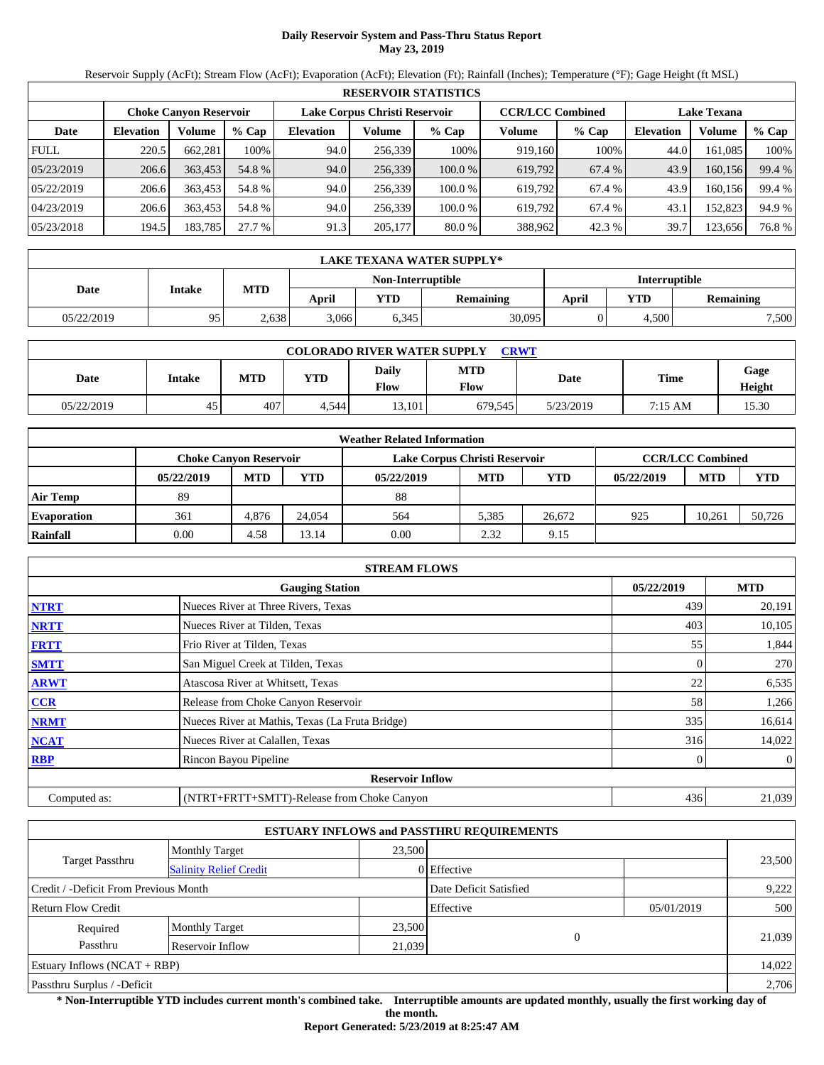# **Daily Reservoir System and Pass-Thru Status Report May 23, 2019**

Reservoir Supply (AcFt); Stream Flow (AcFt); Evaporation (AcFt); Elevation (Ft); Rainfall (Inches); Temperature (°F); Gage Height (ft MSL)

|             | <b>RESERVOIR STATISTICS</b>   |         |         |                  |                               |         |         |                         |                    |         |        |  |  |
|-------------|-------------------------------|---------|---------|------------------|-------------------------------|---------|---------|-------------------------|--------------------|---------|--------|--|--|
|             | <b>Choke Canyon Reservoir</b> |         |         |                  | Lake Corpus Christi Reservoir |         |         | <b>CCR/LCC Combined</b> | <b>Lake Texana</b> |         |        |  |  |
| Date        | <b>Elevation</b>              | Volume  | $%$ Cap | <b>Elevation</b> | Volume                        | $%$ Cap | Volume  | $%$ Cap                 | <b>Elevation</b>   | Volume  | % Cap  |  |  |
| <b>FULL</b> | 220.5                         | 662,281 | 100%    | 94.0             | 256,339                       | 100%    | 919.160 | 100%                    | 44.0               | 161,085 | 100%   |  |  |
| 05/23/2019  | 206.6                         | 363,453 | 54.8 %  | 94.0             | 256,339                       | 100.0 % | 619,792 | 67.4 %                  | 43.9               | 160,156 | 99.4 % |  |  |
| 05/22/2019  | 206.6                         | 363,453 | 54.8 %  | 94.0             | 256,339                       | 100.0 % | 619.792 | 67.4 %                  | 43.9               | 160.156 | 99.4 % |  |  |
| 04/23/2019  | 206.6                         | 363,453 | 54.8 %  | 94.0             | 256,339                       | 100.0 % | 619,792 | 67.4 %                  | 43.1               | 152,823 | 94.9 % |  |  |
| 05/23/2018  | 194.5                         | 183,785 | 27.7%   | 91.3             | 205,177                       | 80.0 %  | 388,962 | 42.3 %                  | 39.7               | 123,656 | 76.8%  |  |  |

|            | LAKE TEXANA WATER SUPPLY* |            |       |                          |                  |               |            |                  |  |  |  |
|------------|---------------------------|------------|-------|--------------------------|------------------|---------------|------------|------------------|--|--|--|
|            | Intake                    | <b>MTD</b> |       | <b>Non-Interruptible</b> |                  | Interruptible |            |                  |  |  |  |
| Date       |                           |            | April | <b>YTD</b>               | <b>Remaining</b> | April         | <b>YTD</b> | <b>Remaining</b> |  |  |  |
| 05/22/2019 | 95                        | 2,638      | 3,066 | 6,345                    | 30,095           |               | 4.500      | 7,500            |  |  |  |

| <b>COLORADO RIVER WATER SUPPLY</b><br><b>CRWT</b> |        |            |            |               |                           |           |             |                |  |  |  |
|---------------------------------------------------|--------|------------|------------|---------------|---------------------------|-----------|-------------|----------------|--|--|--|
| Date                                              | Intake | <b>MTD</b> | <b>YTD</b> | Daily<br>Flow | <b>MTD</b><br><b>Flow</b> | Date      | <b>Time</b> | Gage<br>Height |  |  |  |
| 05/22/2019                                        | 45     | 407        | 4.544      | 13.101        | 679.545                   | 5/23/2019 | 7:15 AM     | 15.30          |  |  |  |

|                    |                               |            |        | <b>Weather Related Information</b> |                         |        |            |            |        |
|--------------------|-------------------------------|------------|--------|------------------------------------|-------------------------|--------|------------|------------|--------|
|                    | <b>Choke Canvon Reservoir</b> |            |        | Lake Corpus Christi Reservoir      | <b>CCR/LCC Combined</b> |        |            |            |        |
|                    | 05/22/2019                    | <b>MTD</b> | YTD    | 05/22/2019                         | <b>MTD</b>              | YTD    | 05/22/2019 | <b>MTD</b> | YTD    |
| Air Temp           | 89                            |            |        | 88                                 |                         |        |            |            |        |
| <b>Evaporation</b> | 361                           | 4.876      | 24.054 | 564                                | 5.385                   | 26,672 | 925        | 10.261     | 50,726 |
| Rainfall           | 0.00                          | 4.58       | 13.14  | 0.00                               | 2.32                    | 9.15   |            |            |        |

|              | <b>STREAM FLOWS</b>                             |            |                |
|--------------|-------------------------------------------------|------------|----------------|
|              | <b>Gauging Station</b>                          | 05/22/2019 | <b>MTD</b>     |
| <b>NTRT</b>  | Nueces River at Three Rivers, Texas             | 439        | 20,191         |
| <b>NRTT</b>  | Nueces River at Tilden, Texas                   | 403        | 10,105         |
| <b>FRTT</b>  | Frio River at Tilden, Texas                     | 55         | 1,844          |
| <b>SMTT</b>  | San Miguel Creek at Tilden, Texas               | $\Omega$   | 270            |
| <b>ARWT</b>  | Atascosa River at Whitsett, Texas               | 22         | 6,535          |
| CCR          | Release from Choke Canyon Reservoir             | 58         | 1,266          |
| <b>NRMT</b>  | Nueces River at Mathis, Texas (La Fruta Bridge) | 335        | 16,614         |
| <b>NCAT</b>  | Nueces River at Calallen, Texas                 | 316        | 14,022         |
| <b>RBP</b>   | Rincon Bayou Pipeline                           | $\Omega$   | $\overline{0}$ |
|              | <b>Reservoir Inflow</b>                         |            |                |
| Computed as: | (NTRT+FRTT+SMTT)-Release from Choke Canyon      | 436        | 21,039         |

|                                                  |                       |        | <b>ESTUARY INFLOWS and PASSTHRU REQUIREMENTS</b> |            |        |  |
|--------------------------------------------------|-----------------------|--------|--------------------------------------------------|------------|--------|--|
|                                                  | <b>Monthly Target</b> | 23,500 |                                                  |            |        |  |
| Target Passthru<br><b>Salinity Relief Credit</b> |                       |        | 0 Effective                                      |            | 23,500 |  |
| Credit / -Deficit From Previous Month            |                       |        | Date Deficit Satisfied                           |            | 9,222  |  |
| <b>Return Flow Credit</b>                        |                       |        | Effective                                        | 05/01/2019 | 500    |  |
| Required                                         | <b>Monthly Target</b> | 23,500 |                                                  |            |        |  |
| Passthru<br>Reservoir Inflow                     |                       |        | 21,039                                           | $\Omega$   | 21,039 |  |
| Estuary Inflows $(NCAT + RBP)$                   |                       |        |                                                  |            | 14,022 |  |
| Passthru Surplus / -Deficit                      |                       |        |                                                  |            | 2,706  |  |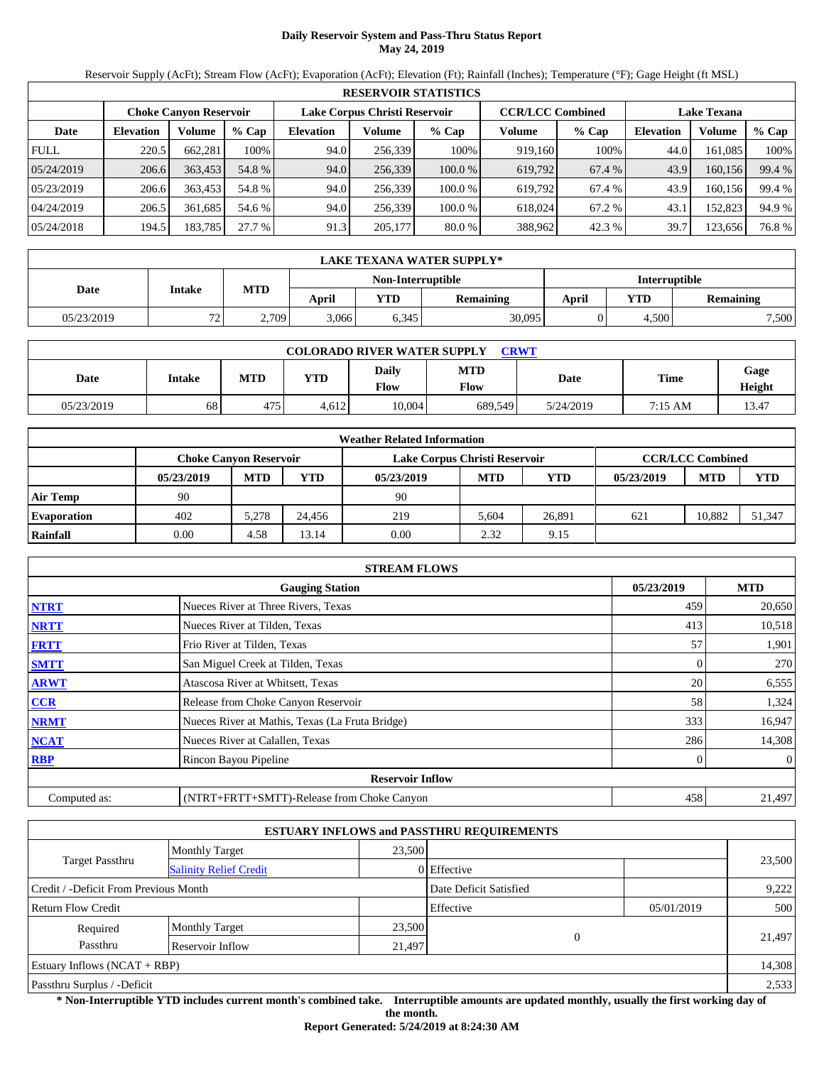# **Daily Reservoir System and Pass-Thru Status Report May 24, 2019**

Reservoir Supply (AcFt); Stream Flow (AcFt); Evaporation (AcFt); Elevation (Ft); Rainfall (Inches); Temperature (°F); Gage Height (ft MSL)

|             | <b>RESERVOIR STATISTICS</b> |                               |         |                               |         |         |                         |         |                    |         |        |  |  |
|-------------|-----------------------------|-------------------------------|---------|-------------------------------|---------|---------|-------------------------|---------|--------------------|---------|--------|--|--|
|             |                             | <b>Choke Canyon Reservoir</b> |         | Lake Corpus Christi Reservoir |         |         | <b>CCR/LCC Combined</b> |         | <b>Lake Texana</b> |         |        |  |  |
| Date        | <b>Elevation</b>            | Volume                        | $%$ Cap | <b>Elevation</b>              | Volume  | $%$ Cap | Volume                  | $%$ Cap | <b>Elevation</b>   | Volume  | % Cap  |  |  |
| <b>FULL</b> | 220.5                       | 662.281                       | 100%    | 94.0                          | 256,339 | 100%    | 919,160                 | 100%    | 44.0               | 161.085 | 100%   |  |  |
| 05/24/2019  | 206.6                       | 363,453                       | 54.8 %  | 94.0                          | 256,339 | 100.0 % | 619,792                 | 67.4 %  | 43.9               | 160.156 | 99.4 % |  |  |
| 05/23/2019  | 206.6                       | 363,453                       | 54.8 %  | 94.0                          | 256,339 | 100.0 % | 619.792                 | 67.4 %  | 43.9               | 160.156 | 99.4 % |  |  |
| 04/24/2019  | 206.5                       | 361,685                       | 54.6 %  | 94.0                          | 256,339 | 100.0%  | 618.024                 | 67.2 %  | 43.1               | 152,823 | 94.9 % |  |  |
| 05/24/2018  | 194.5                       | 183,785                       | 27.7 %  | 91.3                          | 205,177 | 80.0 %  | 388,962                 | 42.3 %  | 39.7               | 123,656 | 76.8%  |  |  |

|            | LAKE TEXANA WATER SUPPLY* |            |       |                   |                  |                      |       |                  |  |  |  |
|------------|---------------------------|------------|-------|-------------------|------------------|----------------------|-------|------------------|--|--|--|
|            | <b>Intake</b>             |            |       | Non-Interruptible |                  | <b>Interruptible</b> |       |                  |  |  |  |
| Date       |                           | <b>MTD</b> | April | <b>YTD</b>        | <b>Remaining</b> | April                | YTD   | <b>Remaining</b> |  |  |  |
| 05/23/2019 | 72                        | 2,709      | 3,066 | 6,345             | 30,095           |                      | 4,500 | 7,500            |  |  |  |

| <b>COLORADO RIVER WATER SUPPLY</b><br><b>CRWT</b> |        |            |            |               |                           |           |         |                |  |  |  |
|---------------------------------------------------|--------|------------|------------|---------------|---------------------------|-----------|---------|----------------|--|--|--|
| Date                                              | Intake | <b>MTD</b> | <b>YTD</b> | Daily<br>Flow | <b>MTD</b><br><b>Flow</b> | Date      | Time    | Gage<br>Height |  |  |  |
| 05/23/2019                                        | 68     | 475        | 4.612      | 10.004        | 689.549                   | 5/24/2019 | 7:15 AM | 13.47          |  |  |  |

|                    | <b>Weather Related Information</b> |            |        |                               |                         |        |            |            |            |  |  |  |
|--------------------|------------------------------------|------------|--------|-------------------------------|-------------------------|--------|------------|------------|------------|--|--|--|
|                    | <b>Choke Canvon Reservoir</b>      |            |        | Lake Corpus Christi Reservoir | <b>CCR/LCC Combined</b> |        |            |            |            |  |  |  |
|                    | 05/23/2019                         | <b>MTD</b> | YTD    | 05/23/2019                    | <b>MTD</b>              | YTD    | 05/23/2019 | <b>MTD</b> | <b>YTD</b> |  |  |  |
| <b>Air Temp</b>    | 90                                 |            |        | 90                            |                         |        |            |            |            |  |  |  |
| <b>Evaporation</b> | 402                                | 5.278      | 24.456 | 219                           | 5.604                   | 26.891 | 621        | 10.882     | 51,347     |  |  |  |
| Rainfall           | 0.00                               | 4.58       | 3.14   | 0.00                          | 2.32                    | 9.15   |            |            |            |  |  |  |

|              | <b>STREAM FLOWS</b>                             |            |                |
|--------------|-------------------------------------------------|------------|----------------|
|              | <b>Gauging Station</b>                          | 05/23/2019 | <b>MTD</b>     |
| <b>NTRT</b>  | Nueces River at Three Rivers, Texas             | 459        | 20,650         |
| <b>NRTT</b>  | Nueces River at Tilden, Texas                   | 413        | 10,518         |
| <b>FRTT</b>  | Frio River at Tilden, Texas                     | 57         | 1,901          |
| <b>SMTT</b>  | San Miguel Creek at Tilden, Texas               |            | 270            |
| <b>ARWT</b>  | Atascosa River at Whitsett, Texas               | 20         | 6,555          |
| CCR          | Release from Choke Canyon Reservoir             | 58         | 1,324          |
| <b>NRMT</b>  | Nueces River at Mathis, Texas (La Fruta Bridge) | 333        | 16,947         |
| <b>NCAT</b>  | Nueces River at Calallen, Texas                 | 286        | 14,308         |
| <b>RBP</b>   | Rincon Bayou Pipeline                           |            | $\overline{0}$ |
|              | <b>Reservoir Inflow</b>                         |            |                |
| Computed as: | (NTRT+FRTT+SMTT)-Release from Choke Canyon      | 458        | 21,497         |

|                                       |                               |        | <b>ESTUARY INFLOWS and PASSTHRU REQUIREMENTS</b> |            |        |
|---------------------------------------|-------------------------------|--------|--------------------------------------------------|------------|--------|
|                                       | <b>Monthly Target</b>         | 23,500 |                                                  |            |        |
| Target Passthru                       | <b>Salinity Relief Credit</b> |        | 0 Effective                                      |            | 23,500 |
| Credit / -Deficit From Previous Month |                               |        | Date Deficit Satisfied                           |            | 9,222  |
| Return Flow Credit                    |                               |        | Effective                                        | 05/01/2019 | 500    |
| Required                              | <b>Monthly Target</b>         | 23,500 | $\theta$                                         |            |        |
| Passthru                              | Reservoir Inflow<br>21,497    |        |                                                  |            | 21,497 |
| Estuary Inflows $(NCAT + RBP)$        |                               |        |                                                  |            | 14,308 |
| Passthru Surplus / -Deficit           |                               |        |                                                  |            | 2,533  |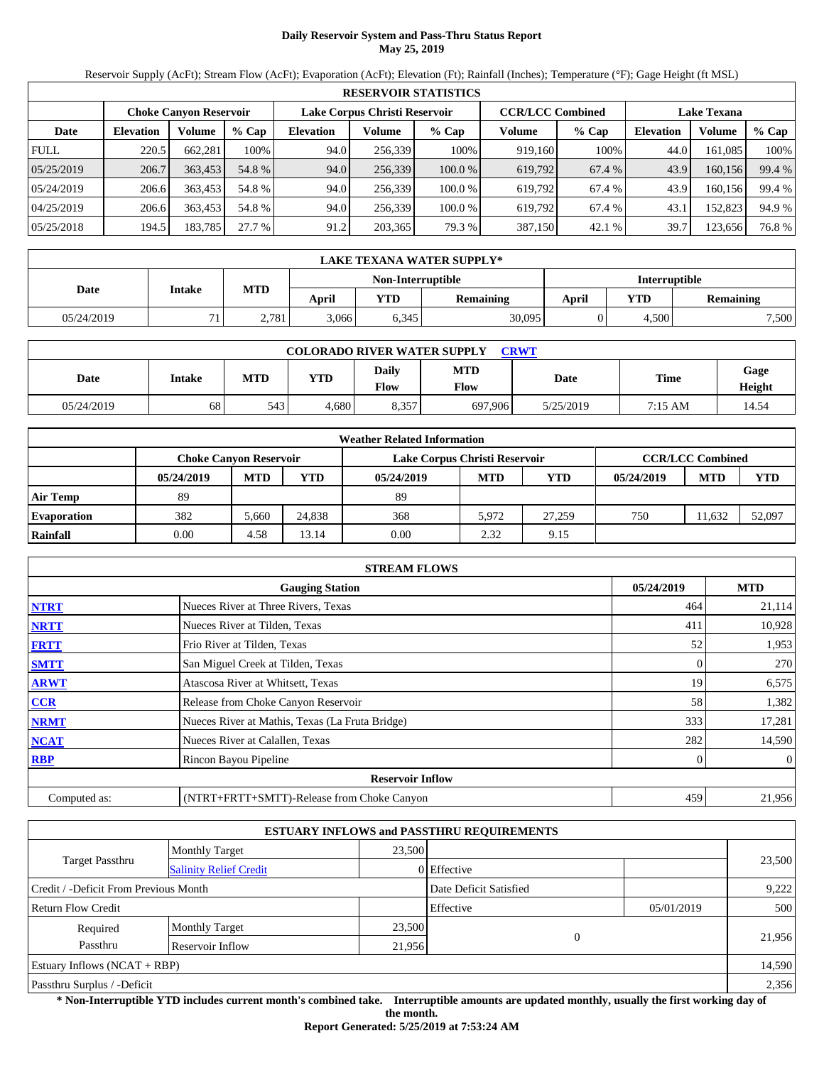# **Daily Reservoir System and Pass-Thru Status Report May 25, 2019**

Reservoir Supply (AcFt); Stream Flow (AcFt); Evaporation (AcFt); Elevation (Ft); Rainfall (Inches); Temperature (°F); Gage Height (ft MSL)

|             | <b>RESERVOIR STATISTICS</b> |                               |         |                  |                               |         |                         |         |                    |         |        |  |  |
|-------------|-----------------------------|-------------------------------|---------|------------------|-------------------------------|---------|-------------------------|---------|--------------------|---------|--------|--|--|
|             |                             | <b>Choke Canyon Reservoir</b> |         |                  | Lake Corpus Christi Reservoir |         | <b>CCR/LCC Combined</b> |         | <b>Lake Texana</b> |         |        |  |  |
| Date        | <b>Elevation</b>            | Volume                        | $%$ Cap | <b>Elevation</b> | Volume                        | $%$ Cap | Volume                  | $%$ Cap | <b>Elevation</b>   | Volume  | % Cap  |  |  |
| <b>FULL</b> | 220.5                       | 662,281                       | 100%    | 94.0             | 256,339                       | 100%    | 919.160                 | 100%    | 44.0               | 161,085 | 100%   |  |  |
| 05/25/2019  | 206.7                       | 363,453                       | 54.8 %  | 94.0             | 256,339                       | 100.0 % | 619,792                 | 67.4 %  | 43.9               | 160,156 | 99.4 % |  |  |
| 05/24/2019  | 206.6                       | 363,453                       | 54.8 %  | 94.0             | 256,339                       | 100.0 % | 619.792                 | 67.4 %  | 43.9               | 160.156 | 99.4 % |  |  |
| 04/25/2019  | 206.6                       | 363,453                       | 54.8 %  | 94.0             | 256,339                       | 100.0 % | 619,792                 | 67.4 %  | 43.1               | 152,823 | 94.9 % |  |  |
| 05/25/2018  | 194.5                       | 183,785                       | 27.7 %  | 91.2             | 203,365                       | 79.3 %  | 387,150                 | 42.1 %  | 39.7               | 123,656 | 76.8%  |  |  |

|            | LAKE TEXANA WATER SUPPLY* |            |       |                   |                  |                      |                  |       |  |  |  |
|------------|---------------------------|------------|-------|-------------------|------------------|----------------------|------------------|-------|--|--|--|
|            |                           |            |       | Non-Interruptible |                  | <b>Interruptible</b> |                  |       |  |  |  |
| Date       | <b>Intake</b>             | <b>MTD</b> | April | <b>YTD</b>        | <b>Remaining</b> | April                | YTD<br>Remaining |       |  |  |  |
| 05/24/2019 | 71                        | 2,781      | 3,066 | 6,345             | 30,095           |                      | 4,500            | 7,500 |  |  |  |

| <b>COLORADO RIVER WATER SUPPLY</b><br><b>CRWT</b> |        |            |            |               |                    |           |         |                |  |  |  |
|---------------------------------------------------|--------|------------|------------|---------------|--------------------|-----------|---------|----------------|--|--|--|
| Date                                              | Intake | <b>MTD</b> | <b>YTD</b> | Daily<br>Flow | <b>MTD</b><br>Flow | Date      | Time    | Gage<br>Height |  |  |  |
| 05/24/2019                                        | 68     | 543        | 4.680      | 8,357         | 697,906            | 5/25/2019 | 7:15 AM | 14.54          |  |  |  |

|                    |                               |            |        | <b>Weather Related Information</b> |            |            |            |                         |            |
|--------------------|-------------------------------|------------|--------|------------------------------------|------------|------------|------------|-------------------------|------------|
|                    | <b>Choke Canvon Reservoir</b> |            |        | Lake Corpus Christi Reservoir      |            |            |            | <b>CCR/LCC Combined</b> |            |
|                    | 05/24/2019                    | <b>MTD</b> | YTD    | 05/24/2019                         | <b>MTD</b> | <b>YTD</b> | 05/24/2019 | <b>MTD</b>              | <b>YTD</b> |
| <b>Air Temp</b>    | 89                            |            |        | 89                                 |            |            |            |                         |            |
| <b>Evaporation</b> | 382                           | 5.660      | 24.838 | 368                                | 5.972      | 27.259     | 750        | 11.632                  | 52,097     |
| Rainfall           | 0.00                          | 4.58       | 13.14  | 0.00                               | 2.32       | 9.15       |            |                         |            |

|              | <b>STREAM FLOWS</b>                             |            |                |
|--------------|-------------------------------------------------|------------|----------------|
|              | <b>Gauging Station</b>                          | 05/24/2019 | <b>MTD</b>     |
| <b>NTRT</b>  | Nueces River at Three Rivers, Texas             | 464        | 21,114         |
| <b>NRTT</b>  | Nueces River at Tilden, Texas                   | 41         | 10,928         |
| <b>FRTT</b>  | Frio River at Tilden, Texas                     | 52         | 1,953          |
| <b>SMTT</b>  | San Miguel Creek at Tilden, Texas               |            | 270            |
| <b>ARWT</b>  | Atascosa River at Whitsett, Texas               | 19         | 6,575          |
| CCR          | Release from Choke Canyon Reservoir             | 58         | 1,382          |
| <b>NRMT</b>  | Nueces River at Mathis, Texas (La Fruta Bridge) | 333        | 17,281         |
| <b>NCAT</b>  | Nueces River at Calallen, Texas                 | 282        | 14,590         |
| <b>RBP</b>   | Rincon Bayou Pipeline                           |            | $\overline{0}$ |
|              | <b>Reservoir Inflow</b>                         |            |                |
| Computed as: | (NTRT+FRTT+SMTT)-Release from Choke Canyon      | 459        | 21,956         |

|                                                  |                       |        | <b>ESTUARY INFLOWS and PASSTHRU REQUIREMENTS</b> |            |        |  |  |
|--------------------------------------------------|-----------------------|--------|--------------------------------------------------|------------|--------|--|--|
|                                                  | <b>Monthly Target</b> | 23,500 |                                                  |            |        |  |  |
| Target Passthru<br><b>Salinity Relief Credit</b> |                       |        | 0 Effective                                      |            | 23,500 |  |  |
| Credit / -Deficit From Previous Month            |                       |        | Date Deficit Satisfied                           |            | 9,222  |  |  |
| <b>Return Flow Credit</b>                        |                       |        | Effective                                        | 05/01/2019 | 500    |  |  |
| Required                                         | <b>Monthly Target</b> | 23,500 | $\Omega$                                         |            |        |  |  |
| Passthru                                         | Reservoir Inflow      |        |                                                  |            | 21,956 |  |  |
| Estuary Inflows $(NCAT + RBP)$                   |                       |        |                                                  |            | 14,590 |  |  |
| Passthru Surplus / -Deficit                      |                       |        |                                                  |            |        |  |  |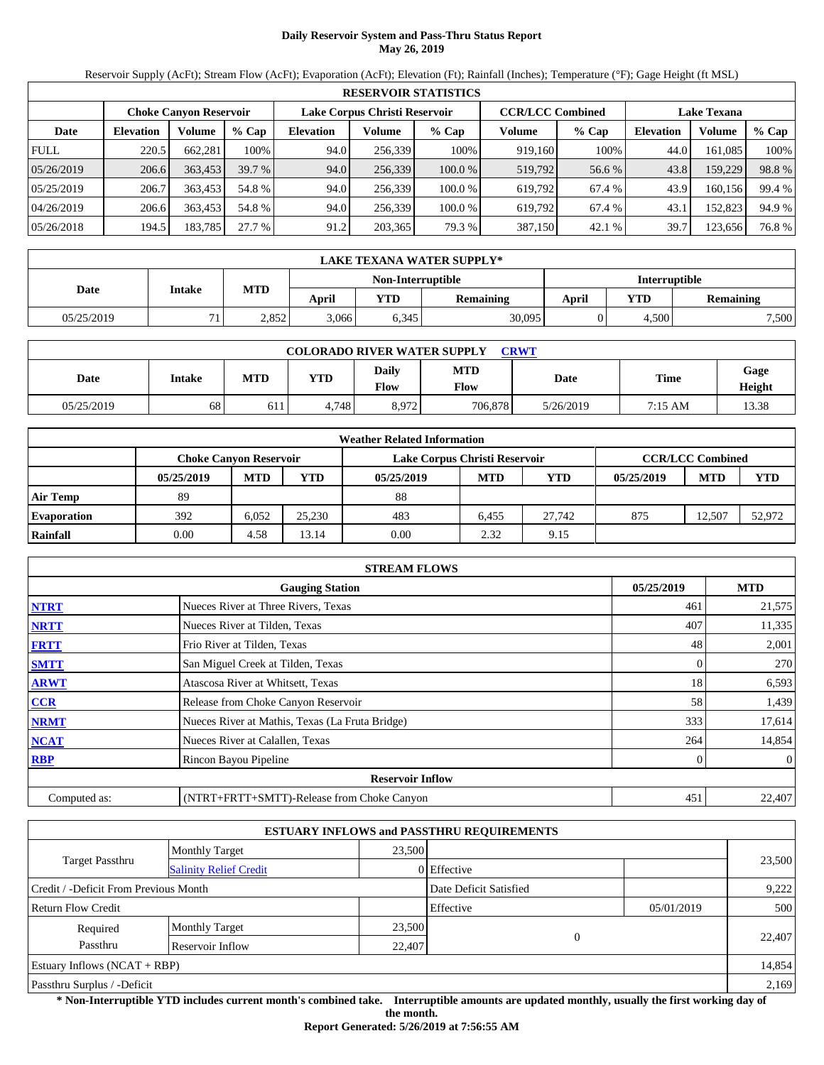# **Daily Reservoir System and Pass-Thru Status Report May 26, 2019**

Reservoir Supply (AcFt); Stream Flow (AcFt); Evaporation (AcFt); Elevation (Ft); Rainfall (Inches); Temperature (°F); Gage Height (ft MSL)

|             | <b>RESERVOIR STATISTICS</b> |                               |         |                               |         |         |                         |         |                    |         |        |  |  |
|-------------|-----------------------------|-------------------------------|---------|-------------------------------|---------|---------|-------------------------|---------|--------------------|---------|--------|--|--|
|             |                             | <b>Choke Canyon Reservoir</b> |         | Lake Corpus Christi Reservoir |         |         | <b>CCR/LCC Combined</b> |         | <b>Lake Texana</b> |         |        |  |  |
| Date        | <b>Elevation</b>            | Volume                        | $%$ Cap | <b>Elevation</b>              | Volume  | $%$ Cap | Volume                  | $%$ Cap | <b>Elevation</b>   | Volume  | % Cap  |  |  |
| <b>FULL</b> | 220.5                       | 662,281                       | 100%    | 94.0                          | 256,339 | 100%    | 919.160                 | 100%    | 44.0               | 161,085 | 100%   |  |  |
| 05/26/2019  | 206.6                       | 363,453                       | 39.7 %  | 94.0                          | 256.339 | 100.0 % | 519.792                 | 56.6 %  | 43.8               | 159,229 | 98.8%  |  |  |
| 05/25/2019  | 206.7                       | 363.453                       | 54.8 %  | 94.0                          | 256,339 | 100.0 % | 619.792                 | 67.4 %  | 43.9               | 160.156 | 99.4 % |  |  |
| 04/26/2019  | 206.6                       | 363,453                       | 54.8 %  | 94.0                          | 256,339 | 100.0 % | 619.792                 | 67.4 %  | 43.1               | 152,823 | 94.9 % |  |  |
| 05/26/2018  | 194.5                       | 183,785                       | 27.7 %  | 91.2                          | 203,365 | 79.3 %  | 387,150                 | 42.1 %  | 39.7               | 123,656 | 76.8%  |  |  |

|            | LAKE TEXANA WATER SUPPLY* |            |       |                   |                  |                      |                  |       |  |  |  |
|------------|---------------------------|------------|-------|-------------------|------------------|----------------------|------------------|-------|--|--|--|
|            |                           |            |       | Non-Interruptible |                  | <b>Interruptible</b> |                  |       |  |  |  |
| Date       | <b>Intake</b>             | <b>MTD</b> | April | <b>YTD</b>        | <b>Remaining</b> | April                | YTD<br>Remaining |       |  |  |  |
| 05/25/2019 | 71                        | 2,852      | 3,066 | 6,345             | 30,095           |                      | 4,500            | 7,500 |  |  |  |

| <b>COLORADO RIVER WATER SUPPLY</b><br><b>CRWT</b> |        |            |            |               |                    |           |         |                |  |  |  |
|---------------------------------------------------|--------|------------|------------|---------------|--------------------|-----------|---------|----------------|--|--|--|
| Date                                              | Intake | <b>MTD</b> | <b>YTD</b> | Daily<br>Flow | <b>MTD</b><br>Flow | Date      | Time    | Gage<br>Height |  |  |  |
| 05/25/2019                                        | 68     | 611        | 4.748      | 8,972         | 706.878            | 5/26/2019 | 7:15 AM | 13.38          |  |  |  |

|                    | <b>Weather Related Information</b> |            |        |                               |            |        |            |                         |            |  |  |  |
|--------------------|------------------------------------|------------|--------|-------------------------------|------------|--------|------------|-------------------------|------------|--|--|--|
|                    | <b>Choke Canvon Reservoir</b>      |            |        | Lake Corpus Christi Reservoir |            |        |            | <b>CCR/LCC Combined</b> |            |  |  |  |
|                    | 05/25/2019                         | <b>MTD</b> | YTD    | 05/25/2019                    | <b>MTD</b> | YTD    | 05/25/2019 | <b>MTD</b>              | <b>YTD</b> |  |  |  |
| <b>Air Temp</b>    | 89                                 |            |        | 88                            |            |        |            |                         |            |  |  |  |
| <b>Evaporation</b> | 392                                | 6.052      | 25.230 | 483                           | 6.455      | 27.742 | 875        | 12.507                  | 52.972     |  |  |  |
| Rainfall           | 0.00                               | 4.58       | 3.14   | 0.00                          | 2.32       | 9.15   |            |                         |            |  |  |  |

|              | <b>STREAM FLOWS</b>                             |            |                |
|--------------|-------------------------------------------------|------------|----------------|
|              | <b>Gauging Station</b>                          | 05/25/2019 | <b>MTD</b>     |
| <b>NTRT</b>  | Nueces River at Three Rivers, Texas             | 461        | 21,575         |
| <b>NRTT</b>  | Nueces River at Tilden, Texas                   | 407        | 11,335         |
| <b>FRTT</b>  | Frio River at Tilden, Texas                     | 48         | 2,001          |
| <b>SMTT</b>  | San Miguel Creek at Tilden, Texas               |            | 270            |
| <b>ARWT</b>  | Atascosa River at Whitsett, Texas               | 18         | 6,593          |
| CCR          | Release from Choke Canyon Reservoir             | 58         | 1,439          |
| <b>NRMT</b>  | Nueces River at Mathis, Texas (La Fruta Bridge) | 333        | 17,614         |
| <b>NCAT</b>  | Nueces River at Calallen, Texas                 | 264        | 14,854         |
| <b>RBP</b>   | Rincon Bayou Pipeline                           |            | $\overline{0}$ |
|              | <b>Reservoir Inflow</b>                         |            |                |
| Computed as: | (NTRT+FRTT+SMTT)-Release from Choke Canyon      | 451        | 22,407         |

|                                                  |                       |        | <b>ESTUARY INFLOWS and PASSTHRU REQUIREMENTS</b> |            |        |
|--------------------------------------------------|-----------------------|--------|--------------------------------------------------|------------|--------|
|                                                  | <b>Monthly Target</b> | 23,500 |                                                  |            |        |
| Target Passthru<br><b>Salinity Relief Credit</b> |                       |        | 0 Effective                                      |            | 23,500 |
| Credit / -Deficit From Previous Month            |                       |        | Date Deficit Satisfied                           |            | 9,222  |
| Return Flow Credit                               |                       |        | Effective                                        | 05/01/2019 | 500    |
| Required                                         | <b>Monthly Target</b> | 23,500 |                                                  |            |        |
| Passthru                                         | Reservoir Inflow      | 22,407 | $\Omega$                                         |            | 22,407 |
| Estuary Inflows $(NCAT + RBP)$                   |                       |        |                                                  |            | 14,854 |
| Passthru Surplus / -Deficit                      |                       |        |                                                  |            | 2,169  |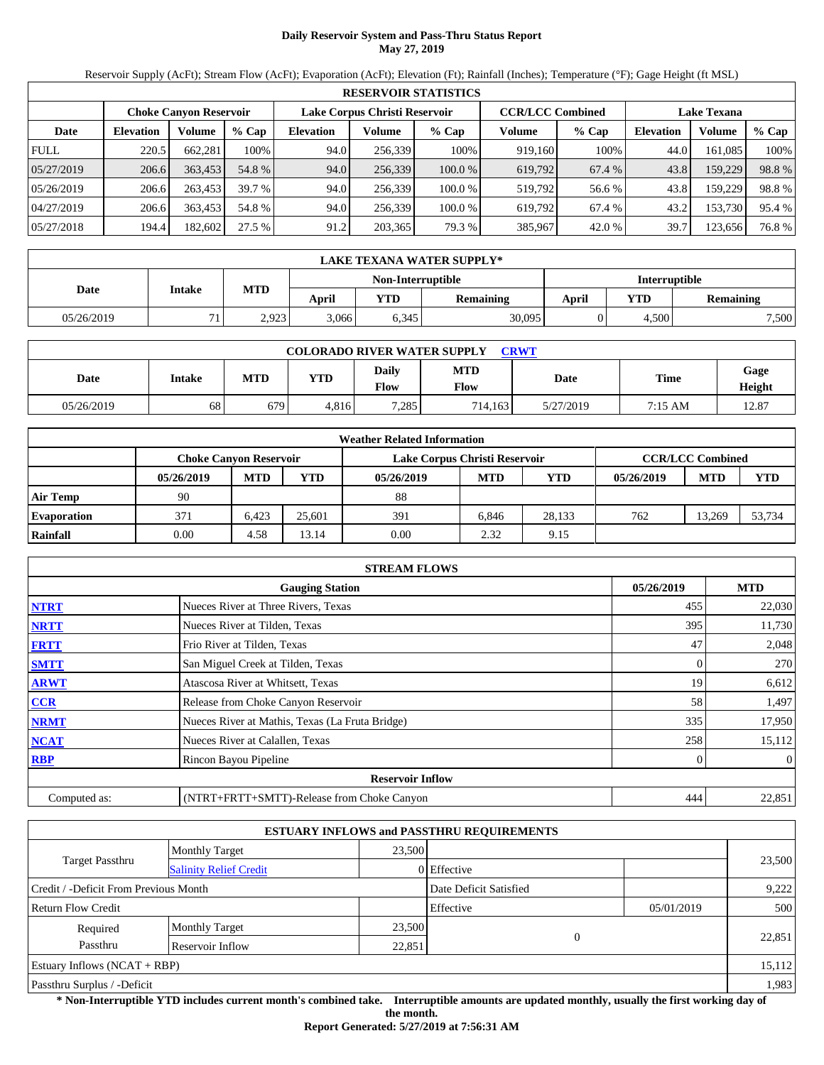# **Daily Reservoir System and Pass-Thru Status Report May 27, 2019**

Reservoir Supply (AcFt); Stream Flow (AcFt); Evaporation (AcFt); Elevation (Ft); Rainfall (Inches); Temperature (°F); Gage Height (ft MSL)

|             | <b>RESERVOIR STATISTICS</b> |                               |         |                               |         |         |                         |         |                    |         |        |  |  |
|-------------|-----------------------------|-------------------------------|---------|-------------------------------|---------|---------|-------------------------|---------|--------------------|---------|--------|--|--|
|             |                             | <b>Choke Canyon Reservoir</b> |         | Lake Corpus Christi Reservoir |         |         | <b>CCR/LCC Combined</b> |         | <b>Lake Texana</b> |         |        |  |  |
| Date        | <b>Elevation</b>            | Volume                        | $%$ Cap | <b>Elevation</b>              | Volume  | $%$ Cap | Volume                  | $%$ Cap | <b>Elevation</b>   | Volume  | % Cap  |  |  |
| <b>FULL</b> | 220.5                       | 662.281                       | 100%    | 94.0                          | 256,339 | 100%    | 919,160                 | 100%    | 44.0               | 161.085 | 100%   |  |  |
| 05/27/2019  | 206.6                       | 363,453                       | 54.8 %  | 94.0                          | 256,339 | 100.0%  | 619.792                 | 67.4 %  | 43.8               | 159,229 | 98.8%  |  |  |
| 05/26/2019  | 206.6                       | 263.453                       | 39.7 %  | 94.0                          | 256,339 | 100.0%  | 519,792                 | 56.6 %  | 43.8               | 159.229 | 98.8%  |  |  |
| 04/27/2019  | 206.6                       | 363,453                       | 54.8 %  | 94.0                          | 256.339 | 100.0 % | 619.792                 | 67.4 %  | 43.2               | 153,730 | 95.4 % |  |  |
| 05/27/2018  | 194.4                       | 182,602                       | 27.5 %  | 91.2                          | 203,365 | 79.3 %  | 385,967                 | 42.0 %  | 39.7               | 123,656 | 76.8%  |  |  |

|            | LAKE TEXANA WATER SUPPLY* |            |       |                   |                  |                      |       |           |  |  |  |
|------------|---------------------------|------------|-------|-------------------|------------------|----------------------|-------|-----------|--|--|--|
|            | <b>Intake</b>             |            |       | Non-Interruptible |                  | <b>Interruptible</b> |       |           |  |  |  |
| Date       |                           | <b>MTD</b> | April | <b>YTD</b>        | <b>Remaining</b> | April                | YTD   | Remaining |  |  |  |
| 05/26/2019 | 71                        | 2,923      | 3,066 | 6,345             | 30,095           |                      | 4,500 | 7,500     |  |  |  |

| <b>COLORADO RIVER WATER SUPPLY</b><br><b>CRWT</b> |        |            |            |               |                    |           |         |                |  |  |  |
|---------------------------------------------------|--------|------------|------------|---------------|--------------------|-----------|---------|----------------|--|--|--|
| Date                                              | Intake | <b>MTD</b> | <b>YTD</b> | Daily<br>Flow | <b>MTD</b><br>Flow | Date      | Time    | Gage<br>Height |  |  |  |
| 05/26/2019                                        | 68     | 679        | 4.816      | 7.285         | 714.163            | 5/27/2019 | 7:15 AM | 12.87          |  |  |  |

|                    | <b>Weather Related Information</b> |            |        |                               |            |        |            |                         |            |  |  |  |  |
|--------------------|------------------------------------|------------|--------|-------------------------------|------------|--------|------------|-------------------------|------------|--|--|--|--|
|                    | <b>Choke Canvon Reservoir</b>      |            |        | Lake Corpus Christi Reservoir |            |        |            | <b>CCR/LCC Combined</b> |            |  |  |  |  |
|                    | 05/26/2019                         | <b>MTD</b> | YTD    | 05/26/2019                    | <b>MTD</b> | YTD    | 05/26/2019 | <b>MTD</b>              | <b>YTD</b> |  |  |  |  |
| <b>Air Temp</b>    | 90                                 |            |        | 88                            |            |        |            |                         |            |  |  |  |  |
| <b>Evaporation</b> | 371                                | 6.423      | 25.601 | 391                           | 6.846      | 28.133 | 762        | 13.269                  | 53,734     |  |  |  |  |
| Rainfall           | 0.00                               | 4.58       | 3.14   | 0.00                          | 2.32       | 9.15   |            |                         |            |  |  |  |  |

|              | <b>STREAM FLOWS</b>                             |            |                |
|--------------|-------------------------------------------------|------------|----------------|
|              | <b>Gauging Station</b>                          | 05/26/2019 | <b>MTD</b>     |
| <b>NTRT</b>  | Nueces River at Three Rivers, Texas             | 455        | 22,030         |
| <b>NRTT</b>  | Nueces River at Tilden, Texas                   | 395        | 11,730         |
| <b>FRTT</b>  | Frio River at Tilden, Texas                     | 47         | 2,048          |
| <b>SMTT</b>  | San Miguel Creek at Tilden, Texas               | 0          | 270            |
| <b>ARWT</b>  | Atascosa River at Whitsett, Texas               | 19         | 6,612          |
| <b>CCR</b>   | Release from Choke Canyon Reservoir             | 58         | 1,497          |
| <b>NRMT</b>  | Nueces River at Mathis, Texas (La Fruta Bridge) | 335        | 17,950         |
| <b>NCAT</b>  | Nueces River at Calallen, Texas                 | 258        | 15,112         |
| <b>RBP</b>   | Rincon Bayou Pipeline                           |            | $\overline{0}$ |
|              | <b>Reservoir Inflow</b>                         |            |                |
| Computed as: | (NTRT+FRTT+SMTT)-Release from Choke Canyon      | 444        | 22,851         |

|                                       |                               |        | <b>ESTUARY INFLOWS and PASSTHRU REQUIREMENTS</b> |          |            |        |
|---------------------------------------|-------------------------------|--------|--------------------------------------------------|----------|------------|--------|
|                                       | <b>Monthly Target</b>         | 23,500 |                                                  |          |            | 23,500 |
| Target Passthru                       | <b>Salinity Relief Credit</b> |        | 0 Effective                                      |          |            |        |
| Credit / -Deficit From Previous Month |                               |        | Date Deficit Satisfied                           |          |            | 9,222  |
| <b>Return Flow Credit</b>             |                               |        | Effective                                        |          | 05/01/2019 | 500    |
| Required                              | <b>Monthly Target</b>         | 23,500 |                                                  |          |            |        |
| Passthru<br>Reservoir Inflow          |                               |        | 22,851                                           | $\Omega$ |            | 22,851 |
| Estuary Inflows $(NCAT + RBP)$        |                               |        |                                                  |          |            | 15,112 |
| Passthru Surplus / -Deficit           |                               |        |                                                  |          |            | 1,983  |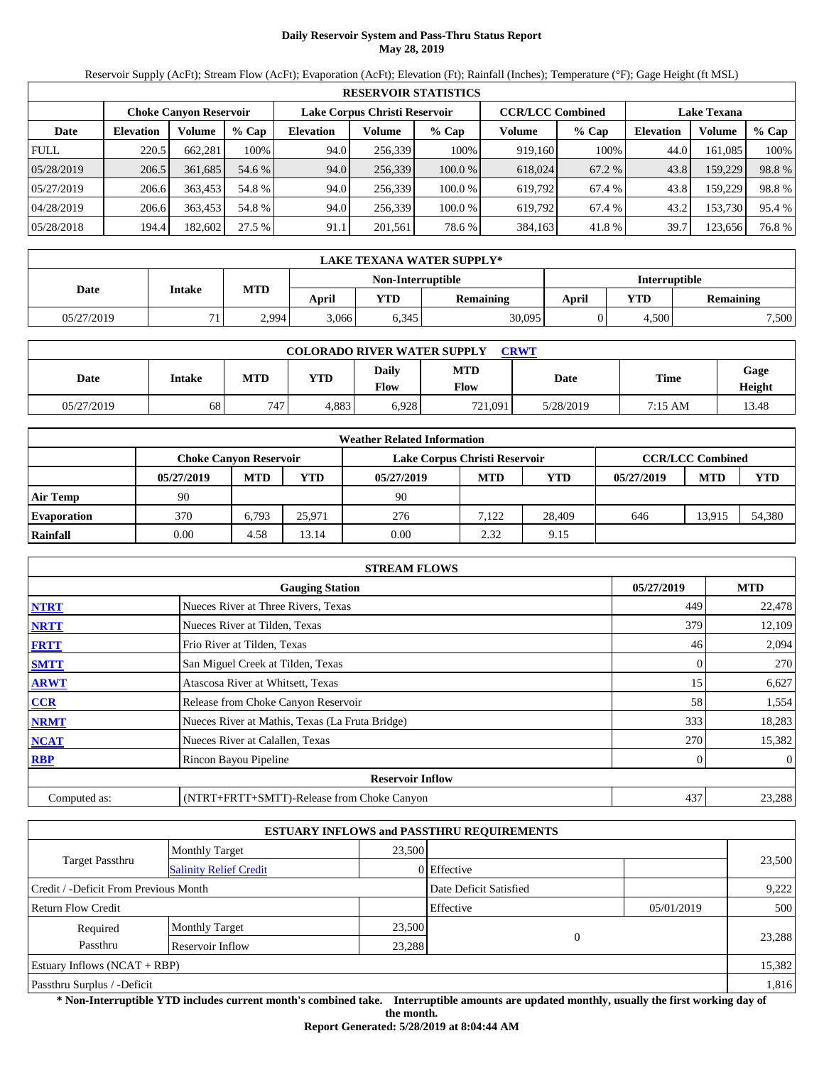# **Daily Reservoir System and Pass-Thru Status Report May 28, 2019**

Reservoir Supply (AcFt); Stream Flow (AcFt); Evaporation (AcFt); Elevation (Ft); Rainfall (Inches); Temperature (°F); Gage Height (ft MSL)

|             | <b>RESERVOIR STATISTICS</b> |                               |         |                               |         |         |                         |         |                    |         |        |  |  |
|-------------|-----------------------------|-------------------------------|---------|-------------------------------|---------|---------|-------------------------|---------|--------------------|---------|--------|--|--|
|             |                             | <b>Choke Canyon Reservoir</b> |         | Lake Corpus Christi Reservoir |         |         | <b>CCR/LCC Combined</b> |         | <b>Lake Texana</b> |         |        |  |  |
| Date        | <b>Elevation</b>            | Volume                        | $%$ Cap | <b>Elevation</b>              | Volume  | $%$ Cap | Volume                  | $%$ Cap | <b>Elevation</b>   | Volume  | % Cap  |  |  |
| <b>FULL</b> | 220.5                       | 662.281                       | 100%    | 94.0                          | 256,339 | 100%    | 919.160                 | 100%    | 44.0               | 161.085 | 100%   |  |  |
| 05/28/2019  | 206.5                       | 361.685                       | 54.6 %  | 94.0                          | 256,339 | 100.0%  | 618,024                 | 67.2 %  | 43.8               | 159,229 | 98.8%  |  |  |
| 05/27/2019  | 206.6                       | 363.453                       | 54.8 %  | 94.0                          | 256,339 | 100.0%  | 619.792                 | 67.4 %  | 43.8               | 159.229 | 98.8%  |  |  |
| 04/28/2019  | 206.6                       | 363,453                       | 54.8 %  | 94.0                          | 256.339 | 100.0 % | 619.792                 | 67.4 %  | 43.2               | 153,730 | 95.4 % |  |  |
| 05/28/2018  | 194.4                       | 182,602                       | 27.5 %  | 91.1                          | 201,561 | 78.6 %  | 384,163                 | 41.8%   | 39.7               | 123,656 | 76.8%  |  |  |

|            | LAKE TEXANA WATER SUPPLY* |            |       |                   |                  |               |       |                  |  |  |  |
|------------|---------------------------|------------|-------|-------------------|------------------|---------------|-------|------------------|--|--|--|
|            | <b>Intake</b>             |            |       | Non-Interruptible |                  | Interruptible |       |                  |  |  |  |
| Date       |                           | <b>MTD</b> | April | <b>YTD</b>        | <b>Remaining</b> | April         | YTD   | <b>Remaining</b> |  |  |  |
| 05/27/2019 | 71                        | 2,994      | 3,066 | 6,345             | 30,095           |               | 4,500 | 7,500            |  |  |  |

| <b>COLORADO RIVER WATER SUPPLY</b><br><b>CRWT</b> |        |            |            |               |                    |           |         |                |  |  |  |
|---------------------------------------------------|--------|------------|------------|---------------|--------------------|-----------|---------|----------------|--|--|--|
| Date                                              | Intake | <b>MTD</b> | <b>YTD</b> | Daily<br>Flow | <b>MTD</b><br>Flow | Date      | Time    | Gage<br>Height |  |  |  |
| 05/27/2019                                        | 68     | 747        | 4.883      | 6.928         | 721,091            | 5/28/2019 | 7:15 AM | 13.48          |  |  |  |

|                    | <b>Weather Related Information</b> |            |        |                               |            |        |            |                         |            |  |  |  |  |
|--------------------|------------------------------------|------------|--------|-------------------------------|------------|--------|------------|-------------------------|------------|--|--|--|--|
|                    | <b>Choke Canvon Reservoir</b>      |            |        | Lake Corpus Christi Reservoir |            |        |            | <b>CCR/LCC Combined</b> |            |  |  |  |  |
|                    | 05/27/2019                         | <b>MTD</b> | YTD    | 05/27/2019                    | <b>MTD</b> | YTD    | 05/27/2019 | <b>MTD</b>              | <b>YTD</b> |  |  |  |  |
| <b>Air Temp</b>    | 90                                 |            |        | 90                            |            |        |            |                         |            |  |  |  |  |
| <b>Evaporation</b> | 370                                | 6.793      | 25.971 | 276                           | 7.122      | 28.409 | 646        | 13.915                  | 54,380     |  |  |  |  |
| Rainfall           | 0.00                               | 4.58       | 3.14   | 0.00                          | 2.32       | 9.15   |            |                         |            |  |  |  |  |

|              | <b>STREAM FLOWS</b>                             |            |                |
|--------------|-------------------------------------------------|------------|----------------|
|              | <b>Gauging Station</b>                          | 05/27/2019 | <b>MTD</b>     |
| <b>NTRT</b>  | Nueces River at Three Rivers, Texas             | 449        | 22,478         |
| <b>NRTT</b>  | Nueces River at Tilden, Texas                   | 379        | 12,109         |
| <b>FRTT</b>  | Frio River at Tilden, Texas                     | 46         | 2,094          |
| <b>SMTT</b>  | San Miguel Creek at Tilden, Texas               | 0          | 270            |
| <b>ARWT</b>  | Atascosa River at Whitsett, Texas               | 15         | 6,627          |
| <b>CCR</b>   | Release from Choke Canyon Reservoir             | 58         | 1,554          |
| <b>NRMT</b>  | Nueces River at Mathis, Texas (La Fruta Bridge) | 333        | 18,283         |
| <b>NCAT</b>  | Nueces River at Calallen, Texas                 | 270        | 15,382         |
| <b>RBP</b>   | Rincon Bayou Pipeline                           |            | $\overline{0}$ |
|              | <b>Reservoir Inflow</b>                         |            |                |
| Computed as: | (NTRT+FRTT+SMTT)-Release from Choke Canyon      | 437        | 23,288         |

|                                        |                               |        | <b>ESTUARY INFLOWS and PASSTHRU REQUIREMENTS</b> |            |        |  |
|----------------------------------------|-------------------------------|--------|--------------------------------------------------|------------|--------|--|
|                                        | <b>Monthly Target</b>         | 23,500 |                                                  |            |        |  |
| Target Passthru                        | <b>Salinity Relief Credit</b> |        | 0 Effective                                      |            | 23,500 |  |
| Credit / -Deficit From Previous Month  |                               |        | Date Deficit Satisfied                           |            | 9,222  |  |
| <b>Return Flow Credit</b>              |                               |        | Effective                                        | 05/01/2019 | 500    |  |
| Required                               | <b>Monthly Target</b>         | 23,500 |                                                  |            |        |  |
| Passthru<br>23,288<br>Reservoir Inflow |                               |        | $\theta$                                         |            | 23,288 |  |
| Estuary Inflows $(NCAT + RBP)$         |                               |        |                                                  |            | 15,382 |  |
| Passthru Surplus / -Deficit            |                               |        |                                                  |            | 1,816  |  |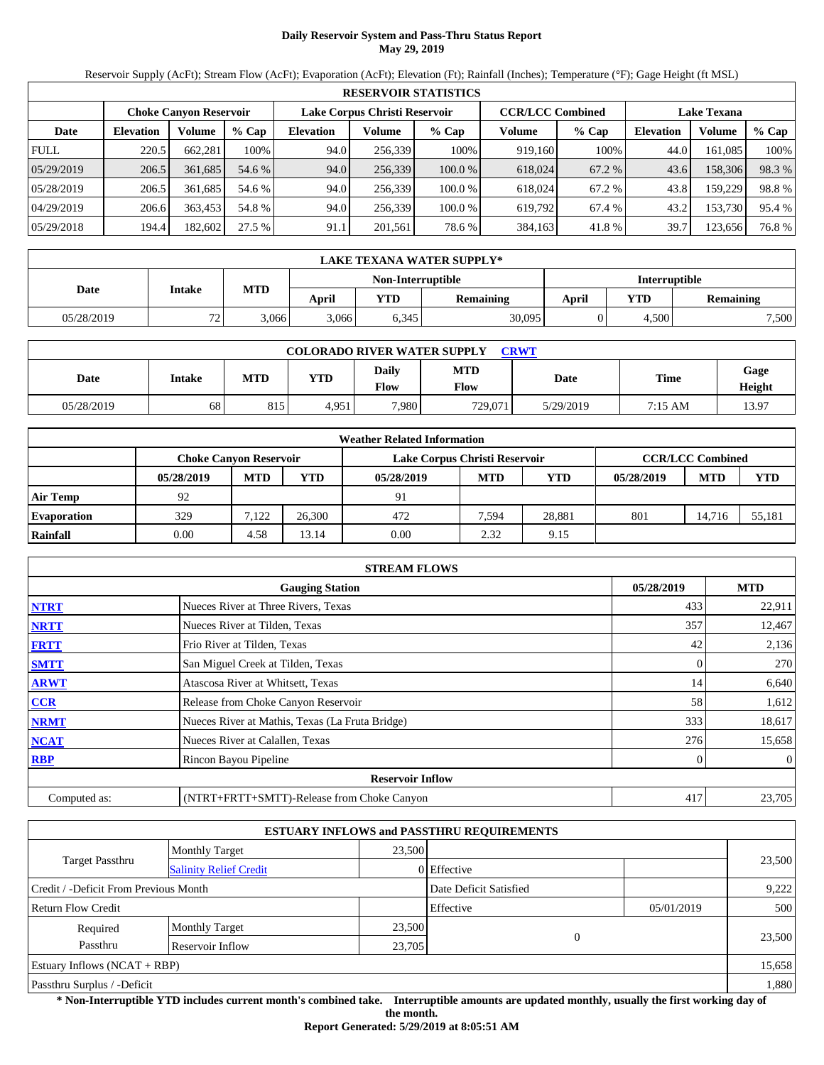# **Daily Reservoir System and Pass-Thru Status Report May 29, 2019**

Reservoir Supply (AcFt); Stream Flow (AcFt); Evaporation (AcFt); Elevation (Ft); Rainfall (Inches); Temperature (°F); Gage Height (ft MSL)

|             | <b>RESERVOIR STATISTICS</b> |                               |         |                  |                               |         |                         |         |                    |         |        |  |
|-------------|-----------------------------|-------------------------------|---------|------------------|-------------------------------|---------|-------------------------|---------|--------------------|---------|--------|--|
|             |                             | <b>Choke Canyon Reservoir</b> |         |                  | Lake Corpus Christi Reservoir |         | <b>CCR/LCC Combined</b> |         | <b>Lake Texana</b> |         |        |  |
| Date        | <b>Elevation</b>            | Volume                        | $%$ Cap | <b>Elevation</b> | Volume                        | $%$ Cap | Volume                  | $%$ Cap | <b>Elevation</b>   | Volume  | % Cap  |  |
| <b>FULL</b> | 220.5                       | 662.281                       | 100%    | 94.0             | 256,339                       | 100%    | 919,160                 | 100%    | 44.0               | 161.085 | 100%   |  |
| 05/29/2019  | 206.5                       | 361,685                       | 54.6 %  | 94.0             | 256,339                       | 100.0 % | 618,024                 | 67.2 %  | 43.6               | 158,306 | 98.3%  |  |
| 05/28/2019  | 206.5                       | 361.685                       | 54.6 %  | 94.0             | 256,339                       | 100.0 % | 618,024                 | 67.2 %  | 43.8               | 159.229 | 98.8%  |  |
| 04/29/2019  | 206.6                       | 363,453                       | 54.8 %  | 94.0             | 256,339                       | 100.0 % | 619,792                 | 67.4 %  | 43.2               | 153,730 | 95.4 % |  |
| 05/29/2018  | 194.4                       | 182,602                       | 27.5 %  | 91.1             | 201,561                       | 78.6 %  | 384,163                 | 41.8%   | 39.7               | 123,656 | 76.8%  |  |

|            | LAKE TEXANA WATER SUPPLY* |            |       |                   |                  |               |       |                  |  |  |  |
|------------|---------------------------|------------|-------|-------------------|------------------|---------------|-------|------------------|--|--|--|
|            | <b>Intake</b>             |            |       | Non-Interruptible |                  | Interruptible |       |                  |  |  |  |
| Date       |                           | <b>MTD</b> | April | <b>YTD</b>        | <b>Remaining</b> | April         | YTD   | <b>Remaining</b> |  |  |  |
| 05/28/2019 | 72                        | 3,066      | 3,066 | 6,345             | 30,095           |               | 4,500 | 7,500            |  |  |  |

| <b>COLORADO RIVER WATER SUPPLY</b><br><b>CRWT</b> |        |            |            |               |                    |           |         |                |  |  |  |
|---------------------------------------------------|--------|------------|------------|---------------|--------------------|-----------|---------|----------------|--|--|--|
| Date                                              | Intake | <b>MTD</b> | <b>YTD</b> | Daily<br>Flow | <b>MTD</b><br>Flow | Date      | Time    | Gage<br>Height |  |  |  |
| 05/28/2019                                        | 68     | 815        | 4.951      | 7.980         | 729,071            | 5/29/2019 | 7:15 AM | 13.97          |  |  |  |

|                    |                               |            |        | <b>Weather Related Information</b> |            |            |            |                         |            |
|--------------------|-------------------------------|------------|--------|------------------------------------|------------|------------|------------|-------------------------|------------|
|                    | <b>Choke Canyon Reservoir</b> |            |        | Lake Corpus Christi Reservoir      |            |            |            | <b>CCR/LCC Combined</b> |            |
|                    | 05/28/2019                    | <b>MTD</b> | YTD    | 05/28/2019                         | <b>MTD</b> | <b>YTD</b> | 05/28/2019 | <b>MTD</b>              | <b>YTD</b> |
| <b>Air Temp</b>    | 92                            |            |        | 91                                 |            |            |            |                         |            |
| <b>Evaporation</b> | 329                           | 7.122      | 26.300 | 472                                | 7.594      | 28.881     | 801        | 14.716                  | 55.181     |
| Rainfall           | 0.00                          | 4.58       | 13.14  | 0.00                               | 2.32       | 9.15       |            |                         |            |

|              | <b>STREAM FLOWS</b>                             |            |                |
|--------------|-------------------------------------------------|------------|----------------|
|              | <b>Gauging Station</b>                          | 05/28/2019 | <b>MTD</b>     |
| <b>NTRT</b>  | Nueces River at Three Rivers, Texas             | 433        | 22,911         |
| <b>NRTT</b>  | Nueces River at Tilden, Texas                   | 357        | 12,467         |
| <b>FRTT</b>  | Frio River at Tilden, Texas                     | 42         | 2,136          |
| <b>SMTT</b>  | San Miguel Creek at Tilden, Texas               | 0          | 270            |
| <b>ARWT</b>  | Atascosa River at Whitsett, Texas               | 14         | 6,640          |
| <b>CCR</b>   | Release from Choke Canyon Reservoir             | 58         | 1,612          |
| <b>NRMT</b>  | Nueces River at Mathis, Texas (La Fruta Bridge) | 333        | 18,617         |
| <b>NCAT</b>  | Nueces River at Calallen, Texas                 | 276        | 15,658         |
| <b>RBP</b>   | Rincon Bayou Pipeline                           |            | $\overline{0}$ |
|              | <b>Reservoir Inflow</b>                         |            |                |
| Computed as: | (NTRT+FRTT+SMTT)-Release from Choke Canyon      | 417        | 23,705         |

|                                                  |                       |        | <b>ESTUARY INFLOWS and PASSTHRU REQUIREMENTS</b> |            |        |
|--------------------------------------------------|-----------------------|--------|--------------------------------------------------|------------|--------|
|                                                  | <b>Monthly Target</b> | 23,500 |                                                  |            |        |
| Target Passthru<br><b>Salinity Relief Credit</b> |                       |        | 0 Effective                                      |            | 23,500 |
| Credit / -Deficit From Previous Month            |                       |        | Date Deficit Satisfied                           |            | 9,222  |
| <b>Return Flow Credit</b>                        |                       |        | Effective                                        | 05/01/2019 | 500    |
| Required                                         | <b>Monthly Target</b> | 23,500 |                                                  |            |        |
| Passthru<br>Reservoir Inflow                     |                       |        | 23,705                                           | $\Omega$   | 23,500 |
| Estuary Inflows $(NCAT + RBP)$                   |                       |        |                                                  |            | 15,658 |
| Passthru Surplus / -Deficit                      |                       |        |                                                  |            | 1,880  |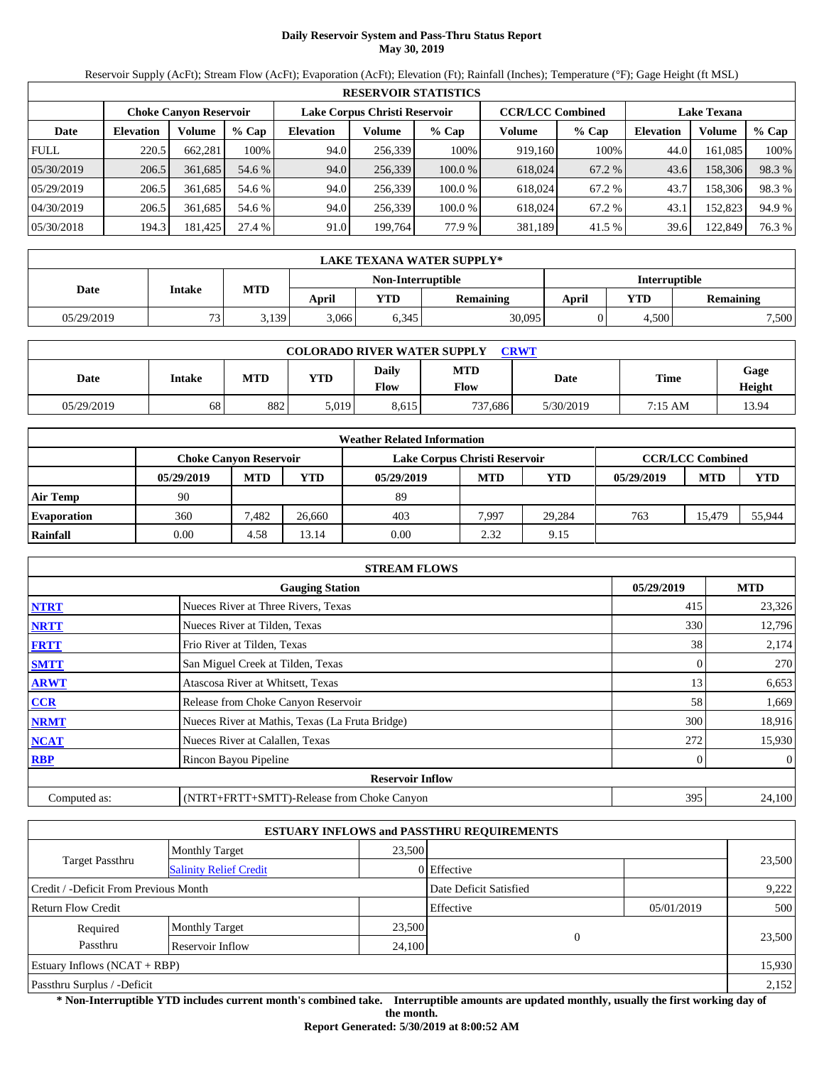# **Daily Reservoir System and Pass-Thru Status Report May 30, 2019**

Reservoir Supply (AcFt); Stream Flow (AcFt); Evaporation (AcFt); Elevation (Ft); Rainfall (Inches); Temperature (°F); Gage Height (ft MSL)

|             | <b>RESERVOIR STATISTICS</b>   |         |         |                  |                               |         |         |                         |                    |         |        |  |  |
|-------------|-------------------------------|---------|---------|------------------|-------------------------------|---------|---------|-------------------------|--------------------|---------|--------|--|--|
|             | <b>Choke Canyon Reservoir</b> |         |         |                  | Lake Corpus Christi Reservoir |         |         | <b>CCR/LCC Combined</b> | <b>Lake Texana</b> |         |        |  |  |
| Date        | <b>Elevation</b>              | Volume  | $%$ Cap | <b>Elevation</b> | Volume                        | $%$ Cap | Volume  | $%$ Cap                 | <b>Elevation</b>   | Volume  | % Cap  |  |  |
| <b>FULL</b> | 220.5                         | 662.281 | 100%    | 94.0             | 256,339                       | 100%    | 919.160 | 100%                    | 44.0               | 161.085 | 100%   |  |  |
| 05/30/2019  | 206.5                         | 361.685 | 54.6 %  | 94.0             | 256,339                       | 100.0%  | 618,024 | 67.2 %                  | 43.6               | 158.306 | 98.3%  |  |  |
| 05/29/2019  | 206.5                         | 361.685 | 54.6 %  | 94.0             | 256,339                       | 100.0%  | 618,024 | 67.2 %                  | 43.7               | 158,306 | 98.3%  |  |  |
| 04/30/2019  | 206.5                         | 361.685 | 54.6 %  | 94.0             | 256.339                       | 100.0 % | 618.024 | 67.2 %                  | 43.1               | 152.823 | 94.9 % |  |  |
| 05/30/2018  | 194.3                         | 181,425 | 27.4 %  | 91.0             | 199.764                       | 77.9 %  | 381,189 | 41.5 %                  | 39.6               | 122,849 | 76.3 % |  |  |

|            | LAKE TEXANA WATER SUPPLY* |            |       |                   |                  |               |       |                  |  |  |  |
|------------|---------------------------|------------|-------|-------------------|------------------|---------------|-------|------------------|--|--|--|
|            | <b>Intake</b>             |            |       | Non-Interruptible |                  | Interruptible |       |                  |  |  |  |
| Date       |                           | <b>MTD</b> | April | <b>YTD</b>        | <b>Remaining</b> | April         | YTD   | <b>Remaining</b> |  |  |  |
| 05/29/2019 | 73<br>ر_.                 | 3,139      | 3,066 | 6,345             | 30,095           |               | 4,500 | 7,500            |  |  |  |

| <b>COLORADO RIVER WATER SUPPLY</b><br><b>CRWT</b> |        |            |            |               |                    |           |         |                |  |  |  |
|---------------------------------------------------|--------|------------|------------|---------------|--------------------|-----------|---------|----------------|--|--|--|
| Date                                              | Intake | <b>MTD</b> | <b>YTD</b> | Daily<br>Flow | <b>MTD</b><br>Flow | Date      | Time    | Gage<br>Height |  |  |  |
| 05/29/2019                                        | 68     | 882        | 5.019      | 8,615         | 737.686            | 5/30/2019 | 7:15 AM | 13.94          |  |  |  |

|                    | <b>Weather Related Information</b> |                               |        |                               |            |        |            |                         |            |  |  |
|--------------------|------------------------------------|-------------------------------|--------|-------------------------------|------------|--------|------------|-------------------------|------------|--|--|
|                    |                                    | <b>Choke Canvon Reservoir</b> |        | Lake Corpus Christi Reservoir |            |        |            | <b>CCR/LCC Combined</b> |            |  |  |
|                    | 05/29/2019                         | <b>MTD</b>                    | YTD    | 05/29/2019                    | <b>MTD</b> | YTD    | 05/29/2019 | <b>MTD</b>              | <b>YTD</b> |  |  |
| <b>Air Temp</b>    | 90                                 |                               |        | 89                            |            |        |            |                         |            |  |  |
| <b>Evaporation</b> | 360                                | 7.482                         | 26.660 | 403                           | 7.997      | 29.284 | 763        | 15.479                  | 55,944     |  |  |
| Rainfall           | 0.00                               | 4.58                          | 3.14   | 0.00                          | 2.32       | 9.15   |            |                         |            |  |  |

|              | <b>STREAM FLOWS</b>                             |            |                |
|--------------|-------------------------------------------------|------------|----------------|
|              | <b>Gauging Station</b>                          | 05/29/2019 | <b>MTD</b>     |
| <b>NTRT</b>  | Nueces River at Three Rivers, Texas             | 415        | 23,326         |
| <b>NRTT</b>  | Nueces River at Tilden, Texas                   | 330        | 12,796         |
| <b>FRTT</b>  | Frio River at Tilden, Texas                     | 38         | 2,174          |
| <b>SMTT</b>  | San Miguel Creek at Tilden, Texas               | 0          | 270            |
| <b>ARWT</b>  | Atascosa River at Whitsett, Texas               | 13         | 6,653          |
| <b>CCR</b>   | Release from Choke Canyon Reservoir             | 58         | 1,669          |
| <b>NRMT</b>  | Nueces River at Mathis, Texas (La Fruta Bridge) | 300        | 18,916         |
| <b>NCAT</b>  | Nueces River at Calallen, Texas                 | 272        | 15,930         |
| <b>RBP</b>   | Rincon Bayou Pipeline                           |            | $\overline{0}$ |
|              | <b>Reservoir Inflow</b>                         |            |                |
| Computed as: | (NTRT+FRTT+SMTT)-Release from Choke Canyon      | 395        | 24,100         |

|                                                  |                       |        | <b>ESTUARY INFLOWS and PASSTHRU REQUIREMENTS</b> |            |        |
|--------------------------------------------------|-----------------------|--------|--------------------------------------------------|------------|--------|
|                                                  | <b>Monthly Target</b> | 23,500 |                                                  |            |        |
| Target Passthru<br><b>Salinity Relief Credit</b> |                       |        | 0 Effective                                      |            | 23,500 |
| Credit / -Deficit From Previous Month            |                       |        | Date Deficit Satisfied                           |            | 9,222  |
| <b>Return Flow Credit</b>                        |                       |        | Effective                                        | 05/01/2019 | 500    |
| Required                                         | <b>Monthly Target</b> | 23,500 |                                                  |            |        |
| Passthru<br>Reservoir Inflow                     |                       |        | 24,100                                           | $\Omega$   | 23,500 |
| Estuary Inflows $(NCAT + RBP)$                   |                       |        |                                                  | 15,930     |        |
| Passthru Surplus / -Deficit                      |                       |        |                                                  |            | 2,152  |